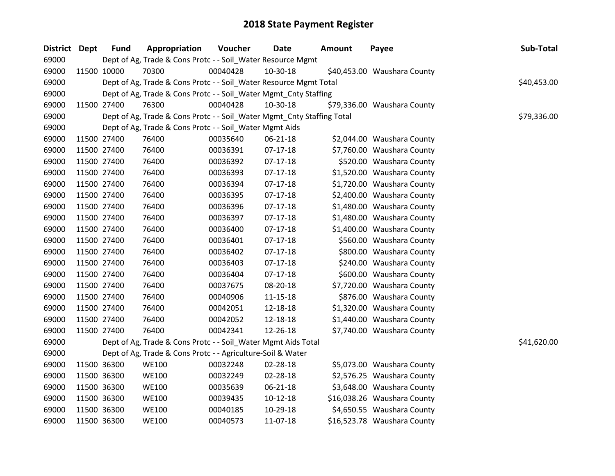| District Dept | <b>Fund</b> | Appropriation                                                          | Voucher  | <b>Date</b>    | <b>Amount</b> | Payee                       | Sub-Total   |
|---------------|-------------|------------------------------------------------------------------------|----------|----------------|---------------|-----------------------------|-------------|
| 69000         |             | Dept of Ag, Trade & Cons Protc - - Soil_Water Resource Mgmt            |          |                |               |                             |             |
| 69000         | 11500 10000 | 70300                                                                  | 00040428 | 10-30-18       |               | \$40,453.00 Waushara County |             |
| 69000         |             | Dept of Ag, Trade & Cons Protc - - Soil_Water Resource Mgmt Total      |          |                |               |                             | \$40,453.00 |
| 69000         |             | Dept of Ag, Trade & Cons Protc - - Soil_Water Mgmt_Cnty Staffing       |          |                |               |                             |             |
| 69000         | 11500 27400 | 76300                                                                  | 00040428 | 10-30-18       |               | \$79,336.00 Waushara County |             |
| 69000         |             | Dept of Ag, Trade & Cons Protc - - Soil_Water Mgmt_Cnty Staffing Total |          |                |               |                             | \$79,336.00 |
| 69000         |             | Dept of Ag, Trade & Cons Protc - - Soil_Water Mgmt Aids                |          |                |               |                             |             |
| 69000         | 11500 27400 | 76400                                                                  | 00035640 | 06-21-18       |               | \$2,044.00 Waushara County  |             |
| 69000         | 11500 27400 | 76400                                                                  | 00036391 | $07-17-18$     |               | \$7,760.00 Waushara County  |             |
| 69000         | 11500 27400 | 76400                                                                  | 00036392 | $07-17-18$     |               | \$520.00 Waushara County    |             |
| 69000         | 11500 27400 | 76400                                                                  | 00036393 | $07-17-18$     |               | \$1,520.00 Waushara County  |             |
| 69000         | 11500 27400 | 76400                                                                  | 00036394 | $07-17-18$     |               | \$1,720.00 Waushara County  |             |
| 69000         | 11500 27400 | 76400                                                                  | 00036395 | $07 - 17 - 18$ |               | \$2,400.00 Waushara County  |             |
| 69000         | 11500 27400 | 76400                                                                  | 00036396 | $07 - 17 - 18$ |               | \$1,480.00 Waushara County  |             |
| 69000         | 11500 27400 | 76400                                                                  | 00036397 | $07-17-18$     |               | \$1,480.00 Waushara County  |             |
| 69000         | 11500 27400 | 76400                                                                  | 00036400 | $07 - 17 - 18$ |               | \$1,400.00 Waushara County  |             |
| 69000         | 11500 27400 | 76400                                                                  | 00036401 | $07 - 17 - 18$ |               | \$560.00 Waushara County    |             |
| 69000         | 11500 27400 | 76400                                                                  | 00036402 | $07-17-18$     |               | \$800.00 Waushara County    |             |
| 69000         | 11500 27400 | 76400                                                                  | 00036403 | $07 - 17 - 18$ |               | \$240.00 Waushara County    |             |
| 69000         | 11500 27400 | 76400                                                                  | 00036404 | $07-17-18$     |               | \$600.00 Waushara County    |             |
| 69000         | 11500 27400 | 76400                                                                  | 00037675 | 08-20-18       |               | \$7,720.00 Waushara County  |             |
| 69000         | 11500 27400 | 76400                                                                  | 00040906 | $11 - 15 - 18$ |               | \$876.00 Waushara County    |             |
| 69000         | 11500 27400 | 76400                                                                  | 00042051 | 12-18-18       |               | \$1,320.00 Waushara County  |             |
| 69000         | 11500 27400 | 76400                                                                  | 00042052 | 12-18-18       |               | \$1,440.00 Waushara County  |             |
| 69000         | 11500 27400 | 76400                                                                  | 00042341 | 12-26-18       |               | \$7,740.00 Waushara County  |             |
| 69000         |             | Dept of Ag, Trade & Cons Protc - - Soil_Water Mgmt Aids Total          |          |                |               |                             | \$41,620.00 |
| 69000         |             | Dept of Ag, Trade & Cons Protc - - Agriculture-Soil & Water            |          |                |               |                             |             |
| 69000         | 11500 36300 | <b>WE100</b>                                                           | 00032248 | 02-28-18       |               | \$5,073.00 Waushara County  |             |
| 69000         | 11500 36300 | <b>WE100</b>                                                           | 00032249 | 02-28-18       |               | \$2,576.25 Waushara County  |             |
| 69000         | 11500 36300 | <b>WE100</b>                                                           | 00035639 | 06-21-18       |               | \$3,648.00 Waushara County  |             |
| 69000         | 11500 36300 | <b>WE100</b>                                                           | 00039435 | $10-12-18$     |               | \$16,038.26 Waushara County |             |
| 69000         | 11500 36300 | <b>WE100</b>                                                           | 00040185 | 10-29-18       |               | \$4,650.55 Waushara County  |             |
| 69000         | 11500 36300 | <b>WE100</b>                                                           | 00040573 | 11-07-18       |               | \$16,523.78 Waushara County |             |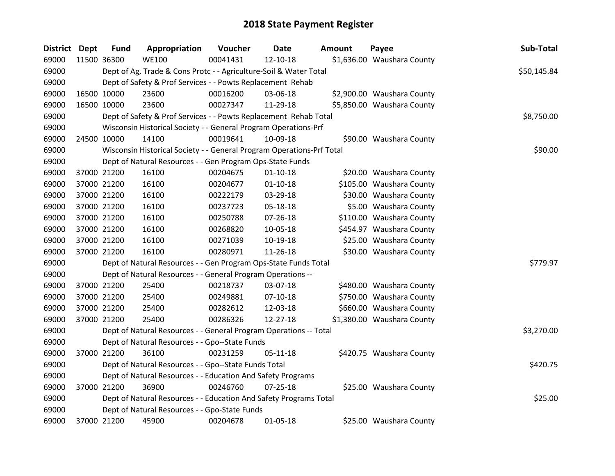| District Dept |             | <b>Fund</b> | Appropriation                                                         | Voucher  | <b>Date</b>    | <b>Amount</b> | Payee                      | Sub-Total   |
|---------------|-------------|-------------|-----------------------------------------------------------------------|----------|----------------|---------------|----------------------------|-------------|
| 69000         | 11500 36300 |             | <b>WE100</b>                                                          | 00041431 | 12-10-18       |               | \$1,636.00 Waushara County |             |
| 69000         |             |             | Dept of Ag, Trade & Cons Protc - - Agriculture-Soil & Water Total     |          |                |               |                            | \$50,145.84 |
| 69000         |             |             | Dept of Safety & Prof Services - - Powts Replacement Rehab            |          |                |               |                            |             |
| 69000         | 16500 10000 |             | 23600                                                                 | 00016200 | 03-06-18       |               | \$2,900.00 Waushara County |             |
| 69000         | 16500 10000 |             | 23600                                                                 | 00027347 | 11-29-18       |               | \$5,850.00 Waushara County |             |
| 69000         |             |             | Dept of Safety & Prof Services - - Powts Replacement Rehab Total      |          |                |               |                            | \$8,750.00  |
| 69000         |             |             | Wisconsin Historical Society - - General Program Operations-Prf       |          |                |               |                            |             |
| 69000         | 24500 10000 |             | 14100                                                                 | 00019641 | 10-09-18       |               | \$90.00 Waushara County    |             |
| 69000         |             |             | Wisconsin Historical Society - - General Program Operations-Prf Total |          |                |               |                            | \$90.00     |
| 69000         |             |             | Dept of Natural Resources - - Gen Program Ops-State Funds             |          |                |               |                            |             |
| 69000         |             | 37000 21200 | 16100                                                                 | 00204675 | $01 - 10 - 18$ |               | \$20.00 Waushara County    |             |
| 69000         |             | 37000 21200 | 16100                                                                 | 00204677 | $01 - 10 - 18$ |               | \$105.00 Waushara County   |             |
| 69000         |             | 37000 21200 | 16100                                                                 | 00222179 | 03-29-18       |               | \$30.00 Waushara County    |             |
| 69000         |             | 37000 21200 | 16100                                                                 | 00237723 | 05-18-18       |               | \$5.00 Waushara County     |             |
| 69000         |             | 37000 21200 | 16100                                                                 | 00250788 | 07-26-18       |               | \$110.00 Waushara County   |             |
| 69000         |             | 37000 21200 | 16100                                                                 | 00268820 | 10-05-18       |               | \$454.97 Waushara County   |             |
| 69000         |             | 37000 21200 | 16100                                                                 | 00271039 | 10-19-18       |               | \$25.00 Waushara County    |             |
| 69000         | 37000 21200 |             | 16100                                                                 | 00280971 | 11-26-18       |               | \$30.00 Waushara County    |             |
| 69000         |             |             | Dept of Natural Resources - - Gen Program Ops-State Funds Total       |          |                |               |                            | \$779.97    |
| 69000         |             |             | Dept of Natural Resources - - General Program Operations --           |          |                |               |                            |             |
| 69000         |             | 37000 21200 | 25400                                                                 | 00218737 | 03-07-18       |               | \$480.00 Waushara County   |             |
| 69000         |             | 37000 21200 | 25400                                                                 | 00249881 | 07-10-18       |               | \$750.00 Waushara County   |             |
| 69000         |             | 37000 21200 | 25400                                                                 | 00282612 | 12-03-18       |               | \$660.00 Waushara County   |             |
| 69000         | 37000 21200 |             | 25400                                                                 | 00286326 | 12-27-18       |               | \$1,380.00 Waushara County |             |
| 69000         |             |             | Dept of Natural Resources - - General Program Operations -- Total     |          |                |               |                            | \$3,270.00  |
| 69000         |             |             | Dept of Natural Resources - - Gpo--State Funds                        |          |                |               |                            |             |
| 69000         |             | 37000 21200 | 36100                                                                 | 00231259 | $05 - 11 - 18$ |               | \$420.75 Waushara County   |             |
| 69000         |             |             | Dept of Natural Resources - - Gpo--State Funds Total                  |          |                |               |                            | \$420.75    |
| 69000         |             |             | Dept of Natural Resources - - Education And Safety Programs           |          |                |               |                            |             |
| 69000         | 37000 21200 |             | 36900                                                                 | 00246760 | $07 - 25 - 18$ |               | \$25.00 Waushara County    |             |
| 69000         |             |             | Dept of Natural Resources - - Education And Safety Programs Total     |          |                |               |                            | \$25.00     |
| 69000         |             |             | Dept of Natural Resources - - Gpo-State Funds                         |          |                |               |                            |             |
| 69000         |             | 37000 21200 | 45900                                                                 | 00204678 | $01 - 05 - 18$ |               | \$25.00 Waushara County    |             |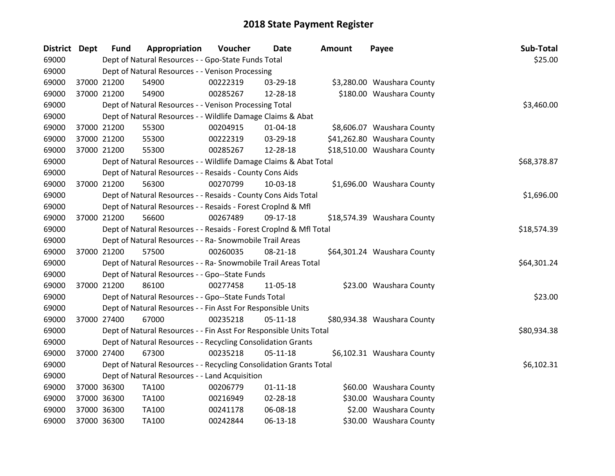| District Dept |             | <b>Fund</b> | Appropriation                                                      | Voucher  | <b>Date</b>    | <b>Amount</b> | Payee                       | Sub-Total   |
|---------------|-------------|-------------|--------------------------------------------------------------------|----------|----------------|---------------|-----------------------------|-------------|
| 69000         |             |             | Dept of Natural Resources - - Gpo-State Funds Total                |          |                |               |                             | \$25.00     |
| 69000         |             |             | Dept of Natural Resources - - Venison Processing                   |          |                |               |                             |             |
| 69000         |             | 37000 21200 | 54900                                                              | 00222319 | 03-29-18       |               | \$3,280.00 Waushara County  |             |
| 69000         |             | 37000 21200 | 54900                                                              | 00285267 | 12-28-18       |               | \$180.00 Waushara County    |             |
| 69000         |             |             | Dept of Natural Resources - - Venison Processing Total             |          |                |               |                             | \$3,460.00  |
| 69000         |             |             | Dept of Natural Resources - - Wildlife Damage Claims & Abat        |          |                |               |                             |             |
| 69000         |             | 37000 21200 | 55300                                                              | 00204915 | $01 - 04 - 18$ |               | \$8,606.07 Waushara County  |             |
| 69000         |             | 37000 21200 | 55300                                                              | 00222319 | 03-29-18       |               | \$41,262.80 Waushara County |             |
| 69000         | 37000 21200 |             | 55300                                                              | 00285267 | 12-28-18       |               | \$18,510.00 Waushara County |             |
| 69000         |             |             | Dept of Natural Resources - - Wildlife Damage Claims & Abat Total  |          |                |               |                             | \$68,378.87 |
| 69000         |             |             | Dept of Natural Resources - - Resaids - County Cons Aids           |          |                |               |                             |             |
| 69000         |             | 37000 21200 | 56300                                                              | 00270799 | $10-03-18$     |               | \$1,696.00 Waushara County  |             |
| 69000         |             |             | Dept of Natural Resources - - Resaids - County Cons Aids Total     |          |                |               |                             | \$1,696.00  |
| 69000         |             |             | Dept of Natural Resources - - Resaids - Forest CropInd & Mfl       |          |                |               |                             |             |
| 69000         |             | 37000 21200 | 56600                                                              | 00267489 | 09-17-18       |               | \$18,574.39 Waushara County |             |
| 69000         |             |             | Dept of Natural Resources - - Resaids - Forest CropInd & Mfl Total |          |                |               |                             | \$18,574.39 |
| 69000         |             |             | Dept of Natural Resources - - Ra- Snowmobile Trail Areas           |          |                |               |                             |             |
| 69000         |             | 37000 21200 | 57500                                                              | 00260035 | $08 - 21 - 18$ |               | \$64,301.24 Waushara County |             |
| 69000         |             |             | Dept of Natural Resources - - Ra- Snowmobile Trail Areas Total     |          |                |               |                             | \$64,301.24 |
| 69000         |             |             | Dept of Natural Resources - - Gpo--State Funds                     |          |                |               |                             |             |
| 69000         |             | 37000 21200 | 86100                                                              | 00277458 | 11-05-18       |               | \$23.00 Waushara County     |             |
| 69000         |             |             | Dept of Natural Resources - - Gpo--State Funds Total               |          |                |               |                             | \$23.00     |
| 69000         |             |             | Dept of Natural Resources - - Fin Asst For Responsible Units       |          |                |               |                             |             |
| 69000         |             | 37000 27400 | 67000                                                              | 00235218 | $05-11-18$     |               | \$80,934.38 Waushara County |             |
| 69000         |             |             | Dept of Natural Resources - - Fin Asst For Responsible Units Total |          |                |               |                             | \$80,934.38 |
| 69000         |             |             | Dept of Natural Resources - - Recycling Consolidation Grants       |          |                |               |                             |             |
| 69000         |             | 37000 27400 | 67300                                                              | 00235218 | $05-11-18$     |               | \$6,102.31 Waushara County  |             |
| 69000         |             |             | Dept of Natural Resources - - Recycling Consolidation Grants Total |          |                |               |                             | \$6,102.31  |
| 69000         |             |             | Dept of Natural Resources - - Land Acquisition                     |          |                |               |                             |             |
| 69000         | 37000 36300 |             | TA100                                                              | 00206779 | $01 - 11 - 18$ |               | \$60.00 Waushara County     |             |
| 69000         |             | 37000 36300 | TA100                                                              | 00216949 | 02-28-18       |               | \$30.00 Waushara County     |             |
| 69000         | 37000 36300 |             | TA100                                                              | 00241178 | 06-08-18       |               | \$2.00 Waushara County      |             |
| 69000         | 37000 36300 |             | <b>TA100</b>                                                       | 00242844 | 06-13-18       |               | \$30.00 Waushara County     |             |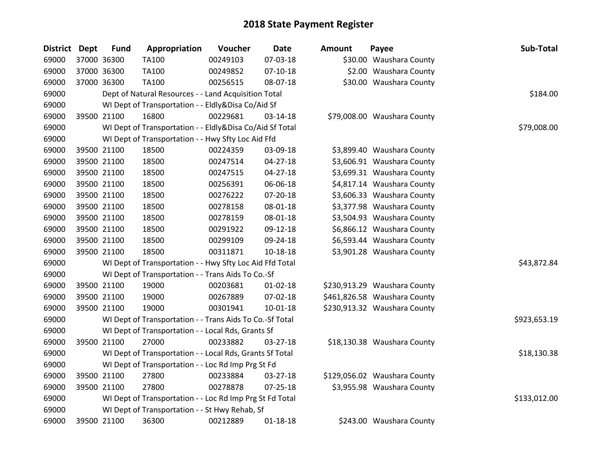| District Dept | <b>Fund</b> | Appropriation                                            | Voucher  | <b>Date</b>    | <b>Amount</b> | Payee                        | Sub-Total    |
|---------------|-------------|----------------------------------------------------------|----------|----------------|---------------|------------------------------|--------------|
| 69000         | 37000 36300 | TA100                                                    | 00249103 | 07-03-18       |               | \$30.00 Waushara County      |              |
| 69000         | 37000 36300 | TA100                                                    | 00249852 | $07-10-18$     |               | \$2.00 Waushara County       |              |
| 69000         | 37000 36300 | TA100                                                    | 00256515 | 08-07-18       |               | \$30.00 Waushara County      |              |
| 69000         |             | Dept of Natural Resources - - Land Acquisition Total     |          |                |               |                              | \$184.00     |
| 69000         |             | WI Dept of Transportation - - Eldly&Disa Co/Aid Sf       |          |                |               |                              |              |
| 69000         | 39500 21100 | 16800                                                    | 00229681 | $03 - 14 - 18$ |               | \$79,008.00 Waushara County  |              |
| 69000         |             | WI Dept of Transportation - - Eldly&Disa Co/Aid Sf Total |          |                |               |                              | \$79,008.00  |
| 69000         |             | WI Dept of Transportation - - Hwy Sfty Loc Aid Ffd       |          |                |               |                              |              |
| 69000         | 39500 21100 | 18500                                                    | 00224359 | 03-09-18       |               | \$3,899.40 Waushara County   |              |
| 69000         | 39500 21100 | 18500                                                    | 00247514 | 04-27-18       |               | \$3,606.91 Waushara County   |              |
| 69000         | 39500 21100 | 18500                                                    | 00247515 | $04 - 27 - 18$ |               | \$3,699.31 Waushara County   |              |
| 69000         | 39500 21100 | 18500                                                    | 00256391 | 06-06-18       |               | \$4,817.14 Waushara County   |              |
| 69000         | 39500 21100 | 18500                                                    | 00276222 | 07-20-18       |               | \$3,606.33 Waushara County   |              |
| 69000         | 39500 21100 | 18500                                                    | 00278158 | 08-01-18       |               | \$3,377.98 Waushara County   |              |
| 69000         | 39500 21100 | 18500                                                    | 00278159 | 08-01-18       |               | \$3,504.93 Waushara County   |              |
| 69000         | 39500 21100 | 18500                                                    | 00291922 | 09-12-18       |               | \$6,866.12 Waushara County   |              |
| 69000         | 39500 21100 | 18500                                                    | 00299109 | 09-24-18       |               | \$6,593.44 Waushara County   |              |
| 69000         | 39500 21100 | 18500                                                    | 00311871 | 10-18-18       |               | \$3,901.28 Waushara County   |              |
| 69000         |             | WI Dept of Transportation - - Hwy Sfty Loc Aid Ffd Total |          |                |               |                              | \$43,872.84  |
| 69000         |             | WI Dept of Transportation - - Trans Aids To Co.-Sf       |          |                |               |                              |              |
| 69000         | 39500 21100 | 19000                                                    | 00203681 | $01 - 02 - 18$ |               | \$230,913.29 Waushara County |              |
| 69000         | 39500 21100 | 19000                                                    | 00267889 | 07-02-18       |               | \$461,826.58 Waushara County |              |
| 69000         | 39500 21100 | 19000                                                    | 00301941 | $10-01-18$     |               | \$230,913.32 Waushara County |              |
| 69000         |             | WI Dept of Transportation - - Trans Aids To Co.-Sf Total |          |                |               |                              | \$923,653.19 |
| 69000         |             | WI Dept of Transportation - - Local Rds, Grants Sf       |          |                |               |                              |              |
| 69000         | 39500 21100 | 27000                                                    | 00233882 | 03-27-18       |               | \$18,130.38 Waushara County  |              |
| 69000         |             | WI Dept of Transportation - - Local Rds, Grants Sf Total |          |                |               |                              | \$18,130.38  |
| 69000         |             | WI Dept of Transportation - - Loc Rd Imp Prg St Fd       |          |                |               |                              |              |
| 69000         | 39500 21100 | 27800                                                    | 00233884 | 03-27-18       |               | \$129,056.02 Waushara County |              |
| 69000         | 39500 21100 | 27800                                                    | 00278878 | 07-25-18       |               | \$3,955.98 Waushara County   |              |
| 69000         |             | WI Dept of Transportation - - Loc Rd Imp Prg St Fd Total |          |                |               |                              | \$133,012.00 |
| 69000         |             | WI Dept of Transportation - - St Hwy Rehab, Sf           |          |                |               |                              |              |
| 69000         | 39500 21100 | 36300                                                    | 00212889 | $01 - 18 - 18$ |               | \$243.00 Waushara County     |              |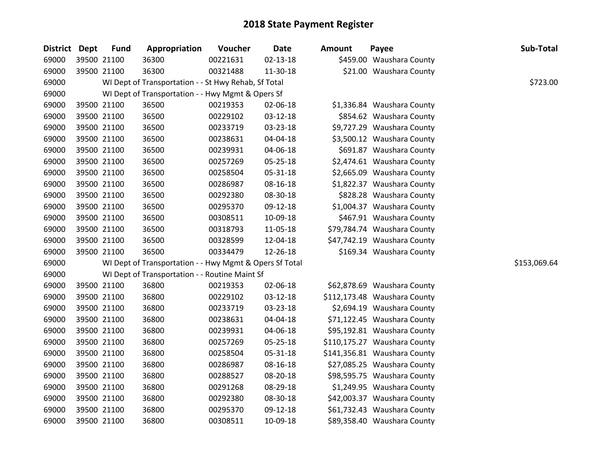| District Dept | <b>Fund</b> | Appropriation                                           | Voucher  | <b>Date</b>    | <b>Amount</b> | Payee                        | Sub-Total    |
|---------------|-------------|---------------------------------------------------------|----------|----------------|---------------|------------------------------|--------------|
| 69000         | 39500 21100 | 36300                                                   | 00221631 | $02 - 13 - 18$ |               | \$459.00 Waushara County     |              |
| 69000         | 39500 21100 | 36300                                                   | 00321488 | 11-30-18       |               | \$21.00 Waushara County      |              |
| 69000         |             | WI Dept of Transportation - - St Hwy Rehab, Sf Total    |          |                |               |                              | \$723.00     |
| 69000         |             | WI Dept of Transportation - - Hwy Mgmt & Opers Sf       |          |                |               |                              |              |
| 69000         | 39500 21100 | 36500                                                   | 00219353 | 02-06-18       |               | \$1,336.84 Waushara County   |              |
| 69000         | 39500 21100 | 36500                                                   | 00229102 | 03-12-18       |               | \$854.62 Waushara County     |              |
| 69000         | 39500 21100 | 36500                                                   | 00233719 | 03-23-18       |               | \$9,727.29 Waushara County   |              |
| 69000         | 39500 21100 | 36500                                                   | 00238631 | 04-04-18       |               | \$3,500.12 Waushara County   |              |
| 69000         | 39500 21100 | 36500                                                   | 00239931 | 04-06-18       |               | \$691.87 Waushara County     |              |
| 69000         | 39500 21100 | 36500                                                   | 00257269 | 05-25-18       |               | \$2,474.61 Waushara County   |              |
| 69000         | 39500 21100 | 36500                                                   | 00258504 | 05-31-18       |               | \$2,665.09 Waushara County   |              |
| 69000         | 39500 21100 | 36500                                                   | 00286987 | 08-16-18       |               | \$1,822.37 Waushara County   |              |
| 69000         | 39500 21100 | 36500                                                   | 00292380 | 08-30-18       |               | \$828.28 Waushara County     |              |
| 69000         | 39500 21100 | 36500                                                   | 00295370 | 09-12-18       |               | \$1,004.37 Waushara County   |              |
| 69000         | 39500 21100 | 36500                                                   | 00308511 | 10-09-18       |               | \$467.91 Waushara County     |              |
| 69000         | 39500 21100 | 36500                                                   | 00318793 | 11-05-18       |               | \$79,784.74 Waushara County  |              |
| 69000         | 39500 21100 | 36500                                                   | 00328599 | 12-04-18       |               | \$47,742.19 Waushara County  |              |
| 69000         | 39500 21100 | 36500                                                   | 00334479 | 12-26-18       |               | \$169.34 Waushara County     |              |
| 69000         |             | WI Dept of Transportation - - Hwy Mgmt & Opers Sf Total |          |                |               |                              | \$153,069.64 |
| 69000         |             | WI Dept of Transportation - - Routine Maint Sf          |          |                |               |                              |              |
| 69000         | 39500 21100 | 36800                                                   | 00219353 | 02-06-18       |               | \$62,878.69 Waushara County  |              |
| 69000         | 39500 21100 | 36800                                                   | 00229102 | 03-12-18       |               | \$112,173.48 Waushara County |              |
| 69000         | 39500 21100 | 36800                                                   | 00233719 | 03-23-18       |               | \$2,694.19 Waushara County   |              |
| 69000         | 39500 21100 | 36800                                                   | 00238631 | 04-04-18       |               | \$71,122.45 Waushara County  |              |
| 69000         | 39500 21100 | 36800                                                   | 00239931 | 04-06-18       |               | \$95,192.81 Waushara County  |              |
| 69000         | 39500 21100 | 36800                                                   | 00257269 | 05-25-18       |               | \$110,175.27 Waushara County |              |
| 69000         | 39500 21100 | 36800                                                   | 00258504 | 05-31-18       |               | \$141,356.81 Waushara County |              |
| 69000         | 39500 21100 | 36800                                                   | 00286987 | 08-16-18       |               | \$27,085.25 Waushara County  |              |
| 69000         | 39500 21100 | 36800                                                   | 00288527 | 08-20-18       |               | \$98,595.75 Waushara County  |              |
| 69000         | 39500 21100 | 36800                                                   | 00291268 | 08-29-18       |               | \$1,249.95 Waushara County   |              |
| 69000         | 39500 21100 | 36800                                                   | 00292380 | 08-30-18       |               | \$42,003.37 Waushara County  |              |
| 69000         | 39500 21100 | 36800                                                   | 00295370 | 09-12-18       |               | \$61,732.43 Waushara County  |              |
| 69000         | 39500 21100 | 36800                                                   | 00308511 | 10-09-18       |               | \$89,358.40 Waushara County  |              |
|               |             |                                                         |          |                |               |                              |              |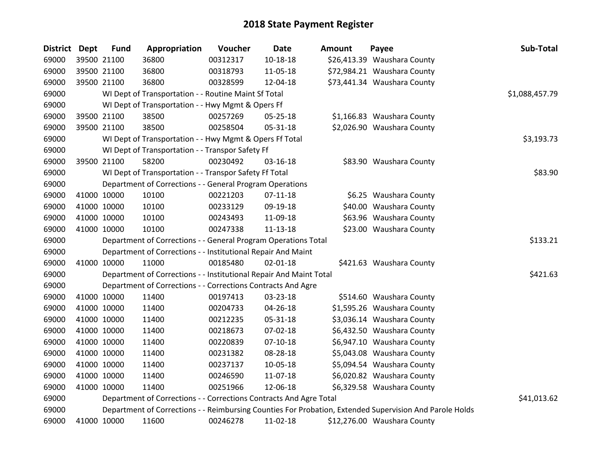| District Dept | <b>Fund</b> | Appropriation                                                      | Voucher  | <b>Date</b>    | Amount | Payee                                                                                                   | Sub-Total      |
|---------------|-------------|--------------------------------------------------------------------|----------|----------------|--------|---------------------------------------------------------------------------------------------------------|----------------|
| 69000         | 39500 21100 | 36800                                                              | 00312317 | $10 - 18 - 18$ |        | \$26,413.39 Waushara County                                                                             |                |
| 69000         | 39500 21100 | 36800                                                              | 00318793 | 11-05-18       |        | \$72,984.21 Waushara County                                                                             |                |
| 69000         | 39500 21100 | 36800                                                              | 00328599 | 12-04-18       |        | \$73,441.34 Waushara County                                                                             |                |
| 69000         |             | WI Dept of Transportation - - Routine Maint Sf Total               |          |                |        |                                                                                                         | \$1,088,457.79 |
| 69000         |             | WI Dept of Transportation - - Hwy Mgmt & Opers Ff                  |          |                |        |                                                                                                         |                |
| 69000         | 39500 21100 | 38500                                                              | 00257269 | 05-25-18       |        | \$1,166.83 Waushara County                                                                              |                |
| 69000         | 39500 21100 | 38500                                                              | 00258504 | 05-31-18       |        | \$2,026.90 Waushara County                                                                              |                |
| 69000         |             | WI Dept of Transportation - - Hwy Mgmt & Opers Ff Total            |          |                |        |                                                                                                         | \$3,193.73     |
| 69000         |             | WI Dept of Transportation - - Transpor Safety Ff                   |          |                |        |                                                                                                         |                |
| 69000         | 39500 21100 | 58200                                                              | 00230492 | $03 - 16 - 18$ |        | \$83.90 Waushara County                                                                                 |                |
| 69000         |             | WI Dept of Transportation - - Transpor Safety Ff Total             |          |                |        |                                                                                                         | \$83.90        |
| 69000         |             | Department of Corrections - - General Program Operations           |          |                |        |                                                                                                         |                |
| 69000         | 41000 10000 | 10100                                                              | 00221203 | $07-11-18$     |        | \$6.25 Waushara County                                                                                  |                |
| 69000         | 41000 10000 | 10100                                                              | 00233129 | 09-19-18       |        | \$40.00 Waushara County                                                                                 |                |
| 69000         | 41000 10000 | 10100                                                              | 00243493 | 11-09-18       |        | \$63.96 Waushara County                                                                                 |                |
| 69000         | 41000 10000 | 10100                                                              | 00247338 | $11 - 13 - 18$ |        | \$23.00 Waushara County                                                                                 |                |
| 69000         |             | Department of Corrections - - General Program Operations Total     |          |                |        |                                                                                                         | \$133.21       |
| 69000         |             | Department of Corrections - - Institutional Repair And Maint       |          |                |        |                                                                                                         |                |
| 69000         | 41000 10000 | 11000                                                              | 00185480 | $02 - 01 - 18$ |        | \$421.63 Waushara County                                                                                |                |
| 69000         |             | Department of Corrections - - Institutional Repair And Maint Total |          |                |        |                                                                                                         | \$421.63       |
| 69000         |             | Department of Corrections - - Corrections Contracts And Agre       |          |                |        |                                                                                                         |                |
| 69000         | 41000 10000 | 11400                                                              | 00197413 | 03-23-18       |        | \$514.60 Waushara County                                                                                |                |
| 69000         | 41000 10000 | 11400                                                              | 00204733 | 04-26-18       |        | \$1,595.26 Waushara County                                                                              |                |
| 69000         | 41000 10000 | 11400                                                              | 00212235 | 05-31-18       |        | \$3,036.14 Waushara County                                                                              |                |
| 69000         | 41000 10000 | 11400                                                              | 00218673 | 07-02-18       |        | \$6,432.50 Waushara County                                                                              |                |
| 69000         | 41000 10000 | 11400                                                              | 00220839 | $07-10-18$     |        | \$6,947.10 Waushara County                                                                              |                |
| 69000         | 41000 10000 | 11400                                                              | 00231382 | 08-28-18       |        | \$5,043.08 Waushara County                                                                              |                |
| 69000         | 41000 10000 | 11400                                                              | 00237137 | 10-05-18       |        | \$5,094.54 Waushara County                                                                              |                |
| 69000         | 41000 10000 | 11400                                                              | 00246590 | 11-07-18       |        | \$6,020.82 Waushara County                                                                              |                |
| 69000         | 41000 10000 | 11400                                                              | 00251966 | 12-06-18       |        | \$6,329.58 Waushara County                                                                              |                |
| 69000         |             | Department of Corrections - - Corrections Contracts And Agre Total |          |                |        |                                                                                                         | \$41,013.62    |
| 69000         |             |                                                                    |          |                |        | Department of Corrections - - Reimbursing Counties For Probation, Extended Supervision And Parole Holds |                |
| 69000         | 41000 10000 | 11600                                                              | 00246278 | 11-02-18       |        | \$12,276.00 Waushara County                                                                             |                |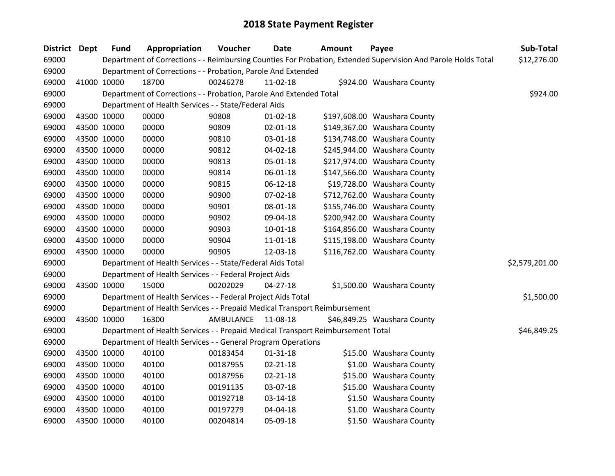| District Dept | <b>Fund</b> | Appropriation                                                                   | Voucher   | <b>Date</b>    | Amount | Payee                                                                                                         | Sub-Total      |
|---------------|-------------|---------------------------------------------------------------------------------|-----------|----------------|--------|---------------------------------------------------------------------------------------------------------------|----------------|
| 69000         |             |                                                                                 |           |                |        | Department of Corrections - - Reimbursing Counties For Probation, Extended Supervision And Parole Holds Total | \$12,276.00    |
| 69000         |             | Department of Corrections - - Probation, Parole And Extended                    |           |                |        |                                                                                                               |                |
| 69000         | 41000 10000 | 18700                                                                           | 00246278  | $11-02-18$     |        | \$924.00 Waushara County                                                                                      |                |
| 69000         |             | Department of Corrections - - Probation, Parole And Extended Total              |           |                |        |                                                                                                               | \$924.00       |
| 69000         |             | Department of Health Services - - State/Federal Aids                            |           |                |        |                                                                                                               |                |
| 69000         | 43500 10000 | 00000                                                                           | 90808     | $01 - 02 - 18$ |        | \$197,608.00 Waushara County                                                                                  |                |
| 69000         | 43500 10000 | 00000                                                                           | 90809     | 02-01-18       |        | \$149,367.00 Waushara County                                                                                  |                |
| 69000         | 43500 10000 | 00000                                                                           | 90810     | 03-01-18       |        | \$134,748.00 Waushara County                                                                                  |                |
| 69000         | 43500 10000 | 00000                                                                           | 90812     | 04-02-18       |        | \$245,944.00 Waushara County                                                                                  |                |
| 69000         | 43500 10000 | 00000                                                                           | 90813     | 05-01-18       |        | \$217,974.00 Waushara County                                                                                  |                |
| 69000         | 43500 10000 | 00000                                                                           | 90814     | 06-01-18       |        | \$147,566.00 Waushara County                                                                                  |                |
| 69000         | 43500 10000 | 00000                                                                           | 90815     | $06-12-18$     |        | \$19,728.00 Waushara County                                                                                   |                |
| 69000         | 43500 10000 | 00000                                                                           | 90900     | 07-02-18       |        | \$712,762.00 Waushara County                                                                                  |                |
| 69000         | 43500 10000 | 00000                                                                           | 90901     | 08-01-18       |        | \$155,746.00 Waushara County                                                                                  |                |
| 69000         | 43500 10000 | 00000                                                                           | 90902     | 09-04-18       |        | \$200,942.00 Waushara County                                                                                  |                |
| 69000         | 43500 10000 | 00000                                                                           | 90903     | 10-01-18       |        | \$164,856.00 Waushara County                                                                                  |                |
| 69000         | 43500 10000 | 00000                                                                           | 90904     | 11-01-18       |        | \$115,198.00 Waushara County                                                                                  |                |
| 69000         | 43500 10000 | 00000                                                                           | 90905     | 12-03-18       |        | \$116,762.00 Waushara County                                                                                  |                |
| 69000         |             | Department of Health Services - - State/Federal Aids Total                      |           |                |        |                                                                                                               | \$2,579,201.00 |
| 69000         |             | Department of Health Services - - Federal Project Aids                          |           |                |        |                                                                                                               |                |
| 69000         | 43500 10000 | 15000                                                                           | 00202029  | $04 - 27 - 18$ |        | \$1,500.00 Waushara County                                                                                    |                |
| 69000         |             | Department of Health Services - - Federal Project Aids Total                    |           |                |        |                                                                                                               | \$1,500.00     |
| 69000         |             | Department of Health Services - - Prepaid Medical Transport Reimbursement       |           |                |        |                                                                                                               |                |
| 69000         | 43500 10000 | 16300                                                                           | AMBULANCE | 11-08-18       |        | \$46,849.25 Waushara County                                                                                   |                |
| 69000         |             | Department of Health Services - - Prepaid Medical Transport Reimbursement Total |           |                |        |                                                                                                               | \$46,849.25    |
| 69000         |             | Department of Health Services - - General Program Operations                    |           |                |        |                                                                                                               |                |
| 69000         | 43500 10000 | 40100                                                                           | 00183454  | $01 - 31 - 18$ |        | \$15.00 Waushara County                                                                                       |                |
| 69000         | 43500 10000 | 40100                                                                           | 00187955  | $02 - 21 - 18$ |        | \$1.00 Waushara County                                                                                        |                |
| 69000         | 43500 10000 | 40100                                                                           | 00187956  | $02 - 21 - 18$ |        | \$15.00 Waushara County                                                                                       |                |
| 69000         | 43500 10000 | 40100                                                                           | 00191135  | 03-07-18       |        | \$15.00 Waushara County                                                                                       |                |
| 69000         | 43500 10000 | 40100                                                                           | 00192718  | 03-14-18       |        | \$1.50 Waushara County                                                                                        |                |
| 69000         | 43500 10000 | 40100                                                                           | 00197279  | 04-04-18       |        | \$1.00 Waushara County                                                                                        |                |
| 69000         | 43500 10000 | 40100                                                                           | 00204814  | 05-09-18       |        | \$1.50 Waushara County                                                                                        |                |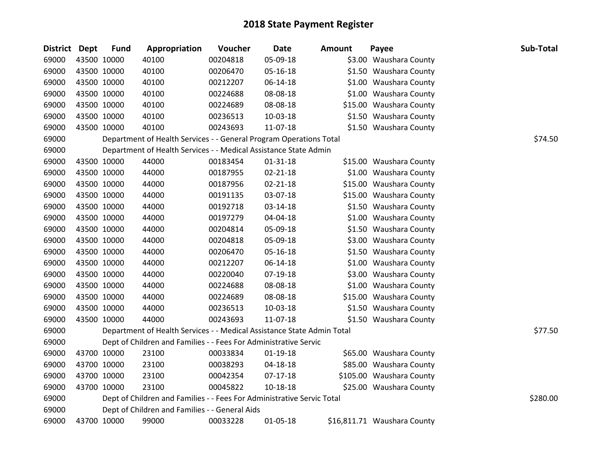| District Dept |             | <b>Fund</b> | Appropriation                                                          | Voucher  | <b>Date</b>    | <b>Amount</b> | Payee                       | Sub-Total |
|---------------|-------------|-------------|------------------------------------------------------------------------|----------|----------------|---------------|-----------------------------|-----------|
| 69000         |             | 43500 10000 | 40100                                                                  | 00204818 | 05-09-18       |               | \$3.00 Waushara County      |           |
| 69000         |             | 43500 10000 | 40100                                                                  | 00206470 | 05-16-18       |               | \$1.50 Waushara County      |           |
| 69000         | 43500 10000 |             | 40100                                                                  | 00212207 | 06-14-18       |               | \$1.00 Waushara County      |           |
| 69000         |             | 43500 10000 | 40100                                                                  | 00224688 | 08-08-18       |               | \$1.00 Waushara County      |           |
| 69000         |             | 43500 10000 | 40100                                                                  | 00224689 | 08-08-18       |               | \$15.00 Waushara County     |           |
| 69000         |             | 43500 10000 | 40100                                                                  | 00236513 | 10-03-18       |               | \$1.50 Waushara County      |           |
| 69000         |             | 43500 10000 | 40100                                                                  | 00243693 | 11-07-18       |               | \$1.50 Waushara County      |           |
| 69000         |             |             | Department of Health Services - - General Program Operations Total     |          |                |               |                             | \$74.50   |
| 69000         |             |             | Department of Health Services - - Medical Assistance State Admin       |          |                |               |                             |           |
| 69000         |             | 43500 10000 | 44000                                                                  | 00183454 | $01 - 31 - 18$ |               | \$15.00 Waushara County     |           |
| 69000         |             | 43500 10000 | 44000                                                                  | 00187955 | 02-21-18       |               | \$1.00 Waushara County      |           |
| 69000         |             | 43500 10000 | 44000                                                                  | 00187956 | 02-21-18       |               | \$15.00 Waushara County     |           |
| 69000         |             | 43500 10000 | 44000                                                                  | 00191135 | 03-07-18       |               | \$15.00 Waushara County     |           |
| 69000         |             | 43500 10000 | 44000                                                                  | 00192718 | 03-14-18       |               | \$1.50 Waushara County      |           |
| 69000         |             | 43500 10000 | 44000                                                                  | 00197279 | 04-04-18       |               | \$1.00 Waushara County      |           |
| 69000         |             | 43500 10000 | 44000                                                                  | 00204814 | 05-09-18       |               | \$1.50 Waushara County      |           |
| 69000         |             | 43500 10000 | 44000                                                                  | 00204818 | 05-09-18       |               | \$3.00 Waushara County      |           |
| 69000         |             | 43500 10000 | 44000                                                                  | 00206470 | 05-16-18       |               | \$1.50 Waushara County      |           |
| 69000         |             | 43500 10000 | 44000                                                                  | 00212207 | 06-14-18       |               | \$1.00 Waushara County      |           |
| 69000         |             | 43500 10000 | 44000                                                                  | 00220040 | 07-19-18       |               | \$3.00 Waushara County      |           |
| 69000         |             | 43500 10000 | 44000                                                                  | 00224688 | 08-08-18       |               | \$1.00 Waushara County      |           |
| 69000         |             | 43500 10000 | 44000                                                                  | 00224689 | 08-08-18       |               | \$15.00 Waushara County     |           |
| 69000         | 43500 10000 |             | 44000                                                                  | 00236513 | 10-03-18       |               | \$1.50 Waushara County      |           |
| 69000         |             | 43500 10000 | 44000                                                                  | 00243693 | 11-07-18       |               | \$1.50 Waushara County      |           |
| 69000         |             |             | Department of Health Services - - Medical Assistance State Admin Total |          |                |               |                             | \$77.50   |
| 69000         |             |             | Dept of Children and Families - - Fees For Administrative Servic       |          |                |               |                             |           |
| 69000         |             | 43700 10000 | 23100                                                                  | 00033834 | $01-19-18$     |               | \$65.00 Waushara County     |           |
| 69000         |             | 43700 10000 | 23100                                                                  | 00038293 | 04-18-18       |               | \$85.00 Waushara County     |           |
| 69000         |             | 43700 10000 | 23100                                                                  | 00042354 | $07-17-18$     |               | \$105.00 Waushara County    |           |
| 69000         |             | 43700 10000 | 23100                                                                  | 00045822 | 10-18-18       |               | \$25.00 Waushara County     |           |
| 69000         |             |             | Dept of Children and Families - - Fees For Administrative Servic Total |          |                |               |                             | \$280.00  |
| 69000         |             |             | Dept of Children and Families - - General Aids                         |          |                |               |                             |           |
| 69000         |             | 43700 10000 | 99000                                                                  | 00033228 | $01 - 05 - 18$ |               | \$16,811.71 Waushara County |           |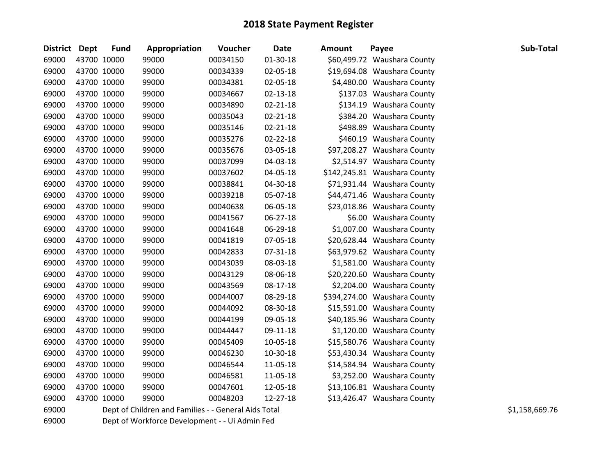| District Dept |             | <b>Fund</b> | Appropriation                                        | Voucher  | <b>Date</b>    | <b>Amount</b> | Payee                        | Sub-Total      |
|---------------|-------------|-------------|------------------------------------------------------|----------|----------------|---------------|------------------------------|----------------|
| 69000         | 43700 10000 |             | 99000                                                | 00034150 | 01-30-18       |               | \$60,499.72 Waushara County  |                |
| 69000         |             | 43700 10000 | 99000                                                | 00034339 | 02-05-18       |               | \$19,694.08 Waushara County  |                |
| 69000         |             | 43700 10000 | 99000                                                | 00034381 | 02-05-18       |               | \$4,480.00 Waushara County   |                |
| 69000         | 43700 10000 |             | 99000                                                | 00034667 | 02-13-18       |               | \$137.03 Waushara County     |                |
| 69000         |             | 43700 10000 | 99000                                                | 00034890 | $02 - 21 - 18$ |               | \$134.19 Waushara County     |                |
| 69000         |             | 43700 10000 | 99000                                                | 00035043 | $02 - 21 - 18$ |               | \$384.20 Waushara County     |                |
| 69000         |             | 43700 10000 | 99000                                                | 00035146 | 02-21-18       |               | \$498.89 Waushara County     |                |
| 69000         |             | 43700 10000 | 99000                                                | 00035276 | $02 - 22 - 18$ |               | \$460.19 Waushara County     |                |
| 69000         |             | 43700 10000 | 99000                                                | 00035676 | 03-05-18       |               | \$97,208.27 Waushara County  |                |
| 69000         |             | 43700 10000 | 99000                                                | 00037099 | 04-03-18       |               | \$2,514.97 Waushara County   |                |
| 69000         | 43700 10000 |             | 99000                                                | 00037602 | 04-05-18       |               | \$142,245.81 Waushara County |                |
| 69000         |             | 43700 10000 | 99000                                                | 00038841 | 04-30-18       |               | \$71,931.44 Waushara County  |                |
| 69000         |             | 43700 10000 | 99000                                                | 00039218 | 05-07-18       |               | \$44,471.46 Waushara County  |                |
| 69000         |             | 43700 10000 | 99000                                                | 00040638 | 06-05-18       |               | \$23,018.86 Waushara County  |                |
| 69000         |             | 43700 10000 | 99000                                                | 00041567 | 06-27-18       |               | \$6.00 Waushara County       |                |
| 69000         |             | 43700 10000 | 99000                                                | 00041648 | 06-29-18       |               | \$1,007.00 Waushara County   |                |
| 69000         |             | 43700 10000 | 99000                                                | 00041819 | 07-05-18       |               | \$20,628.44 Waushara County  |                |
| 69000         |             | 43700 10000 | 99000                                                | 00042833 | 07-31-18       |               | \$63,979.62 Waushara County  |                |
| 69000         | 43700 10000 |             | 99000                                                | 00043039 | 08-03-18       |               | \$1,581.00 Waushara County   |                |
| 69000         |             | 43700 10000 | 99000                                                | 00043129 | 08-06-18       |               | \$20,220.60 Waushara County  |                |
| 69000         |             | 43700 10000 | 99000                                                | 00043569 | 08-17-18       |               | \$2,204.00 Waushara County   |                |
| 69000         |             | 43700 10000 | 99000                                                | 00044007 | 08-29-18       |               | \$394,274.00 Waushara County |                |
| 69000         |             | 43700 10000 | 99000                                                | 00044092 | 08-30-18       |               | \$15,591.00 Waushara County  |                |
| 69000         |             | 43700 10000 | 99000                                                | 00044199 | 09-05-18       |               | \$40,185.96 Waushara County  |                |
| 69000         |             | 43700 10000 | 99000                                                | 00044447 | 09-11-18       |               | \$1,120.00 Waushara County   |                |
| 69000         | 43700 10000 |             | 99000                                                | 00045409 | 10-05-18       |               | \$15,580.76 Waushara County  |                |
| 69000         |             | 43700 10000 | 99000                                                | 00046230 | 10-30-18       |               | \$53,430.34 Waushara County  |                |
| 69000         |             | 43700 10000 | 99000                                                | 00046544 | 11-05-18       |               | \$14,584.94 Waushara County  |                |
| 69000         |             | 43700 10000 | 99000                                                | 00046581 | 11-05-18       |               | \$3,252.00 Waushara County   |                |
| 69000         | 43700 10000 |             | 99000                                                | 00047601 | 12-05-18       |               | \$13,106.81 Waushara County  |                |
| 69000         |             | 43700 10000 | 99000                                                | 00048203 | 12-27-18       |               | \$13,426.47 Waushara County  |                |
| 69000         |             |             | Dept of Children and Families - - General Aids Total |          |                |               |                              | \$1,158,669.76 |

Dept of Workforce Development - - Ui Admin Fed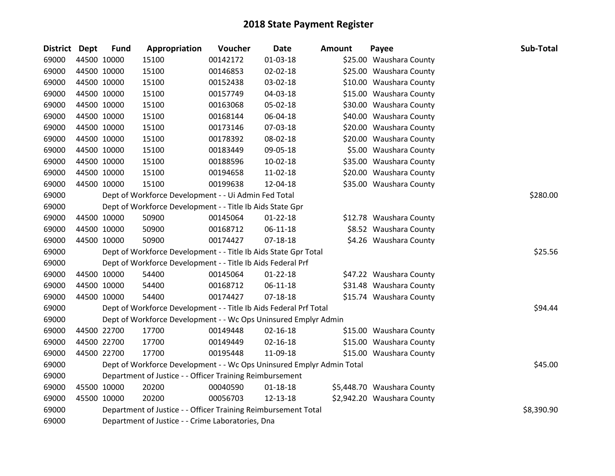| District Dept | <b>Fund</b> | Appropriation                                                         | Voucher  | Date           | <b>Amount</b> | Payee                      | Sub-Total  |
|---------------|-------------|-----------------------------------------------------------------------|----------|----------------|---------------|----------------------------|------------|
| 69000         | 44500 10000 | 15100                                                                 | 00142172 | $01 - 03 - 18$ |               | \$25.00 Waushara County    |            |
| 69000         | 44500 10000 | 15100                                                                 | 00146853 | 02-02-18       |               | \$25.00 Waushara County    |            |
| 69000         | 44500 10000 | 15100                                                                 | 00152438 | 03-02-18       |               | \$10.00 Waushara County    |            |
| 69000         | 44500 10000 | 15100                                                                 | 00157749 | 04-03-18       |               | \$15.00 Waushara County    |            |
| 69000         | 44500 10000 | 15100                                                                 | 00163068 | 05-02-18       |               | \$30.00 Waushara County    |            |
| 69000         | 44500 10000 | 15100                                                                 | 00168144 | 06-04-18       |               | \$40.00 Waushara County    |            |
| 69000         | 44500 10000 | 15100                                                                 | 00173146 | 07-03-18       |               | \$20.00 Waushara County    |            |
| 69000         | 44500 10000 | 15100                                                                 | 00178392 | 08-02-18       |               | \$20.00 Waushara County    |            |
| 69000         | 44500 10000 | 15100                                                                 | 00183449 | 09-05-18       |               | \$5.00 Waushara County     |            |
| 69000         | 44500 10000 | 15100                                                                 | 00188596 | $10-02-18$     |               | \$35.00 Waushara County    |            |
| 69000         | 44500 10000 | 15100                                                                 | 00194658 | 11-02-18       |               | \$20.00 Waushara County    |            |
| 69000         | 44500 10000 | 15100                                                                 | 00199638 | 12-04-18       |               | \$35.00 Waushara County    |            |
| 69000         |             | Dept of Workforce Development - - Ui Admin Fed Total                  |          |                |               |                            | \$280.00   |
| 69000         |             | Dept of Workforce Development - - Title Ib Aids State Gpr             |          |                |               |                            |            |
| 69000         | 44500 10000 | 50900                                                                 | 00145064 | 01-22-18       |               | \$12.78 Waushara County    |            |
| 69000         | 44500 10000 | 50900                                                                 | 00168712 | 06-11-18       |               | \$8.52 Waushara County     |            |
| 69000         | 44500 10000 | 50900                                                                 | 00174427 | $07 - 18 - 18$ |               | \$4.26 Waushara County     |            |
| 69000         |             | Dept of Workforce Development - - Title Ib Aids State Gpr Total       |          |                |               |                            | \$25.56    |
| 69000         |             | Dept of Workforce Development - - Title Ib Aids Federal Prf           |          |                |               |                            |            |
| 69000         | 44500 10000 | 54400                                                                 | 00145064 | $01 - 22 - 18$ |               | \$47.22 Waushara County    |            |
| 69000         | 44500 10000 | 54400                                                                 | 00168712 | 06-11-18       |               | \$31.48 Waushara County    |            |
| 69000         | 44500 10000 | 54400                                                                 | 00174427 | $07 - 18 - 18$ |               | \$15.74 Waushara County    |            |
| 69000         |             | Dept of Workforce Development - - Title Ib Aids Federal Prf Total     |          |                |               |                            | \$94.44    |
| 69000         |             | Dept of Workforce Development - - Wc Ops Uninsured Emplyr Admin       |          |                |               |                            |            |
| 69000         | 44500 22700 | 17700                                                                 | 00149448 | $02 - 16 - 18$ |               | \$15.00 Waushara County    |            |
| 69000         | 44500 22700 | 17700                                                                 | 00149449 | $02 - 16 - 18$ |               | \$15.00 Waushara County    |            |
| 69000         | 44500 22700 | 17700                                                                 | 00195448 | 11-09-18       |               | \$15.00 Waushara County    |            |
| 69000         |             | Dept of Workforce Development - - Wc Ops Uninsured Emplyr Admin Total |          |                |               |                            | \$45.00    |
| 69000         |             | Department of Justice - - Officer Training Reimbursement              |          |                |               |                            |            |
| 69000         | 45500 10000 | 20200                                                                 | 00040590 | $01 - 18 - 18$ |               | \$5,448.70 Waushara County |            |
| 69000         | 45500 10000 | 20200                                                                 | 00056703 | 12-13-18       |               | \$2,942.20 Waushara County |            |
| 69000         |             | Department of Justice - - Officer Training Reimbursement Total        |          |                |               |                            | \$8,390.90 |
| 69000         |             | Department of Justice - - Crime Laboratories, Dna                     |          |                |               |                            |            |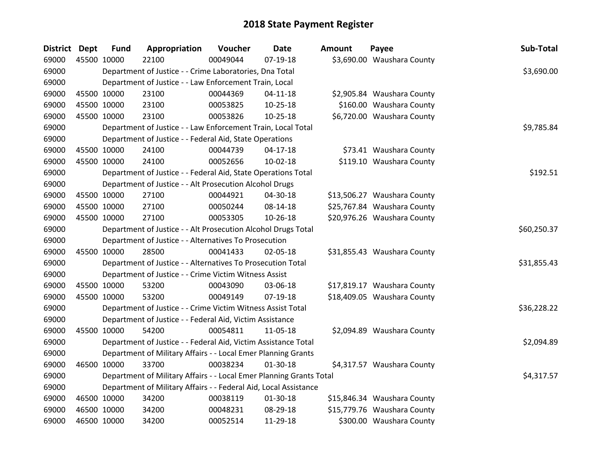| District Dept |             | <b>Fund</b> | Appropriation                                                       | Voucher  | <b>Date</b>    | <b>Amount</b> | Payee                       | Sub-Total   |
|---------------|-------------|-------------|---------------------------------------------------------------------|----------|----------------|---------------|-----------------------------|-------------|
| 69000         | 45500 10000 |             | 22100                                                               | 00049044 | 07-19-18       |               | \$3,690.00 Waushara County  |             |
| 69000         |             |             | Department of Justice - - Crime Laboratories, Dna Total             |          |                |               |                             | \$3,690.00  |
| 69000         |             |             | Department of Justice - - Law Enforcement Train, Local              |          |                |               |                             |             |
| 69000         |             | 45500 10000 | 23100                                                               | 00044369 | $04 - 11 - 18$ |               | \$2,905.84 Waushara County  |             |
| 69000         | 45500 10000 |             | 23100                                                               | 00053825 | $10 - 25 - 18$ |               | \$160.00 Waushara County    |             |
| 69000         | 45500 10000 |             | 23100                                                               | 00053826 | $10 - 25 - 18$ |               | \$6,720.00 Waushara County  |             |
| 69000         |             |             | Department of Justice - - Law Enforcement Train, Local Total        |          |                |               |                             | \$9,785.84  |
| 69000         |             |             | Department of Justice - - Federal Aid, State Operations             |          |                |               |                             |             |
| 69000         | 45500 10000 |             | 24100                                                               | 00044739 | $04 - 17 - 18$ |               | \$73.41 Waushara County     |             |
| 69000         | 45500 10000 |             | 24100                                                               | 00052656 | $10-02-18$     |               | \$119.10 Waushara County    |             |
| 69000         |             |             | Department of Justice - - Federal Aid, State Operations Total       |          |                |               |                             | \$192.51    |
| 69000         |             |             | Department of Justice - - Alt Prosecution Alcohol Drugs             |          |                |               |                             |             |
| 69000         |             | 45500 10000 | 27100                                                               | 00044921 | 04-30-18       |               | \$13,506.27 Waushara County |             |
| 69000         |             | 45500 10000 | 27100                                                               | 00050244 | 08-14-18       |               | \$25,767.84 Waushara County |             |
| 69000         | 45500 10000 |             | 27100                                                               | 00053305 | 10-26-18       |               | \$20,976.26 Waushara County |             |
| 69000         |             |             | Department of Justice - - Alt Prosecution Alcohol Drugs Total       |          |                |               |                             | \$60,250.37 |
| 69000         |             |             | Department of Justice - - Alternatives To Prosecution               |          |                |               |                             |             |
| 69000         | 45500 10000 |             | 28500                                                               | 00041433 | 02-05-18       |               | \$31,855.43 Waushara County |             |
| 69000         |             |             | Department of Justice - - Alternatives To Prosecution Total         |          |                |               |                             | \$31,855.43 |
| 69000         |             |             | Department of Justice - - Crime Victim Witness Assist               |          |                |               |                             |             |
| 69000         |             | 45500 10000 | 53200                                                               | 00043090 | 03-06-18       |               | \$17,819.17 Waushara County |             |
| 69000         | 45500 10000 |             | 53200                                                               | 00049149 | 07-19-18       |               | \$18,409.05 Waushara County |             |
| 69000         |             |             | Department of Justice - - Crime Victim Witness Assist Total         |          |                |               |                             | \$36,228.22 |
| 69000         |             |             | Department of Justice - - Federal Aid, Victim Assistance            |          |                |               |                             |             |
| 69000         | 45500 10000 |             | 54200                                                               | 00054811 | 11-05-18       |               | \$2,094.89 Waushara County  |             |
| 69000         |             |             | Department of Justice - - Federal Aid, Victim Assistance Total      |          |                |               |                             | \$2,094.89  |
| 69000         |             |             | Department of Military Affairs - - Local Emer Planning Grants       |          |                |               |                             |             |
| 69000         | 46500 10000 |             | 33700                                                               | 00038234 | $01-30-18$     |               | \$4,317.57 Waushara County  |             |
| 69000         |             |             | Department of Military Affairs - - Local Emer Planning Grants Total |          |                |               |                             | \$4,317.57  |
| 69000         |             |             | Department of Military Affairs - - Federal Aid, Local Assistance    |          |                |               |                             |             |
| 69000         | 46500 10000 |             | 34200                                                               | 00038119 | 01-30-18       |               | \$15,846.34 Waushara County |             |
| 69000         | 46500 10000 |             | 34200                                                               | 00048231 | 08-29-18       |               | \$15,779.76 Waushara County |             |
| 69000         | 46500 10000 |             | 34200                                                               | 00052514 | 11-29-18       |               | \$300.00 Waushara County    |             |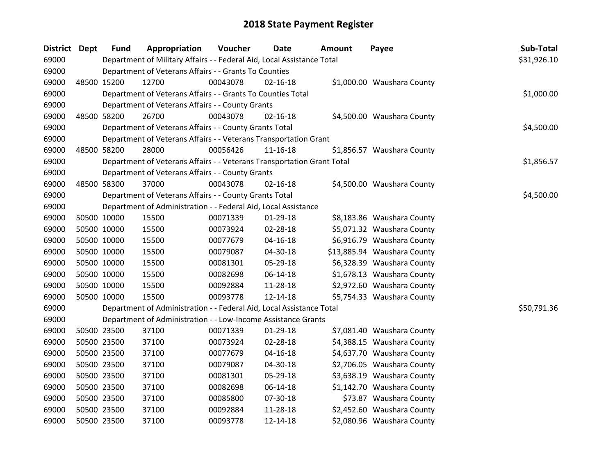| <b>District</b> | Dept | <b>Fund</b> | Appropriation                                                          | Voucher  | <b>Date</b>    | Amount | Payee                       | Sub-Total   |
|-----------------|------|-------------|------------------------------------------------------------------------|----------|----------------|--------|-----------------------------|-------------|
| 69000           |      |             | Department of Military Affairs - - Federal Aid, Local Assistance Total |          |                |        |                             | \$31,926.10 |
| 69000           |      |             | Department of Veterans Affairs - - Grants To Counties                  |          |                |        |                             |             |
| 69000           |      | 48500 15200 | 12700                                                                  | 00043078 | $02 - 16 - 18$ |        | \$1,000.00 Waushara County  |             |
| 69000           |      |             | Department of Veterans Affairs - - Grants To Counties Total            |          |                |        |                             | \$1,000.00  |
| 69000           |      |             | Department of Veterans Affairs - - County Grants                       |          |                |        |                             |             |
| 69000           |      | 48500 58200 | 26700                                                                  | 00043078 | $02 - 16 - 18$ |        | \$4,500.00 Waushara County  |             |
| 69000           |      |             | Department of Veterans Affairs - - County Grants Total                 |          |                |        |                             | \$4,500.00  |
| 69000           |      |             | Department of Veterans Affairs - - Veterans Transportation Grant       |          |                |        |                             |             |
| 69000           |      | 48500 58200 | 28000                                                                  | 00056426 | 11-16-18       |        | \$1,856.57 Waushara County  |             |
| 69000           |      |             | Department of Veterans Affairs - - Veterans Transportation Grant Total |          |                |        |                             | \$1,856.57  |
| 69000           |      |             | Department of Veterans Affairs - - County Grants                       |          |                |        |                             |             |
| 69000           |      | 48500 58300 | 37000                                                                  | 00043078 | $02 - 16 - 18$ |        | \$4,500.00 Waushara County  |             |
| 69000           |      |             | Department of Veterans Affairs - - County Grants Total                 |          |                |        |                             | \$4,500.00  |
| 69000           |      |             | Department of Administration - - Federal Aid, Local Assistance         |          |                |        |                             |             |
| 69000           |      | 50500 10000 | 15500                                                                  | 00071339 | 01-29-18       |        | \$8,183.86 Waushara County  |             |
| 69000           |      | 50500 10000 | 15500                                                                  | 00073924 | 02-28-18       |        | \$5,071.32 Waushara County  |             |
| 69000           |      | 50500 10000 | 15500                                                                  | 00077679 | $04 - 16 - 18$ |        | \$6,916.79 Waushara County  |             |
| 69000           |      | 50500 10000 | 15500                                                                  | 00079087 | 04-30-18       |        | \$13,885.94 Waushara County |             |
| 69000           |      | 50500 10000 | 15500                                                                  | 00081301 | 05-29-18       |        | \$6,328.39 Waushara County  |             |
| 69000           |      | 50500 10000 | 15500                                                                  | 00082698 | 06-14-18       |        | \$1,678.13 Waushara County  |             |
| 69000           |      | 50500 10000 | 15500                                                                  | 00092884 | 11-28-18       |        | \$2,972.60 Waushara County  |             |
| 69000           |      | 50500 10000 | 15500                                                                  | 00093778 | 12-14-18       |        | \$5,754.33 Waushara County  |             |
| 69000           |      |             | Department of Administration - - Federal Aid, Local Assistance Total   |          |                |        |                             | \$50,791.36 |
| 69000           |      |             | Department of Administration - - Low-Income Assistance Grants          |          |                |        |                             |             |
| 69000           |      | 50500 23500 | 37100                                                                  | 00071339 | $01-29-18$     |        | \$7,081.40 Waushara County  |             |
| 69000           |      | 50500 23500 | 37100                                                                  | 00073924 | 02-28-18       |        | \$4,388.15 Waushara County  |             |
| 69000           |      | 50500 23500 | 37100                                                                  | 00077679 | $04 - 16 - 18$ |        | \$4,637.70 Waushara County  |             |
| 69000           |      | 50500 23500 | 37100                                                                  | 00079087 | 04-30-18       |        | \$2,706.05 Waushara County  |             |
| 69000           |      | 50500 23500 | 37100                                                                  | 00081301 | 05-29-18       |        | \$3,638.19 Waushara County  |             |
| 69000           |      | 50500 23500 | 37100                                                                  | 00082698 | 06-14-18       |        | \$1,142.70 Waushara County  |             |
| 69000           |      | 50500 23500 | 37100                                                                  | 00085800 | 07-30-18       |        | \$73.87 Waushara County     |             |
| 69000           |      | 50500 23500 | 37100                                                                  | 00092884 | 11-28-18       |        | \$2,452.60 Waushara County  |             |
| 69000           |      | 50500 23500 | 37100                                                                  | 00093778 | 12-14-18       |        | \$2,080.96 Waushara County  |             |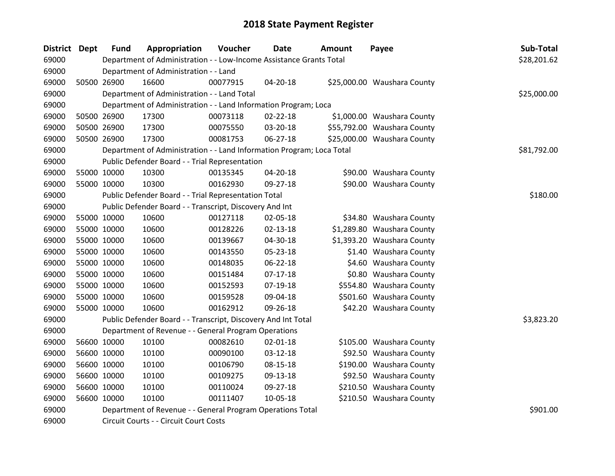| <b>District Dept</b> | <b>Fund</b> | Appropriation                                                         | Voucher  | <b>Date</b>    | <b>Amount</b> | Payee                       | Sub-Total   |
|----------------------|-------------|-----------------------------------------------------------------------|----------|----------------|---------------|-----------------------------|-------------|
| 69000                |             | Department of Administration - - Low-Income Assistance Grants Total   |          |                |               |                             | \$28,201.62 |
| 69000                |             | Department of Administration - - Land                                 |          |                |               |                             |             |
| 69000                | 50500 26900 | 16600                                                                 | 00077915 | 04-20-18       |               | \$25,000.00 Waushara County |             |
| 69000                |             | Department of Administration - - Land Total                           |          |                |               |                             | \$25,000.00 |
| 69000                |             | Department of Administration - - Land Information Program; Loca       |          |                |               |                             |             |
| 69000                | 50500 26900 | 17300                                                                 | 00073118 | $02 - 22 - 18$ |               | \$1,000.00 Waushara County  |             |
| 69000                | 50500 26900 | 17300                                                                 | 00075550 | 03-20-18       |               | \$55,792.00 Waushara County |             |
| 69000                | 50500 26900 | 17300                                                                 | 00081753 | $06 - 27 - 18$ |               | \$25,000.00 Waushara County |             |
| 69000                |             | Department of Administration - - Land Information Program; Loca Total |          |                |               |                             | \$81,792.00 |
| 69000                |             | Public Defender Board - - Trial Representation                        |          |                |               |                             |             |
| 69000                | 55000 10000 | 10300                                                                 | 00135345 | $04 - 20 - 18$ |               | \$90.00 Waushara County     |             |
| 69000                | 55000 10000 | 10300                                                                 | 00162930 | 09-27-18       |               | \$90.00 Waushara County     |             |
| 69000                |             | Public Defender Board - - Trial Representation Total                  |          |                |               |                             | \$180.00    |
| 69000                |             | Public Defender Board - - Transcript, Discovery And Int               |          |                |               |                             |             |
| 69000                | 55000 10000 | 10600                                                                 | 00127118 | 02-05-18       |               | \$34.80 Waushara County     |             |
| 69000                | 55000 10000 | 10600                                                                 | 00128226 | $02 - 13 - 18$ |               | \$1,289.80 Waushara County  |             |
| 69000                | 55000 10000 | 10600                                                                 | 00139667 | 04-30-18       |               | \$1,393.20 Waushara County  |             |
| 69000                | 55000 10000 | 10600                                                                 | 00143550 | 05-23-18       |               | \$1.40 Waushara County      |             |
| 69000                | 55000 10000 | 10600                                                                 | 00148035 | 06-22-18       |               | \$4.60 Waushara County      |             |
| 69000                | 55000 10000 | 10600                                                                 | 00151484 | $07-17-18$     |               | \$0.80 Waushara County      |             |
| 69000                | 55000 10000 | 10600                                                                 | 00152593 | 07-19-18       |               | \$554.80 Waushara County    |             |
| 69000                | 55000 10000 | 10600                                                                 | 00159528 | 09-04-18       |               | \$501.60 Waushara County    |             |
| 69000                | 55000 10000 | 10600                                                                 | 00162912 | 09-26-18       |               | \$42.20 Waushara County     |             |
| 69000                |             | Public Defender Board - - Transcript, Discovery And Int Total         |          |                |               |                             | \$3,823.20  |
| 69000                |             | Department of Revenue - - General Program Operations                  |          |                |               |                             |             |
| 69000                | 56600 10000 | 10100                                                                 | 00082610 | $02 - 01 - 18$ |               | \$105.00 Waushara County    |             |
| 69000                | 56600 10000 | 10100                                                                 | 00090100 | $03 - 12 - 18$ |               | \$92.50 Waushara County     |             |
| 69000                | 56600 10000 | 10100                                                                 | 00106790 | 08-15-18       |               | \$190.00 Waushara County    |             |
| 69000                | 56600 10000 | 10100                                                                 | 00109275 | 09-13-18       |               | \$92.50 Waushara County     |             |
| 69000                | 56600 10000 | 10100                                                                 | 00110024 | 09-27-18       |               | \$210.50 Waushara County    |             |
| 69000                | 56600 10000 | 10100                                                                 | 00111407 | 10-05-18       |               | \$210.50 Waushara County    |             |
| 69000                |             | Department of Revenue - - General Program Operations Total            |          |                |               |                             | \$901.00    |
| 69000                |             | Circuit Courts - - Circuit Court Costs                                |          |                |               |                             |             |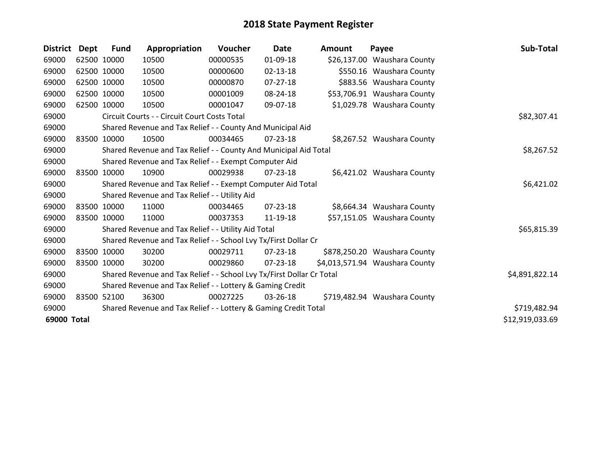| <b>District</b> | <b>Dept</b> | <b>Fund</b> | Appropriation                                                         | Voucher  | <b>Date</b>    | <b>Amount</b> | Payee                          | Sub-Total       |
|-----------------|-------------|-------------|-----------------------------------------------------------------------|----------|----------------|---------------|--------------------------------|-----------------|
| 69000           |             | 62500 10000 | 10500                                                                 | 00000535 | 01-09-18       |               | \$26,137.00 Waushara County    |                 |
| 69000           |             | 62500 10000 | 10500                                                                 | 00000600 | $02 - 13 - 18$ |               | \$550.16 Waushara County       |                 |
| 69000           | 62500 10000 |             | 10500                                                                 | 00000870 | 07-27-18       |               | \$883.56 Waushara County       |                 |
| 69000           |             | 62500 10000 | 10500                                                                 | 00001009 | 08-24-18       |               | \$53,706.91 Waushara County    |                 |
| 69000           | 62500 10000 |             | 10500                                                                 | 00001047 | 09-07-18       |               | \$1,029.78 Waushara County     |                 |
| 69000           |             |             | Circuit Courts - - Circuit Court Costs Total                          |          |                |               |                                | \$82,307.41     |
| 69000           |             |             | Shared Revenue and Tax Relief - - County And Municipal Aid            |          |                |               |                                |                 |
| 69000           |             | 83500 10000 | 10500                                                                 | 00034465 | $07 - 23 - 18$ |               | \$8,267.52 Waushara County     |                 |
| 69000           |             |             | Shared Revenue and Tax Relief - - County And Municipal Aid Total      |          |                |               |                                | \$8,267.52      |
| 69000           |             |             | Shared Revenue and Tax Relief - - Exempt Computer Aid                 |          |                |               |                                |                 |
| 69000           |             | 83500 10000 | 10900                                                                 | 00029938 | 07-23-18       |               | \$6,421.02 Waushara County     |                 |
| 69000           |             |             | Shared Revenue and Tax Relief - - Exempt Computer Aid Total           |          |                |               |                                | \$6,421.02      |
| 69000           |             |             | Shared Revenue and Tax Relief - - Utility Aid                         |          |                |               |                                |                 |
| 69000           |             | 83500 10000 | 11000                                                                 | 00034465 | $07 - 23 - 18$ |               | \$8,664.34 Waushara County     |                 |
| 69000           |             | 83500 10000 | 11000                                                                 | 00037353 | 11-19-18       |               | \$57,151.05 Waushara County    |                 |
| 69000           |             |             | Shared Revenue and Tax Relief - - Utility Aid Total                   |          |                |               |                                | \$65,815.39     |
| 69000           |             |             | Shared Revenue and Tax Relief - - School Lvy Tx/First Dollar Cr       |          |                |               |                                |                 |
| 69000           | 83500 10000 |             | 30200                                                                 | 00029711 | 07-23-18       |               | \$878,250.20 Waushara County   |                 |
| 69000           |             | 83500 10000 | 30200                                                                 | 00029860 | 07-23-18       |               | \$4,013,571.94 Waushara County |                 |
| 69000           |             |             | Shared Revenue and Tax Relief - - School Lvy Tx/First Dollar Cr Total |          |                |               |                                | \$4,891,822.14  |
| 69000           |             |             | Shared Revenue and Tax Relief - - Lottery & Gaming Credit             |          |                |               |                                |                 |
| 69000           |             | 83500 52100 | 36300                                                                 | 00027225 | 03-26-18       |               | \$719,482.94 Waushara County   |                 |
| 69000           |             |             | Shared Revenue and Tax Relief - - Lottery & Gaming Credit Total       |          |                |               |                                | \$719,482.94    |
| 69000 Total     |             |             |                                                                       |          |                |               |                                | \$12,919,033.69 |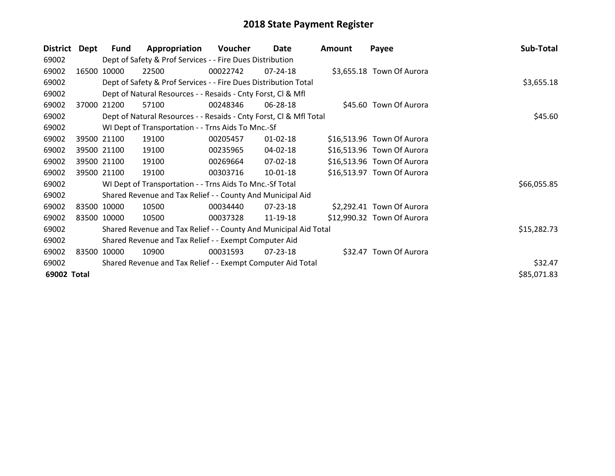| <b>District</b> | <b>Dept</b> | <b>Fund</b> | Appropriation                                                      | Voucher  | Date           | <b>Amount</b> | Payee                      | Sub-Total   |
|-----------------|-------------|-------------|--------------------------------------------------------------------|----------|----------------|---------------|----------------------------|-------------|
| 69002           |             |             | Dept of Safety & Prof Services - - Fire Dues Distribution          |          |                |               |                            |             |
| 69002           | 16500       | 10000       | 22500                                                              | 00022742 | $07 - 24 - 18$ |               | \$3,655.18 Town Of Aurora  |             |
| 69002           |             |             | Dept of Safety & Prof Services - - Fire Dues Distribution Total    |          |                |               |                            | \$3,655.18  |
| 69002           |             |             | Dept of Natural Resources - - Resaids - Cnty Forst, Cl & Mfl       |          |                |               |                            |             |
| 69002           | 37000       | 21200       | 57100                                                              | 00248346 | 06-28-18       |               | \$45.60 Town Of Aurora     |             |
| 69002           |             |             | Dept of Natural Resources - - Resaids - Cnty Forst, CI & Mfl Total |          |                |               |                            | \$45.60     |
| 69002           |             |             | WI Dept of Transportation - - Trns Aids To Mnc.-Sf                 |          |                |               |                            |             |
| 69002           |             | 39500 21100 | 19100                                                              | 00205457 | $01 - 02 - 18$ |               | \$16,513.96 Town Of Aurora |             |
| 69002           |             | 39500 21100 | 19100                                                              | 00235965 | 04-02-18       |               | \$16,513.96 Town Of Aurora |             |
| 69002           |             | 39500 21100 | 19100                                                              | 00269664 | 07-02-18       |               | \$16,513.96 Town Of Aurora |             |
| 69002           |             | 39500 21100 | 19100                                                              | 00303716 | 10-01-18       |               | \$16,513.97 Town Of Aurora |             |
| 69002           |             |             | WI Dept of Transportation - - Trns Aids To Mnc.-Sf Total           |          |                |               |                            | \$66,055.85 |
| 69002           |             |             | Shared Revenue and Tax Relief - - County And Municipal Aid         |          |                |               |                            |             |
| 69002           |             | 83500 10000 | 10500                                                              | 00034440 | 07-23-18       |               | \$2,292.41 Town Of Aurora  |             |
| 69002           |             | 83500 10000 | 10500                                                              | 00037328 | 11-19-18       |               | \$12,990.32 Town Of Aurora |             |
| 69002           |             |             | Shared Revenue and Tax Relief - - County And Municipal Aid Total   |          |                |               |                            | \$15,282.73 |
| 69002           |             |             | Shared Revenue and Tax Relief - - Exempt Computer Aid              |          |                |               |                            |             |
| 69002           |             | 83500 10000 | 10900                                                              | 00031593 | 07-23-18       |               | \$32.47 Town Of Aurora     |             |
| 69002           |             |             | Shared Revenue and Tax Relief - - Exempt Computer Aid Total        |          |                |               |                            | \$32.47     |
| 69002 Total     |             |             |                                                                    |          |                |               |                            | \$85,071.83 |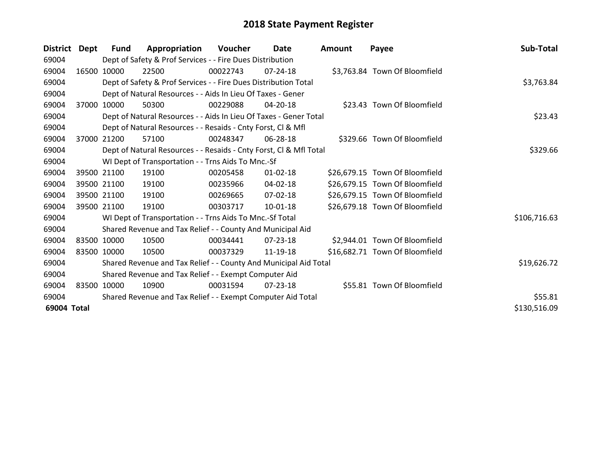| <b>District</b> | Dept  | Fund        | Appropriation                                                      | Voucher  | Date           | <b>Amount</b> | Payee                          | Sub-Total    |  |
|-----------------|-------|-------------|--------------------------------------------------------------------|----------|----------------|---------------|--------------------------------|--------------|--|
| 69004           |       |             | Dept of Safety & Prof Services - - Fire Dues Distribution          |          |                |               |                                |              |  |
| 69004           |       | 16500 10000 | 22500                                                              | 00022743 | $07 - 24 - 18$ |               | \$3,763.84 Town Of Bloomfield  |              |  |
| 69004           |       |             | Dept of Safety & Prof Services - - Fire Dues Distribution Total    |          |                |               |                                | \$3,763.84   |  |
| 69004           |       |             | Dept of Natural Resources - - Aids In Lieu Of Taxes - Gener        |          |                |               |                                |              |  |
| 69004           | 37000 | 10000       | 50300                                                              | 00229088 | $04 - 20 - 18$ |               | \$23.43 Town Of Bloomfield     |              |  |
| 69004           |       |             | Dept of Natural Resources - - Aids In Lieu Of Taxes - Gener Total  |          |                |               |                                | \$23.43      |  |
| 69004           |       |             | Dept of Natural Resources - - Resaids - Cnty Forst, CI & Mfl       |          |                |               |                                |              |  |
| 69004           | 37000 | 21200       | 57100                                                              | 00248347 | 06-28-18       |               | \$329.66 Town Of Bloomfield    |              |  |
| 69004           |       |             | Dept of Natural Resources - - Resaids - Cnty Forst, Cl & Mfl Total |          |                |               |                                | \$329.66     |  |
| 69004           |       |             | WI Dept of Transportation - - Trns Aids To Mnc.-Sf                 |          |                |               |                                |              |  |
| 69004           |       | 39500 21100 | 19100                                                              | 00205458 | $01 - 02 - 18$ |               | \$26,679.15 Town Of Bloomfield |              |  |
| 69004           |       | 39500 21100 | 19100                                                              | 00235966 | 04-02-18       |               | \$26,679.15 Town Of Bloomfield |              |  |
| 69004           |       | 39500 21100 | 19100                                                              | 00269665 | 07-02-18       |               | \$26,679.15 Town Of Bloomfield |              |  |
| 69004           |       | 39500 21100 | 19100                                                              | 00303717 | $10-01-18$     |               | \$26,679.18 Town Of Bloomfield |              |  |
| 69004           |       |             | WI Dept of Transportation - - Trns Aids To Mnc.-Sf Total           |          |                |               |                                | \$106,716.63 |  |
| 69004           |       |             | Shared Revenue and Tax Relief - - County And Municipal Aid         |          |                |               |                                |              |  |
| 69004           |       | 83500 10000 | 10500                                                              | 00034441 | $07 - 23 - 18$ |               | \$2,944.01 Town Of Bloomfield  |              |  |
| 69004           |       | 83500 10000 | 10500                                                              | 00037329 | 11-19-18       |               | \$16,682.71 Town Of Bloomfield |              |  |
| 69004           |       |             | Shared Revenue and Tax Relief - - County And Municipal Aid Total   |          |                |               |                                | \$19,626.72  |  |
| 69004           |       |             | Shared Revenue and Tax Relief - - Exempt Computer Aid              |          |                |               |                                |              |  |
| 69004           |       | 83500 10000 | 10900                                                              | 00031594 | 07-23-18       |               | \$55.81 Town Of Bloomfield     |              |  |
| 69004           |       |             | Shared Revenue and Tax Relief - - Exempt Computer Aid Total        |          |                |               |                                | \$55.81      |  |
| 69004 Total     |       |             |                                                                    |          |                |               |                                | \$130,516.09 |  |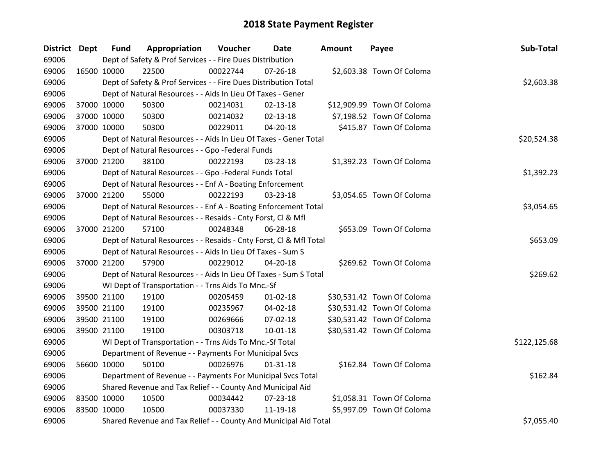| District Dept |             | <b>Fund</b> | Appropriation                                                      | Voucher  | Date           | <b>Amount</b> | Payee                      | Sub-Total    |
|---------------|-------------|-------------|--------------------------------------------------------------------|----------|----------------|---------------|----------------------------|--------------|
| 69006         |             |             | Dept of Safety & Prof Services - - Fire Dues Distribution          |          |                |               |                            |              |
| 69006         | 16500 10000 |             | 22500                                                              | 00022744 | $07 - 26 - 18$ |               | \$2,603.38 Town Of Coloma  |              |
| 69006         |             |             | Dept of Safety & Prof Services - - Fire Dues Distribution Total    |          |                |               |                            | \$2,603.38   |
| 69006         |             |             | Dept of Natural Resources - - Aids In Lieu Of Taxes - Gener        |          |                |               |                            |              |
| 69006         | 37000 10000 |             | 50300                                                              | 00214031 | $02 - 13 - 18$ |               | \$12,909.99 Town Of Coloma |              |
| 69006         | 37000 10000 |             | 50300                                                              | 00214032 | $02 - 13 - 18$ |               | \$7,198.52 Town Of Coloma  |              |
| 69006         | 37000 10000 |             | 50300                                                              | 00229011 | 04-20-18       |               | \$415.87 Town Of Coloma    |              |
| 69006         |             |             | Dept of Natural Resources - - Aids In Lieu Of Taxes - Gener Total  |          |                |               |                            | \$20,524.38  |
| 69006         |             |             | Dept of Natural Resources - - Gpo -Federal Funds                   |          |                |               |                            |              |
| 69006         | 37000 21200 |             | 38100                                                              | 00222193 | 03-23-18       |               | \$1,392.23 Town Of Coloma  |              |
| 69006         |             |             | Dept of Natural Resources - - Gpo -Federal Funds Total             |          |                |               |                            | \$1,392.23   |
| 69006         |             |             | Dept of Natural Resources - - Enf A - Boating Enforcement          |          |                |               |                            |              |
| 69006         | 37000 21200 |             | 55000                                                              | 00222193 | 03-23-18       |               | \$3,054.65 Town Of Coloma  |              |
| 69006         |             |             | Dept of Natural Resources - - Enf A - Boating Enforcement Total    |          |                |               |                            | \$3,054.65   |
| 69006         |             |             | Dept of Natural Resources - - Resaids - Cnty Forst, CI & Mfl       |          |                |               |                            |              |
| 69006         | 37000 21200 |             | 57100                                                              | 00248348 | 06-28-18       |               | \$653.09 Town Of Coloma    |              |
| 69006         |             |             | Dept of Natural Resources - - Resaids - Cnty Forst, Cl & Mfl Total |          |                |               |                            | \$653.09     |
| 69006         |             |             | Dept of Natural Resources - - Aids In Lieu Of Taxes - Sum S        |          |                |               |                            |              |
| 69006         | 37000 21200 |             | 57900                                                              | 00229012 | $04 - 20 - 18$ |               | \$269.62 Town Of Coloma    |              |
| 69006         |             |             | Dept of Natural Resources - - Aids In Lieu Of Taxes - Sum S Total  |          |                |               |                            | \$269.62     |
| 69006         |             |             | WI Dept of Transportation - - Trns Aids To Mnc.-Sf                 |          |                |               |                            |              |
| 69006         | 39500 21100 |             | 19100                                                              | 00205459 | $01 - 02 - 18$ |               | \$30,531.42 Town Of Coloma |              |
| 69006         | 39500 21100 |             | 19100                                                              | 00235967 | 04-02-18       |               | \$30,531.42 Town Of Coloma |              |
| 69006         | 39500 21100 |             | 19100                                                              | 00269666 | 07-02-18       |               | \$30,531.42 Town Of Coloma |              |
| 69006         | 39500 21100 |             | 19100                                                              | 00303718 | 10-01-18       |               | \$30,531.42 Town Of Coloma |              |
| 69006         |             |             | WI Dept of Transportation - - Trns Aids To Mnc.-Sf Total           |          |                |               |                            | \$122,125.68 |
| 69006         |             |             | Department of Revenue - - Payments For Municipal Svcs              |          |                |               |                            |              |
| 69006         | 56600 10000 |             | 50100                                                              | 00026976 | $01 - 31 - 18$ |               | \$162.84 Town Of Coloma    |              |
| 69006         |             |             | Department of Revenue - - Payments For Municipal Svcs Total        |          |                |               |                            | \$162.84     |
| 69006         |             |             | Shared Revenue and Tax Relief - - County And Municipal Aid         |          |                |               |                            |              |
| 69006         | 83500 10000 |             | 10500                                                              | 00034442 | 07-23-18       |               | \$1,058.31 Town Of Coloma  |              |
| 69006         | 83500 10000 |             | 10500                                                              | 00037330 | 11-19-18       |               | \$5,997.09 Town Of Coloma  |              |
| 69006         |             |             | Shared Revenue and Tax Relief - - County And Municipal Aid Total   |          |                |               |                            | \$7,055.40   |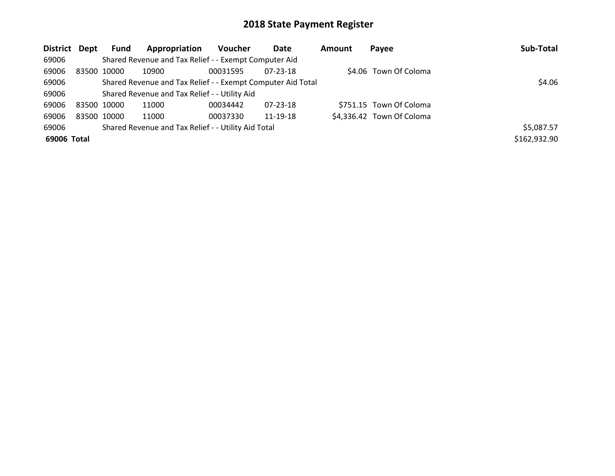| District Dept |             | <b>Fund</b> | Appropriation                                               | <b>Voucher</b> | Date           | <b>Amount</b> | Payee                     | Sub-Total    |
|---------------|-------------|-------------|-------------------------------------------------------------|----------------|----------------|---------------|---------------------------|--------------|
| 69006         |             |             | Shared Revenue and Tax Relief - - Exempt Computer Aid       |                |                |               |                           |              |
| 69006         | 83500 10000 |             | 10900                                                       | 00031595       | 07-23-18       |               | \$4.06 Town Of Coloma     |              |
| 69006         |             |             | Shared Revenue and Tax Relief - - Exempt Computer Aid Total |                |                |               |                           | \$4.06       |
| 69006         |             |             | Shared Revenue and Tax Relief - - Utility Aid               |                |                |               |                           |              |
| 69006         | 83500 10000 |             | 11000                                                       | 00034442       | $07 - 23 - 18$ |               | \$751.15 Town Of Coloma   |              |
| 69006         | 83500 10000 |             | 11000                                                       | 00037330       | 11-19-18       |               | \$4,336.42 Town Of Coloma |              |
| 69006         |             |             | Shared Revenue and Tax Relief - - Utility Aid Total         |                |                |               |                           | \$5,087.57   |
| 69006 Total   |             |             |                                                             |                |                |               |                           | \$162,932.90 |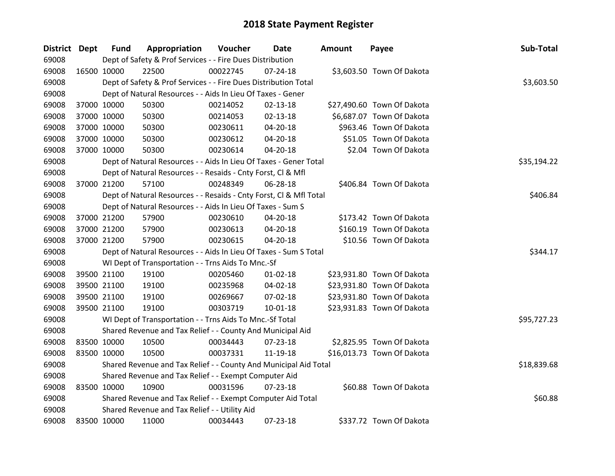| District Dept |             | <b>Fund</b> | Appropriation                                                      | Voucher  | Date           | <b>Amount</b> | Payee                      | Sub-Total   |
|---------------|-------------|-------------|--------------------------------------------------------------------|----------|----------------|---------------|----------------------------|-------------|
| 69008         |             |             | Dept of Safety & Prof Services - - Fire Dues Distribution          |          |                |               |                            |             |
| 69008         |             | 16500 10000 | 22500                                                              | 00022745 | $07 - 24 - 18$ |               | \$3,603.50 Town Of Dakota  |             |
| 69008         |             |             | Dept of Safety & Prof Services - - Fire Dues Distribution Total    |          |                |               |                            | \$3,603.50  |
| 69008         |             |             | Dept of Natural Resources - - Aids In Lieu Of Taxes - Gener        |          |                |               |                            |             |
| 69008         |             | 37000 10000 | 50300                                                              | 00214052 | $02 - 13 - 18$ |               | \$27,490.60 Town Of Dakota |             |
| 69008         |             | 37000 10000 | 50300                                                              | 00214053 | $02 - 13 - 18$ |               | \$6,687.07 Town Of Dakota  |             |
| 69008         |             | 37000 10000 | 50300                                                              | 00230611 | 04-20-18       |               | \$963.46 Town Of Dakota    |             |
| 69008         |             | 37000 10000 | 50300                                                              | 00230612 | 04-20-18       |               | \$51.05 Town Of Dakota     |             |
| 69008         |             | 37000 10000 | 50300                                                              | 00230614 | 04-20-18       |               | \$2.04 Town Of Dakota      |             |
| 69008         |             |             | Dept of Natural Resources - - Aids In Lieu Of Taxes - Gener Total  |          |                |               |                            | \$35,194.22 |
| 69008         |             |             | Dept of Natural Resources - - Resaids - Cnty Forst, Cl & Mfl       |          |                |               |                            |             |
| 69008         |             | 37000 21200 | 57100                                                              | 00248349 | 06-28-18       |               | \$406.84 Town Of Dakota    |             |
| 69008         |             |             | Dept of Natural Resources - - Resaids - Cnty Forst, Cl & Mfl Total |          |                |               |                            | \$406.84    |
| 69008         |             |             | Dept of Natural Resources - - Aids In Lieu Of Taxes - Sum S        |          |                |               |                            |             |
| 69008         |             | 37000 21200 | 57900                                                              | 00230610 | 04-20-18       |               | \$173.42 Town Of Dakota    |             |
| 69008         |             | 37000 21200 | 57900                                                              | 00230613 | 04-20-18       |               | \$160.19 Town Of Dakota    |             |
| 69008         |             | 37000 21200 | 57900                                                              | 00230615 | 04-20-18       |               | \$10.56 Town Of Dakota     |             |
| 69008         |             |             | Dept of Natural Resources - - Aids In Lieu Of Taxes - Sum S Total  |          |                |               |                            | \$344.17    |
| 69008         |             |             | WI Dept of Transportation - - Trns Aids To Mnc.-Sf                 |          |                |               |                            |             |
| 69008         |             | 39500 21100 | 19100                                                              | 00205460 | $01 - 02 - 18$ |               | \$23,931.80 Town Of Dakota |             |
| 69008         |             | 39500 21100 | 19100                                                              | 00235968 | 04-02-18       |               | \$23,931.80 Town Of Dakota |             |
| 69008         |             | 39500 21100 | 19100                                                              | 00269667 | 07-02-18       |               | \$23,931.80 Town Of Dakota |             |
| 69008         |             | 39500 21100 | 19100                                                              | 00303719 | $10 - 01 - 18$ |               | \$23,931.83 Town Of Dakota |             |
| 69008         |             |             | WI Dept of Transportation - - Trns Aids To Mnc.-Sf Total           |          |                |               |                            | \$95,727.23 |
| 69008         |             |             | Shared Revenue and Tax Relief - - County And Municipal Aid         |          |                |               |                            |             |
| 69008         | 83500 10000 |             | 10500                                                              | 00034443 | 07-23-18       |               | \$2,825.95 Town Of Dakota  |             |
| 69008         |             | 83500 10000 | 10500                                                              | 00037331 | 11-19-18       |               | \$16,013.73 Town Of Dakota |             |
| 69008         |             |             | Shared Revenue and Tax Relief - - County And Municipal Aid Total   |          |                |               |                            | \$18,839.68 |
| 69008         |             |             | Shared Revenue and Tax Relief - - Exempt Computer Aid              |          |                |               |                            |             |
| 69008         |             | 83500 10000 | 10900                                                              | 00031596 | $07 - 23 - 18$ |               | \$60.88 Town Of Dakota     |             |
| 69008         |             |             | Shared Revenue and Tax Relief - - Exempt Computer Aid Total        |          |                |               |                            | \$60.88     |
| 69008         |             |             | Shared Revenue and Tax Relief - - Utility Aid                      |          |                |               |                            |             |
| 69008         | 83500 10000 |             | 11000                                                              | 00034443 | 07-23-18       |               | \$337.72 Town Of Dakota    |             |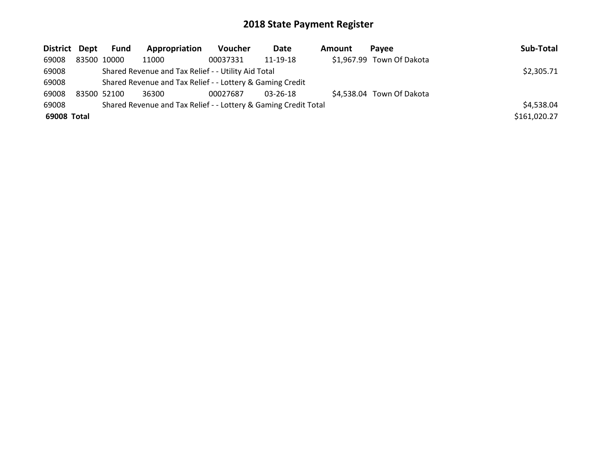| District Dept | Fund        | Appropriation                                                   | <b>Voucher</b> | Date           | <b>Amount</b> | <b>Pavee</b>              | Sub-Total    |
|---------------|-------------|-----------------------------------------------------------------|----------------|----------------|---------------|---------------------------|--------------|
| 69008         | 83500 10000 | 11000                                                           | 00037331       | 11-19-18       |               | \$1,967.99 Town Of Dakota |              |
| 69008         |             | Shared Revenue and Tax Relief - - Utility Aid Total             |                |                |               |                           | \$2,305.71   |
| 69008         |             | Shared Revenue and Tax Relief - - Lottery & Gaming Credit       |                |                |               |                           |              |
| 69008         | 83500 52100 | 36300                                                           | 00027687       | $03 - 26 - 18$ |               | \$4,538.04 Town Of Dakota |              |
| 69008         |             | Shared Revenue and Tax Relief - - Lottery & Gaming Credit Total |                |                |               |                           | \$4,538.04   |
| 69008 Total   |             |                                                                 |                |                |               |                           | \$161,020.27 |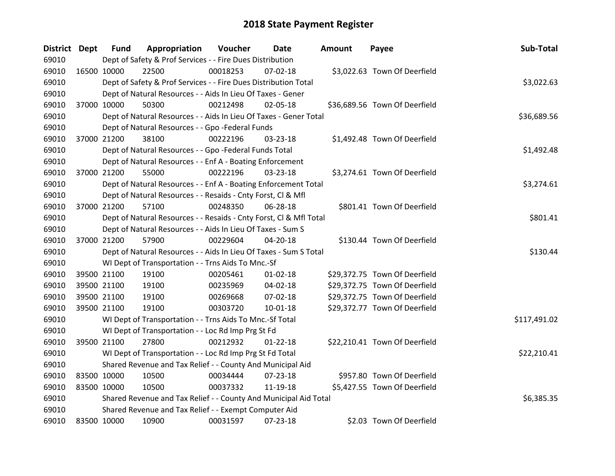| <b>District Dept</b> |             | <b>Fund</b> | Appropriation                                                      | Voucher  | Date           | Amount | Payee                         | Sub-Total    |
|----------------------|-------------|-------------|--------------------------------------------------------------------|----------|----------------|--------|-------------------------------|--------------|
| 69010                |             |             | Dept of Safety & Prof Services - - Fire Dues Distribution          |          |                |        |                               |              |
| 69010                | 16500 10000 |             | 22500                                                              | 00018253 | 07-02-18       |        | \$3,022.63 Town Of Deerfield  |              |
| 69010                |             |             | Dept of Safety & Prof Services - - Fire Dues Distribution Total    |          |                |        |                               | \$3,022.63   |
| 69010                |             |             | Dept of Natural Resources - - Aids In Lieu Of Taxes - Gener        |          |                |        |                               |              |
| 69010                | 37000 10000 |             | 50300                                                              | 00212498 | 02-05-18       |        | \$36,689.56 Town Of Deerfield |              |
| 69010                |             |             | Dept of Natural Resources - - Aids In Lieu Of Taxes - Gener Total  |          |                |        |                               | \$36,689.56  |
| 69010                |             |             | Dept of Natural Resources - - Gpo -Federal Funds                   |          |                |        |                               |              |
| 69010                | 37000 21200 |             | 38100                                                              | 00222196 | 03-23-18       |        | \$1,492.48 Town Of Deerfield  |              |
| 69010                |             |             | Dept of Natural Resources - - Gpo -Federal Funds Total             |          |                |        |                               | \$1,492.48   |
| 69010                |             |             | Dept of Natural Resources - - Enf A - Boating Enforcement          |          |                |        |                               |              |
| 69010                | 37000 21200 |             | 55000                                                              | 00222196 | 03-23-18       |        | \$3,274.61 Town Of Deerfield  |              |
| 69010                |             |             | Dept of Natural Resources - - Enf A - Boating Enforcement Total    |          |                |        |                               | \$3,274.61   |
| 69010                |             |             | Dept of Natural Resources - - Resaids - Cnty Forst, CI & Mfl       |          |                |        |                               |              |
| 69010                | 37000 21200 |             | 57100                                                              | 00248350 | 06-28-18       |        | \$801.41 Town Of Deerfield    |              |
| 69010                |             |             | Dept of Natural Resources - - Resaids - Cnty Forst, CI & Mfl Total |          |                |        |                               | \$801.41     |
| 69010                |             |             | Dept of Natural Resources - - Aids In Lieu Of Taxes - Sum S        |          |                |        |                               |              |
| 69010                | 37000 21200 |             | 57900                                                              | 00229604 | 04-20-18       |        | \$130.44 Town Of Deerfield    |              |
| 69010                |             |             | Dept of Natural Resources - - Aids In Lieu Of Taxes - Sum S Total  |          |                |        |                               | \$130.44     |
| 69010                |             |             | WI Dept of Transportation - - Trns Aids To Mnc.-Sf                 |          |                |        |                               |              |
| 69010                | 39500 21100 |             | 19100                                                              | 00205461 | $01 - 02 - 18$ |        | \$29,372.75 Town Of Deerfield |              |
| 69010                | 39500 21100 |             | 19100                                                              | 00235969 | 04-02-18       |        | \$29,372.75 Town Of Deerfield |              |
| 69010                | 39500 21100 |             | 19100                                                              | 00269668 | 07-02-18       |        | \$29,372.75 Town Of Deerfield |              |
| 69010                | 39500 21100 |             | 19100                                                              | 00303720 | 10-01-18       |        | \$29,372.77 Town Of Deerfield |              |
| 69010                |             |             | WI Dept of Transportation - - Trns Aids To Mnc.-Sf Total           |          |                |        |                               | \$117,491.02 |
| 69010                |             |             | WI Dept of Transportation - - Loc Rd Imp Prg St Fd                 |          |                |        |                               |              |
| 69010                | 39500 21100 |             | 27800                                                              | 00212932 | $01 - 22 - 18$ |        | \$22,210.41 Town Of Deerfield |              |
| 69010                |             |             | WI Dept of Transportation - - Loc Rd Imp Prg St Fd Total           |          |                |        |                               | \$22,210.41  |
| 69010                |             |             | Shared Revenue and Tax Relief - - County And Municipal Aid         |          |                |        |                               |              |
| 69010                | 83500 10000 |             | 10500                                                              | 00034444 | 07-23-18       |        | \$957.80 Town Of Deerfield    |              |
| 69010                | 83500 10000 |             | 10500                                                              | 00037332 | 11-19-18       |        | \$5,427.55 Town Of Deerfield  |              |
| 69010                |             |             | Shared Revenue and Tax Relief - - County And Municipal Aid Total   |          |                |        |                               | \$6,385.35   |
| 69010                |             |             | Shared Revenue and Tax Relief - - Exempt Computer Aid              |          |                |        |                               |              |
| 69010                | 83500 10000 |             | 10900                                                              | 00031597 | 07-23-18       |        | \$2.03 Town Of Deerfield      |              |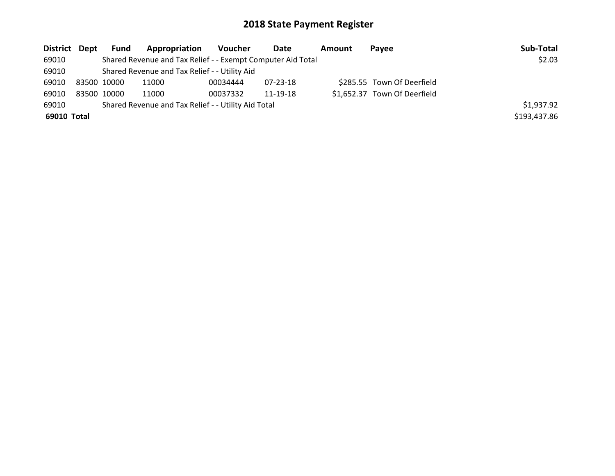| District Dept | Fund        | <b>Appropriation</b>                                        | Voucher  | Date     | <b>Amount</b> | Pavee                        | Sub-Total    |
|---------------|-------------|-------------------------------------------------------------|----------|----------|---------------|------------------------------|--------------|
| 69010         |             | Shared Revenue and Tax Relief - - Exempt Computer Aid Total |          |          |               |                              | \$2.03       |
| 69010         |             | Shared Revenue and Tax Relief - - Utility Aid               |          |          |               |                              |              |
| 69010         | 83500 10000 | 11000                                                       | 00034444 | 07-23-18 |               | \$285.55 Town Of Deerfield   |              |
| 69010         | 83500 10000 | 11000                                                       | 00037332 | 11-19-18 |               | \$1,652.37 Town Of Deerfield |              |
| 69010         |             | Shared Revenue and Tax Relief - - Utility Aid Total         |          |          |               |                              | \$1,937.92   |
| 69010 Total   |             |                                                             |          |          |               |                              | \$193,437.86 |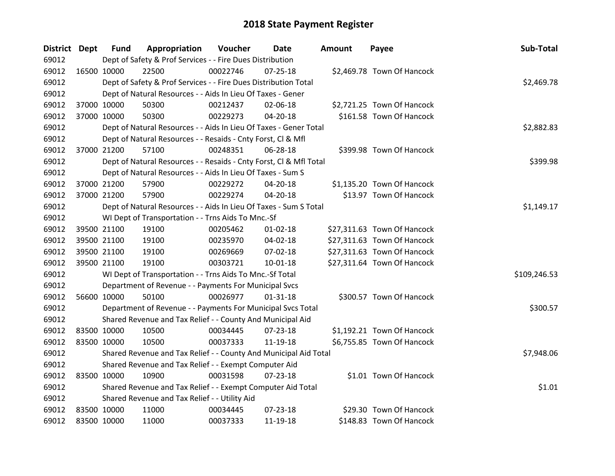| <b>District Dept</b> |             | <b>Fund</b> | Appropriation                                                      | Voucher  | Date           | <b>Amount</b> | Payee                       | Sub-Total    |
|----------------------|-------------|-------------|--------------------------------------------------------------------|----------|----------------|---------------|-----------------------------|--------------|
| 69012                |             |             | Dept of Safety & Prof Services - - Fire Dues Distribution          |          |                |               |                             |              |
| 69012                | 16500 10000 |             | 22500                                                              | 00022746 | $07 - 25 - 18$ |               | \$2,469.78 Town Of Hancock  |              |
| 69012                |             |             | Dept of Safety & Prof Services - - Fire Dues Distribution Total    |          |                |               |                             | \$2,469.78   |
| 69012                |             |             | Dept of Natural Resources - - Aids In Lieu Of Taxes - Gener        |          |                |               |                             |              |
| 69012                | 37000 10000 |             | 50300                                                              | 00212437 | 02-06-18       |               | \$2,721.25 Town Of Hancock  |              |
| 69012                |             | 37000 10000 | 50300                                                              | 00229273 | $04 - 20 - 18$ |               | \$161.58 Town Of Hancock    |              |
| 69012                |             |             | Dept of Natural Resources - - Aids In Lieu Of Taxes - Gener Total  |          |                |               |                             | \$2,882.83   |
| 69012                |             |             | Dept of Natural Resources - - Resaids - Cnty Forst, CI & Mfl       |          |                |               |                             |              |
| 69012                | 37000 21200 |             | 57100                                                              | 00248351 | 06-28-18       |               | \$399.98 Town Of Hancock    |              |
| 69012                |             |             | Dept of Natural Resources - - Resaids - Cnty Forst, Cl & Mfl Total |          |                |               |                             | \$399.98     |
| 69012                |             |             | Dept of Natural Resources - - Aids In Lieu Of Taxes - Sum S        |          |                |               |                             |              |
| 69012                | 37000 21200 |             | 57900                                                              | 00229272 | 04-20-18       |               | \$1,135.20 Town Of Hancock  |              |
| 69012                | 37000 21200 |             | 57900                                                              | 00229274 | 04-20-18       |               | \$13.97 Town Of Hancock     |              |
| 69012                |             |             | Dept of Natural Resources - - Aids In Lieu Of Taxes - Sum S Total  |          |                |               |                             | \$1,149.17   |
| 69012                |             |             | WI Dept of Transportation - - Trns Aids To Mnc.-Sf                 |          |                |               |                             |              |
| 69012                |             | 39500 21100 | 19100                                                              | 00205462 | $01 - 02 - 18$ |               | \$27,311.63 Town Of Hancock |              |
| 69012                | 39500 21100 |             | 19100                                                              | 00235970 | 04-02-18       |               | \$27,311.63 Town Of Hancock |              |
| 69012                | 39500 21100 |             | 19100                                                              | 00269669 | 07-02-18       |               | \$27,311.63 Town Of Hancock |              |
| 69012                |             | 39500 21100 | 19100                                                              | 00303721 | $10 - 01 - 18$ |               | \$27,311.64 Town Of Hancock |              |
| 69012                |             |             | WI Dept of Transportation - - Trns Aids To Mnc.-Sf Total           |          |                |               |                             | \$109,246.53 |
| 69012                |             |             | Department of Revenue - - Payments For Municipal Svcs              |          |                |               |                             |              |
| 69012                | 56600 10000 |             | 50100                                                              | 00026977 | $01 - 31 - 18$ |               | \$300.57 Town Of Hancock    |              |
| 69012                |             |             | Department of Revenue - - Payments For Municipal Svcs Total        |          |                |               |                             | \$300.57     |
| 69012                |             |             | Shared Revenue and Tax Relief - - County And Municipal Aid         |          |                |               |                             |              |
| 69012                | 83500 10000 |             | 10500                                                              | 00034445 | 07-23-18       |               | \$1,192.21 Town Of Hancock  |              |
| 69012                | 83500 10000 |             | 10500                                                              | 00037333 | 11-19-18       |               | \$6,755.85 Town Of Hancock  |              |
| 69012                |             |             | Shared Revenue and Tax Relief - - County And Municipal Aid Total   |          |                |               |                             | \$7,948.06   |
| 69012                |             |             | Shared Revenue and Tax Relief - - Exempt Computer Aid              |          |                |               |                             |              |
| 69012                | 83500 10000 |             | 10900                                                              | 00031598 | $07 - 23 - 18$ |               | \$1.01 Town Of Hancock      |              |
| 69012                |             |             | Shared Revenue and Tax Relief - - Exempt Computer Aid Total        |          |                |               |                             | \$1.01       |
| 69012                |             |             | Shared Revenue and Tax Relief - - Utility Aid                      |          |                |               |                             |              |
| 69012                | 83500 10000 |             | 11000                                                              | 00034445 | 07-23-18       |               | \$29.30 Town Of Hancock     |              |
| 69012                | 83500 10000 |             | 11000                                                              | 00037333 | 11-19-18       |               | \$148.83 Town Of Hancock    |              |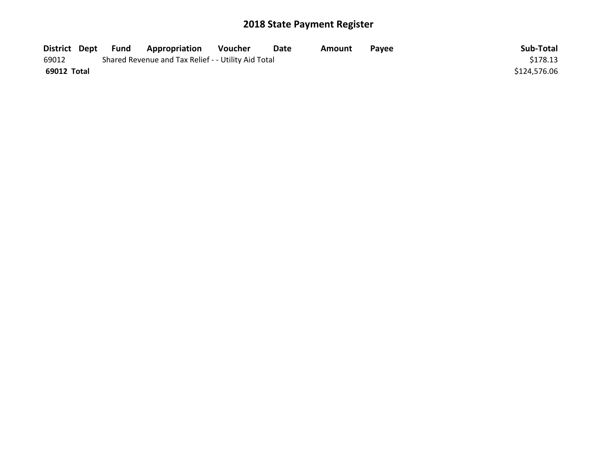| District Dept | Fund | <b>Appropriation</b>                                | Voucher | Date | Amount | <b>Pavee</b> | Sub-Total    |
|---------------|------|-----------------------------------------------------|---------|------|--------|--------------|--------------|
| 69012         |      | Shared Revenue and Tax Relief - - Utility Aid Total |         |      |        |              | \$178.13     |
| 69012 Total   |      |                                                     |         |      |        |              | \$124,576.06 |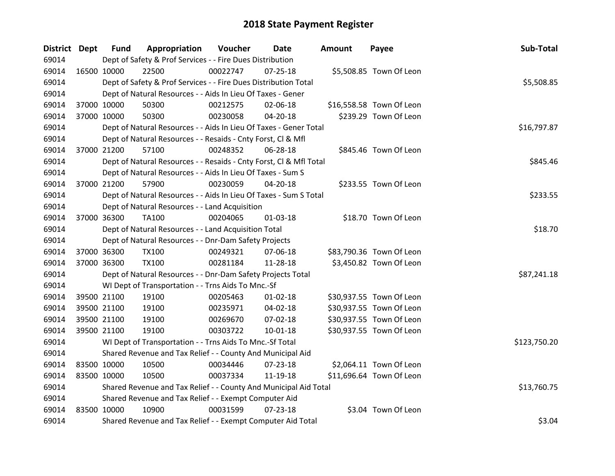| District Dept |             | <b>Fund</b> | Appropriation                                                      | Voucher  | Date           | <b>Amount</b> | Payee                    | Sub-Total    |
|---------------|-------------|-------------|--------------------------------------------------------------------|----------|----------------|---------------|--------------------------|--------------|
| 69014         |             |             | Dept of Safety & Prof Services - - Fire Dues Distribution          |          |                |               |                          |              |
| 69014         | 16500 10000 |             | 22500                                                              | 00022747 | $07 - 25 - 18$ |               | \$5,508.85 Town Of Leon  |              |
| 69014         |             |             | Dept of Safety & Prof Services - - Fire Dues Distribution Total    |          |                |               |                          | \$5,508.85   |
| 69014         |             |             | Dept of Natural Resources - - Aids In Lieu Of Taxes - Gener        |          |                |               |                          |              |
| 69014         | 37000 10000 |             | 50300                                                              | 00212575 | 02-06-18       |               | \$16,558.58 Town Of Leon |              |
| 69014         | 37000 10000 |             | 50300                                                              | 00230058 | 04-20-18       |               | \$239.29 Town Of Leon    |              |
| 69014         |             |             | Dept of Natural Resources - - Aids In Lieu Of Taxes - Gener Total  |          |                |               |                          | \$16,797.87  |
| 69014         |             |             | Dept of Natural Resources - - Resaids - Cnty Forst, Cl & Mfl       |          |                |               |                          |              |
| 69014         | 37000 21200 |             | 57100                                                              | 00248352 | 06-28-18       |               | \$845.46 Town Of Leon    |              |
| 69014         |             |             | Dept of Natural Resources - - Resaids - Cnty Forst, Cl & Mfl Total |          |                |               |                          | \$845.46     |
| 69014         |             |             | Dept of Natural Resources - - Aids In Lieu Of Taxes - Sum S        |          |                |               |                          |              |
| 69014         | 37000 21200 |             | 57900                                                              | 00230059 | 04-20-18       |               | \$233.55 Town Of Leon    |              |
| 69014         |             |             | Dept of Natural Resources - - Aids In Lieu Of Taxes - Sum S Total  |          |                |               |                          | \$233.55     |
| 69014         |             |             | Dept of Natural Resources - - Land Acquisition                     |          |                |               |                          |              |
| 69014         | 37000 36300 |             | <b>TA100</b>                                                       | 00204065 | $01 - 03 - 18$ |               | \$18.70 Town Of Leon     |              |
| 69014         |             |             | Dept of Natural Resources - - Land Acquisition Total               |          |                |               |                          | \$18.70      |
| 69014         |             |             | Dept of Natural Resources - - Dnr-Dam Safety Projects              |          |                |               |                          |              |
| 69014         | 37000 36300 |             | <b>TX100</b>                                                       | 00249321 | 07-06-18       |               | \$83,790.36 Town Of Leon |              |
| 69014         | 37000 36300 |             | <b>TX100</b>                                                       | 00281184 | 11-28-18       |               | \$3,450.82 Town Of Leon  |              |
| 69014         |             |             | Dept of Natural Resources - - Dnr-Dam Safety Projects Total        |          |                |               |                          | \$87,241.18  |
| 69014         |             |             | WI Dept of Transportation - - Trns Aids To Mnc.-Sf                 |          |                |               |                          |              |
| 69014         | 39500 21100 |             | 19100                                                              | 00205463 | $01 - 02 - 18$ |               | \$30,937.55 Town Of Leon |              |
| 69014         | 39500 21100 |             | 19100                                                              | 00235971 | 04-02-18       |               | \$30,937.55 Town Of Leon |              |
| 69014         | 39500 21100 |             | 19100                                                              | 00269670 | 07-02-18       |               | \$30,937.55 Town Of Leon |              |
| 69014         | 39500 21100 |             | 19100                                                              | 00303722 | $10 - 01 - 18$ |               | \$30,937.55 Town Of Leon |              |
| 69014         |             |             | WI Dept of Transportation - - Trns Aids To Mnc.-Sf Total           |          |                |               |                          | \$123,750.20 |
| 69014         |             |             | Shared Revenue and Tax Relief - - County And Municipal Aid         |          |                |               |                          |              |
| 69014         | 83500 10000 |             | 10500                                                              | 00034446 | $07 - 23 - 18$ |               | \$2,064.11 Town Of Leon  |              |
| 69014         | 83500 10000 |             | 10500                                                              | 00037334 | 11-19-18       |               | \$11,696.64 Town Of Leon |              |
| 69014         |             |             | Shared Revenue and Tax Relief - - County And Municipal Aid Total   |          |                |               |                          | \$13,760.75  |
| 69014         |             |             | Shared Revenue and Tax Relief - - Exempt Computer Aid              |          |                |               |                          |              |
| 69014         | 83500 10000 |             | 10900                                                              | 00031599 | $07 - 23 - 18$ |               | \$3.04 Town Of Leon      |              |
| 69014         |             |             | Shared Revenue and Tax Relief - - Exempt Computer Aid Total        |          |                |               |                          | \$3.04       |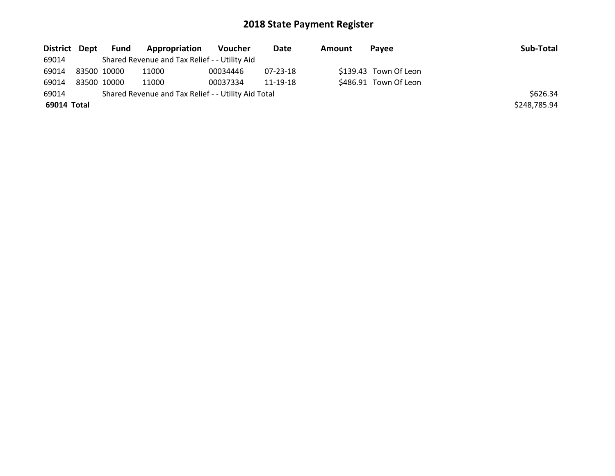| District Dept | Fund        | Appropriation                                       | Voucher  | Date     | Amount | Pavee                 | Sub-Total    |
|---------------|-------------|-----------------------------------------------------|----------|----------|--------|-----------------------|--------------|
| 69014         |             | Shared Revenue and Tax Relief - - Utility Aid       |          |          |        |                       |              |
| 69014         | 83500 10000 | 11000                                               | 00034446 | 07-23-18 |        | \$139.43 Town Of Leon |              |
| 69014         | 83500 10000 | 11000                                               | 00037334 | 11-19-18 |        | \$486.91 Town Of Leon |              |
| 69014         |             | Shared Revenue and Tax Relief - - Utility Aid Total |          |          |        |                       | \$626.34     |
| 69014 Total   |             |                                                     |          |          |        |                       | \$248,785.94 |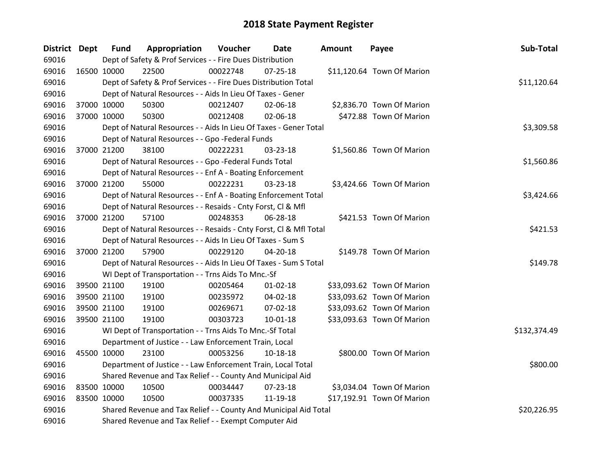| District Dept |             | <b>Fund</b> | Appropriation                                                      | Voucher  | Date           | <b>Amount</b> | Payee                      | Sub-Total    |
|---------------|-------------|-------------|--------------------------------------------------------------------|----------|----------------|---------------|----------------------------|--------------|
| 69016         |             |             | Dept of Safety & Prof Services - - Fire Dues Distribution          |          |                |               |                            |              |
| 69016         | 16500 10000 |             | 22500                                                              | 00022748 | $07 - 25 - 18$ |               | \$11,120.64 Town Of Marion |              |
| 69016         |             |             | Dept of Safety & Prof Services - - Fire Dues Distribution Total    |          |                |               |                            | \$11,120.64  |
| 69016         |             |             | Dept of Natural Resources - - Aids In Lieu Of Taxes - Gener        |          |                |               |                            |              |
| 69016         |             | 37000 10000 | 50300                                                              | 00212407 | 02-06-18       |               | \$2,836.70 Town Of Marion  |              |
| 69016         |             | 37000 10000 | 50300                                                              | 00212408 | 02-06-18       |               | \$472.88 Town Of Marion    |              |
| 69016         |             |             | Dept of Natural Resources - - Aids In Lieu Of Taxes - Gener Total  |          |                |               |                            | \$3,309.58   |
| 69016         |             |             | Dept of Natural Resources - - Gpo -Federal Funds                   |          |                |               |                            |              |
| 69016         |             | 37000 21200 | 38100                                                              | 00222231 | 03-23-18       |               | \$1,560.86 Town Of Marion  |              |
| 69016         |             |             | Dept of Natural Resources - - Gpo -Federal Funds Total             |          |                |               |                            | \$1,560.86   |
| 69016         |             |             | Dept of Natural Resources - - Enf A - Boating Enforcement          |          |                |               |                            |              |
| 69016         |             | 37000 21200 | 55000                                                              | 00222231 | 03-23-18       |               | \$3,424.66 Town Of Marion  |              |
| 69016         |             |             | Dept of Natural Resources - - Enf A - Boating Enforcement Total    |          |                |               |                            | \$3,424.66   |
| 69016         |             |             | Dept of Natural Resources - - Resaids - Cnty Forst, CI & Mfl       |          |                |               |                            |              |
| 69016         | 37000 21200 |             | 57100                                                              | 00248353 | 06-28-18       |               | \$421.53 Town Of Marion    |              |
| 69016         |             |             | Dept of Natural Resources - - Resaids - Cnty Forst, CI & Mfl Total |          |                |               |                            | \$421.53     |
| 69016         |             |             | Dept of Natural Resources - - Aids In Lieu Of Taxes - Sum S        |          |                |               |                            |              |
| 69016         |             | 37000 21200 | 57900                                                              | 00229120 | 04-20-18       |               | \$149.78 Town Of Marion    |              |
| 69016         |             |             | Dept of Natural Resources - - Aids In Lieu Of Taxes - Sum S Total  |          |                |               |                            | \$149.78     |
| 69016         |             |             | WI Dept of Transportation - - Trns Aids To Mnc.-Sf                 |          |                |               |                            |              |
| 69016         |             | 39500 21100 | 19100                                                              | 00205464 | $01 - 02 - 18$ |               | \$33,093.62 Town Of Marion |              |
| 69016         |             | 39500 21100 | 19100                                                              | 00235972 | 04-02-18       |               | \$33,093.62 Town Of Marion |              |
| 69016         |             | 39500 21100 | 19100                                                              | 00269671 | 07-02-18       |               | \$33,093.62 Town Of Marion |              |
| 69016         |             | 39500 21100 | 19100                                                              | 00303723 | 10-01-18       |               | \$33,093.63 Town Of Marion |              |
| 69016         |             |             | WI Dept of Transportation - - Trns Aids To Mnc.-Sf Total           |          |                |               |                            | \$132,374.49 |
| 69016         |             |             | Department of Justice - - Law Enforcement Train, Local             |          |                |               |                            |              |
| 69016         | 45500 10000 |             | 23100                                                              | 00053256 | 10-18-18       |               | \$800.00 Town Of Marion    |              |
| 69016         |             |             | Department of Justice - - Law Enforcement Train, Local Total       |          |                |               |                            | \$800.00     |
| 69016         |             |             | Shared Revenue and Tax Relief - - County And Municipal Aid         |          |                |               |                            |              |
| 69016         |             | 83500 10000 | 10500                                                              | 00034447 | 07-23-18       |               | \$3,034.04 Town Of Marion  |              |
| 69016         |             | 83500 10000 | 10500                                                              | 00037335 | 11-19-18       |               | \$17,192.91 Town Of Marion |              |
| 69016         |             |             | Shared Revenue and Tax Relief - - County And Municipal Aid Total   |          |                |               |                            | \$20,226.95  |
| 69016         |             |             | Shared Revenue and Tax Relief - - Exempt Computer Aid              |          |                |               |                            |              |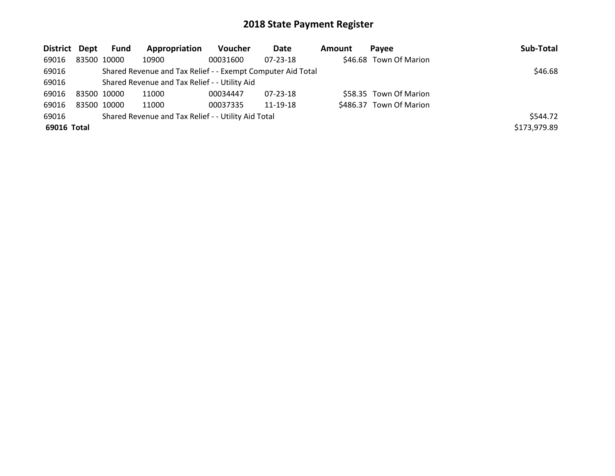| District Dept |             | Fund | Appropriation                                               | <b>Voucher</b> | Date           | Amount | Pavee                   | Sub-Total    |
|---------------|-------------|------|-------------------------------------------------------------|----------------|----------------|--------|-------------------------|--------------|
| 69016         | 83500 10000 |      | 10900                                                       | 00031600       | $07 - 23 - 18$ |        | \$46.68 Town Of Marion  |              |
| 69016         |             |      | Shared Revenue and Tax Relief - - Exempt Computer Aid Total |                |                |        |                         | \$46.68      |
| 69016         |             |      | Shared Revenue and Tax Relief - - Utility Aid               |                |                |        |                         |              |
| 69016         | 83500 10000 |      | 11000                                                       | 00034447       | 07-23-18       |        | \$58.35 Town Of Marion  |              |
| 69016         | 83500 10000 |      | 11000                                                       | 00037335       | 11-19-18       |        | \$486.37 Town Of Marion |              |
| 69016         |             |      | Shared Revenue and Tax Relief - - Utility Aid Total         |                |                |        |                         | \$544.72     |
| 69016 Total   |             |      |                                                             |                |                |        |                         | \$173,979.89 |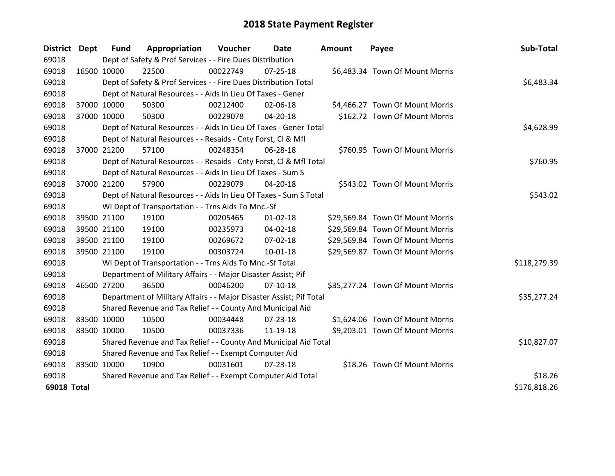| District Dept      |             | <b>Fund</b> | Appropriation                                                       | Voucher  | Date           | <b>Amount</b> | Payee                            | Sub-Total    |
|--------------------|-------------|-------------|---------------------------------------------------------------------|----------|----------------|---------------|----------------------------------|--------------|
| 69018              |             |             | Dept of Safety & Prof Services - - Fire Dues Distribution           |          |                |               |                                  |              |
| 69018              | 16500 10000 |             | 22500                                                               | 00022749 | $07 - 25 - 18$ |               | \$6,483.34 Town Of Mount Morris  |              |
| 69018              |             |             | Dept of Safety & Prof Services - - Fire Dues Distribution Total     |          |                |               |                                  | \$6,483.34   |
| 69018              |             |             | Dept of Natural Resources - - Aids In Lieu Of Taxes - Gener         |          |                |               |                                  |              |
| 69018              | 37000 10000 |             | 50300                                                               | 00212400 | 02-06-18       |               | \$4,466.27 Town Of Mount Morris  |              |
| 69018              | 37000 10000 |             | 50300                                                               | 00229078 | 04-20-18       |               | \$162.72 Town Of Mount Morris    |              |
| 69018              |             |             | Dept of Natural Resources - - Aids In Lieu Of Taxes - Gener Total   |          | \$4,628.99     |               |                                  |              |
| 69018              |             |             | Dept of Natural Resources - - Resaids - Cnty Forst, Cl & Mfl        |          |                |               |                                  |              |
| 69018              | 37000 21200 |             | 57100                                                               | 00248354 | 06-28-18       |               | \$760.95 Town Of Mount Morris    |              |
| 69018              |             |             | Dept of Natural Resources - - Resaids - Cnty Forst, Cl & Mfl Total  |          |                |               |                                  | \$760.95     |
| 69018              |             |             | Dept of Natural Resources - - Aids In Lieu Of Taxes - Sum S         |          |                |               |                                  |              |
| 69018              | 37000 21200 |             | 57900                                                               | 00229079 | 04-20-18       |               | \$543.02 Town Of Mount Morris    |              |
| 69018              |             |             | Dept of Natural Resources - - Aids In Lieu Of Taxes - Sum S Total   |          |                |               |                                  | \$543.02     |
| 69018              |             |             | WI Dept of Transportation - - Trns Aids To Mnc.-Sf                  |          |                |               |                                  |              |
| 69018              | 39500 21100 |             | 19100                                                               | 00205465 | $01 - 02 - 18$ |               | \$29,569.84 Town Of Mount Morris |              |
| 69018              | 39500 21100 |             | 19100                                                               | 00235973 | $04 - 02 - 18$ |               | \$29,569.84 Town Of Mount Morris |              |
| 69018              | 39500 21100 |             | 19100                                                               | 00269672 | 07-02-18       |               | \$29,569.84 Town Of Mount Morris |              |
| 69018              | 39500 21100 |             | 19100                                                               | 00303724 | $10 - 01 - 18$ |               | \$29,569.87 Town Of Mount Morris |              |
| 69018              |             |             | WI Dept of Transportation - - Trns Aids To Mnc.-Sf Total            |          |                |               |                                  | \$118,279.39 |
| 69018              |             |             | Department of Military Affairs - - Major Disaster Assist; Pif       |          |                |               |                                  |              |
| 69018              | 46500 27200 |             | 36500                                                               | 00046200 | $07-10-18$     |               | \$35,277.24 Town Of Mount Morris |              |
| 69018              |             |             | Department of Military Affairs - - Major Disaster Assist; Pif Total |          |                |               |                                  | \$35,277.24  |
| 69018              |             |             | Shared Revenue and Tax Relief - - County And Municipal Aid          |          |                |               |                                  |              |
| 69018              | 83500 10000 |             | 10500                                                               | 00034448 | $07 - 23 - 18$ |               | \$1,624.06 Town Of Mount Morris  |              |
| 69018              | 83500 10000 |             | 10500                                                               | 00037336 | 11-19-18       |               | \$9,203.01 Town Of Mount Morris  |              |
| 69018              |             |             | Shared Revenue and Tax Relief - - County And Municipal Aid Total    |          |                |               |                                  | \$10,827.07  |
| 69018              |             |             | Shared Revenue and Tax Relief - - Exempt Computer Aid               |          |                |               |                                  |              |
| 69018              | 83500 10000 |             | 10900                                                               | 00031601 | $07 - 23 - 18$ |               | \$18.26 Town Of Mount Morris     |              |
| 69018              |             |             | Shared Revenue and Tax Relief - - Exempt Computer Aid Total         |          |                |               |                                  | \$18.26      |
| <b>69018 Total</b> |             |             |                                                                     |          |                |               |                                  | \$176,818.26 |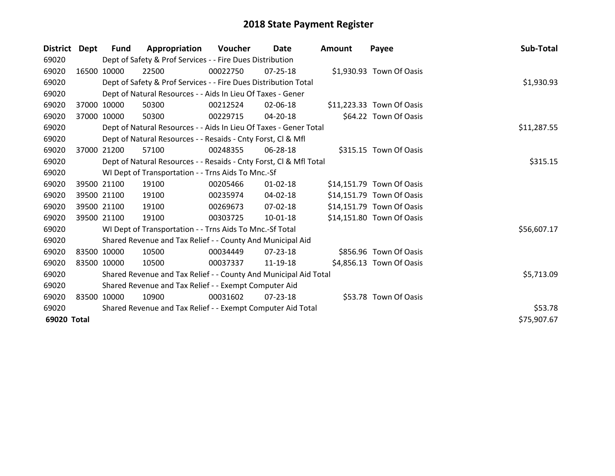| District Dept | <b>Fund</b> | Appropriation                                                      | Voucher  | Date           | <b>Amount</b> | Payee                     | Sub-Total   |
|---------------|-------------|--------------------------------------------------------------------|----------|----------------|---------------|---------------------------|-------------|
| 69020         |             | Dept of Safety & Prof Services - - Fire Dues Distribution          |          |                |               |                           |             |
| 69020         | 16500 10000 | 22500                                                              | 00022750 | $07 - 25 - 18$ |               | \$1,930.93 Town Of Oasis  |             |
| 69020         |             | Dept of Safety & Prof Services - - Fire Dues Distribution Total    |          |                |               |                           | \$1,930.93  |
| 69020         |             | Dept of Natural Resources - - Aids In Lieu Of Taxes - Gener        |          |                |               |                           |             |
| 69020         | 37000 10000 | 50300                                                              | 00212524 | 02-06-18       |               | \$11,223.33 Town Of Oasis |             |
| 69020         | 37000 10000 | 50300                                                              | 00229715 | 04-20-18       |               | \$64.22 Town Of Oasis     |             |
| 69020         |             | Dept of Natural Resources - - Aids In Lieu Of Taxes - Gener Total  |          |                |               |                           | \$11,287.55 |
| 69020         |             | Dept of Natural Resources - - Resaids - Cnty Forst, Cl & Mfl       |          |                |               |                           |             |
| 69020         | 37000 21200 | 57100                                                              | 00248355 | 06-28-18       |               | \$315.15 Town Of Oasis    |             |
| 69020         |             | Dept of Natural Resources - - Resaids - Cnty Forst, CI & Mfl Total |          |                |               |                           | \$315.15    |
| 69020         |             | WI Dept of Transportation - - Trns Aids To Mnc.-Sf                 |          |                |               |                           |             |
| 69020         | 39500 21100 | 19100                                                              | 00205466 | $01 - 02 - 18$ |               | \$14,151.79 Town Of Oasis |             |
| 69020         | 39500 21100 | 19100                                                              | 00235974 | 04-02-18       |               | \$14,151.79 Town Of Oasis |             |
| 69020         | 39500 21100 | 19100                                                              | 00269673 | $07 - 02 - 18$ |               | \$14,151.79 Town Of Oasis |             |
| 69020         | 39500 21100 | 19100                                                              | 00303725 | 10-01-18       |               | \$14,151.80 Town Of Oasis |             |
| 69020         |             | WI Dept of Transportation - - Trns Aids To Mnc.-Sf Total           |          |                |               |                           | \$56,607.17 |
| 69020         |             | Shared Revenue and Tax Relief - - County And Municipal Aid         |          |                |               |                           |             |
| 69020         | 83500 10000 | 10500                                                              | 00034449 | 07-23-18       |               | \$856.96 Town Of Oasis    |             |
| 69020         | 83500 10000 | 10500                                                              | 00037337 | 11-19-18       |               | \$4,856.13 Town Of Oasis  |             |
| 69020         |             | Shared Revenue and Tax Relief - - County And Municipal Aid Total   |          |                |               |                           | \$5,713.09  |
| 69020         |             | Shared Revenue and Tax Relief - - Exempt Computer Aid              |          |                |               |                           |             |
| 69020         | 83500 10000 | 10900                                                              | 00031602 | $07 - 23 - 18$ |               | \$53.78 Town Of Oasis     |             |
| 69020         |             | Shared Revenue and Tax Relief - - Exempt Computer Aid Total        |          |                |               |                           | \$53.78     |
| 69020 Total   |             |                                                                    |          |                |               |                           | \$75,907.67 |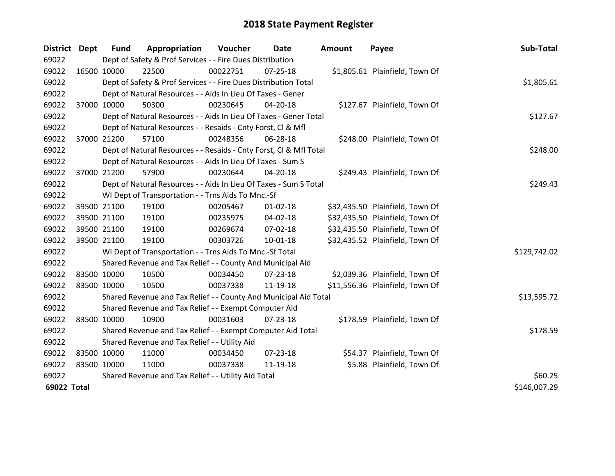| District Dept |             | <b>Fund</b> | Appropriation                                                      | Voucher  | Date           | <b>Amount</b> | Payee                           | Sub-Total    |
|---------------|-------------|-------------|--------------------------------------------------------------------|----------|----------------|---------------|---------------------------------|--------------|
| 69022         |             |             | Dept of Safety & Prof Services - - Fire Dues Distribution          |          |                |               |                                 |              |
| 69022         | 16500 10000 |             | 22500                                                              | 00022751 | $07 - 25 - 18$ |               | \$1,805.61 Plainfield, Town Of  |              |
| 69022         |             |             | Dept of Safety & Prof Services - - Fire Dues Distribution Total    |          |                |               |                                 | \$1,805.61   |
| 69022         |             |             | Dept of Natural Resources - - Aids In Lieu Of Taxes - Gener        |          |                |               |                                 |              |
| 69022         |             | 37000 10000 | 50300                                                              | 00230645 | 04-20-18       |               | \$127.67 Plainfield, Town Of    |              |
| 69022         |             |             | Dept of Natural Resources - - Aids In Lieu Of Taxes - Gener Total  |          |                |               |                                 | \$127.67     |
| 69022         |             |             | Dept of Natural Resources - - Resaids - Cnty Forst, Cl & Mfl       |          |                |               |                                 |              |
| 69022         |             | 37000 21200 | 57100                                                              | 00248356 | 06-28-18       |               | \$248.00 Plainfield, Town Of    |              |
| 69022         |             |             | Dept of Natural Resources - - Resaids - Cnty Forst, Cl & Mfl Total |          |                |               |                                 | \$248.00     |
| 69022         |             |             | Dept of Natural Resources - - Aids In Lieu Of Taxes - Sum S        |          |                |               |                                 |              |
| 69022         |             | 37000 21200 | 57900                                                              | 00230644 | $04 - 20 - 18$ |               | \$249.43 Plainfield, Town Of    |              |
| 69022         |             |             | Dept of Natural Resources - - Aids In Lieu Of Taxes - Sum S Total  |          |                |               |                                 | \$249.43     |
| 69022         |             |             | WI Dept of Transportation - - Trns Aids To Mnc.-Sf                 |          |                |               |                                 |              |
| 69022         |             | 39500 21100 | 19100                                                              | 00205467 | $01 - 02 - 18$ |               | \$32,435.50 Plainfield, Town Of |              |
| 69022         |             | 39500 21100 | 19100                                                              | 00235975 | 04-02-18       |               | \$32,435.50 Plainfield, Town Of |              |
| 69022         |             | 39500 21100 | 19100                                                              | 00269674 | 07-02-18       |               | \$32,435.50 Plainfield, Town Of |              |
| 69022         |             | 39500 21100 | 19100                                                              | 00303726 | $10 - 01 - 18$ |               | \$32,435.52 Plainfield, Town Of |              |
| 69022         |             |             | WI Dept of Transportation - - Trns Aids To Mnc.-Sf Total           |          |                |               |                                 | \$129,742.02 |
| 69022         |             |             | Shared Revenue and Tax Relief - - County And Municipal Aid         |          |                |               |                                 |              |
| 69022         | 83500 10000 |             | 10500                                                              | 00034450 | $07 - 23 - 18$ |               | \$2,039.36 Plainfield, Town Of  |              |
| 69022         | 83500 10000 |             | 10500                                                              | 00037338 | 11-19-18       |               | \$11,556.36 Plainfield, Town Of |              |
| 69022         |             |             | Shared Revenue and Tax Relief - - County And Municipal Aid Total   |          |                |               |                                 | \$13,595.72  |
| 69022         |             |             | Shared Revenue and Tax Relief - - Exempt Computer Aid              |          |                |               |                                 |              |
| 69022         | 83500 10000 |             | 10900                                                              | 00031603 | $07 - 23 - 18$ |               | \$178.59 Plainfield, Town Of    |              |
| 69022         |             |             | Shared Revenue and Tax Relief - - Exempt Computer Aid Total        |          |                |               |                                 | \$178.59     |
| 69022         |             |             | Shared Revenue and Tax Relief - - Utility Aid                      |          |                |               |                                 |              |
| 69022         | 83500 10000 |             | 11000                                                              | 00034450 | 07-23-18       |               | \$54.37 Plainfield, Town Of     |              |
| 69022         | 83500 10000 |             | 11000                                                              | 00037338 | 11-19-18       |               | \$5.88 Plainfield, Town Of      |              |
| 69022         |             |             | Shared Revenue and Tax Relief - - Utility Aid Total                |          |                |               |                                 | \$60.25      |
| 69022 Total   |             |             |                                                                    |          |                |               |                                 | \$146,007.29 |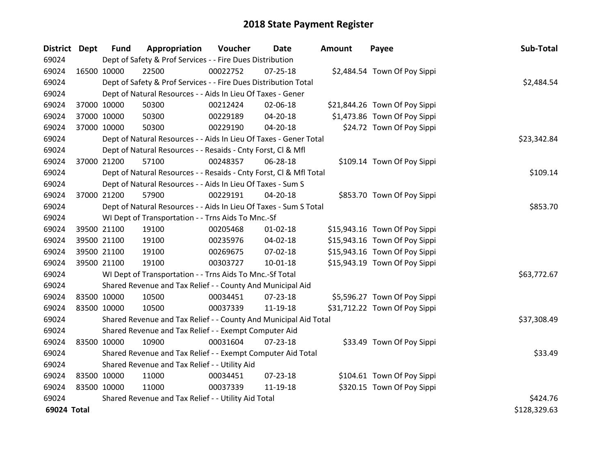| District Dept |             | <b>Fund</b> | Appropriation                                                      | Voucher  | Date           | <b>Amount</b> | Payee                         | Sub-Total    |
|---------------|-------------|-------------|--------------------------------------------------------------------|----------|----------------|---------------|-------------------------------|--------------|
| 69024         |             |             | Dept of Safety & Prof Services - - Fire Dues Distribution          |          |                |               |                               |              |
| 69024         | 16500 10000 |             | 22500                                                              | 00022752 | 07-25-18       |               | \$2,484.54 Town Of Poy Sippi  |              |
| 69024         |             |             | Dept of Safety & Prof Services - - Fire Dues Distribution Total    |          |                |               |                               | \$2,484.54   |
| 69024         |             |             | Dept of Natural Resources - - Aids In Lieu Of Taxes - Gener        |          |                |               |                               |              |
| 69024         | 37000 10000 |             | 50300                                                              | 00212424 | 02-06-18       |               | \$21,844.26 Town Of Poy Sippi |              |
| 69024         | 37000 10000 |             | 50300                                                              | 00229189 | 04-20-18       |               | \$1,473.86 Town Of Poy Sippi  |              |
| 69024         | 37000 10000 |             | 50300                                                              | 00229190 | 04-20-18       |               | \$24.72 Town Of Poy Sippi     |              |
| 69024         |             |             | Dept of Natural Resources - - Aids In Lieu Of Taxes - Gener Total  |          |                |               |                               | \$23,342.84  |
| 69024         |             |             | Dept of Natural Resources - - Resaids - Cnty Forst, Cl & Mfl       |          |                |               |                               |              |
| 69024         | 37000 21200 |             | 57100                                                              | 00248357 | 06-28-18       |               | \$109.14 Town Of Poy Sippi    |              |
| 69024         |             |             | Dept of Natural Resources - - Resaids - Cnty Forst, Cl & Mfl Total |          |                |               |                               | \$109.14     |
| 69024         |             |             | Dept of Natural Resources - - Aids In Lieu Of Taxes - Sum S        |          |                |               |                               |              |
| 69024         | 37000 21200 |             | 57900                                                              | 00229191 | $04 - 20 - 18$ |               | \$853.70 Town Of Poy Sippi    |              |
| 69024         |             |             | Dept of Natural Resources - - Aids In Lieu Of Taxes - Sum S Total  |          |                |               |                               | \$853.70     |
| 69024         |             |             | WI Dept of Transportation - - Trns Aids To Mnc.-Sf                 |          |                |               |                               |              |
| 69024         | 39500 21100 |             | 19100                                                              | 00205468 | $01 - 02 - 18$ |               | \$15,943.16 Town Of Poy Sippi |              |
| 69024         | 39500 21100 |             | 19100                                                              | 00235976 | 04-02-18       |               | \$15,943.16 Town Of Poy Sippi |              |
| 69024         | 39500 21100 |             | 19100                                                              | 00269675 | 07-02-18       |               | \$15,943.16 Town Of Poy Sippi |              |
| 69024         | 39500 21100 |             | 19100                                                              | 00303727 | $10 - 01 - 18$ |               | \$15,943.19 Town Of Poy Sippi |              |
| 69024         |             |             | WI Dept of Transportation - - Trns Aids To Mnc.-Sf Total           |          |                |               |                               | \$63,772.67  |
| 69024         |             |             | Shared Revenue and Tax Relief - - County And Municipal Aid         |          |                |               |                               |              |
| 69024         | 83500 10000 |             | 10500                                                              | 00034451 | 07-23-18       |               | \$5,596.27 Town Of Poy Sippi  |              |
| 69024         | 83500 10000 |             | 10500                                                              | 00037339 | 11-19-18       |               | \$31,712.22 Town Of Poy Sippi |              |
| 69024         |             |             | Shared Revenue and Tax Relief - - County And Municipal Aid Total   |          |                |               |                               | \$37,308.49  |
| 69024         |             |             | Shared Revenue and Tax Relief - - Exempt Computer Aid              |          |                |               |                               |              |
| 69024         | 83500 10000 |             | 10900                                                              | 00031604 | 07-23-18       |               | \$33.49 Town Of Poy Sippi     |              |
| 69024         |             |             | Shared Revenue and Tax Relief - - Exempt Computer Aid Total        |          |                |               |                               | \$33.49      |
| 69024         |             |             | Shared Revenue and Tax Relief - - Utility Aid                      |          |                |               |                               |              |
| 69024         | 83500 10000 |             | 11000                                                              | 00034451 | 07-23-18       |               | \$104.61 Town Of Poy Sippi    |              |
| 69024         | 83500 10000 |             | 11000                                                              | 00037339 | 11-19-18       |               | \$320.15 Town Of Poy Sippi    |              |
| 69024         |             |             | Shared Revenue and Tax Relief - - Utility Aid Total                |          |                |               |                               | \$424.76     |
| 69024 Total   |             |             |                                                                    |          |                |               |                               | \$128,329.63 |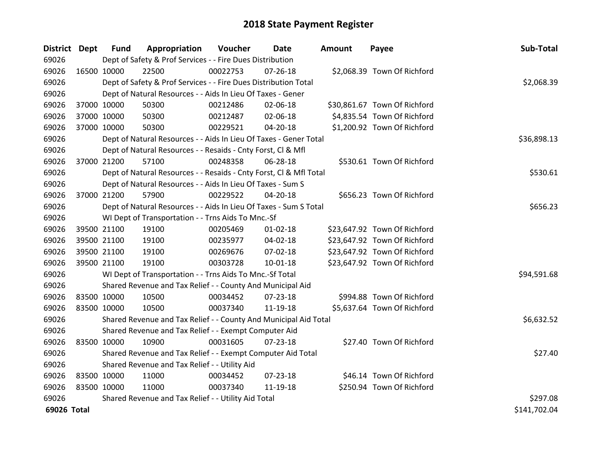| <b>District Dept</b> |             | <b>Fund</b> | Appropriation                                                      | Voucher  | <b>Date</b>    | Amount | Payee                        | Sub-Total    |
|----------------------|-------------|-------------|--------------------------------------------------------------------|----------|----------------|--------|------------------------------|--------------|
| 69026                |             |             | Dept of Safety & Prof Services - - Fire Dues Distribution          |          |                |        |                              |              |
| 69026                | 16500 10000 |             | 22500                                                              | 00022753 | 07-26-18       |        | \$2,068.39 Town Of Richford  |              |
| 69026                |             |             | Dept of Safety & Prof Services - - Fire Dues Distribution Total    |          |                |        |                              | \$2,068.39   |
| 69026                |             |             | Dept of Natural Resources - - Aids In Lieu Of Taxes - Gener        |          |                |        |                              |              |
| 69026                | 37000 10000 |             | 50300                                                              | 00212486 | 02-06-18       |        | \$30,861.67 Town Of Richford |              |
| 69026                | 37000 10000 |             | 50300                                                              | 00212487 | 02-06-18       |        | \$4,835.54 Town Of Richford  |              |
| 69026                |             | 37000 10000 | 50300                                                              | 00229521 | 04-20-18       |        | \$1,200.92 Town Of Richford  |              |
| 69026                |             |             | Dept of Natural Resources - - Aids In Lieu Of Taxes - Gener Total  |          |                |        |                              | \$36,898.13  |
| 69026                |             |             | Dept of Natural Resources - - Resaids - Cnty Forst, Cl & Mfl       |          |                |        |                              |              |
| 69026                |             | 37000 21200 | 57100                                                              | 00248358 | 06-28-18       |        | \$530.61 Town Of Richford    |              |
| 69026                |             |             | Dept of Natural Resources - - Resaids - Cnty Forst, Cl & Mfl Total |          |                |        |                              | \$530.61     |
| 69026                |             |             | Dept of Natural Resources - - Aids In Lieu Of Taxes - Sum S        |          |                |        |                              |              |
| 69026                |             | 37000 21200 | 57900                                                              | 00229522 | $04 - 20 - 18$ |        | \$656.23 Town Of Richford    |              |
| 69026                |             |             | Dept of Natural Resources - - Aids In Lieu Of Taxes - Sum S Total  |          |                |        |                              | \$656.23     |
| 69026                |             |             | WI Dept of Transportation - - Trns Aids To Mnc.-Sf                 |          |                |        |                              |              |
| 69026                |             | 39500 21100 | 19100                                                              | 00205469 | $01 - 02 - 18$ |        | \$23,647.92 Town Of Richford |              |
| 69026                |             | 39500 21100 | 19100                                                              | 00235977 | 04-02-18       |        | \$23,647.92 Town Of Richford |              |
| 69026                |             | 39500 21100 | 19100                                                              | 00269676 | 07-02-18       |        | \$23,647.92 Town Of Richford |              |
| 69026                |             | 39500 21100 | 19100                                                              | 00303728 | 10-01-18       |        | \$23,647.92 Town Of Richford |              |
| 69026                |             |             | WI Dept of Transportation - - Trns Aids To Mnc.-Sf Total           |          |                |        |                              | \$94,591.68  |
| 69026                |             |             | Shared Revenue and Tax Relief - - County And Municipal Aid         |          |                |        |                              |              |
| 69026                | 83500 10000 |             | 10500                                                              | 00034452 | 07-23-18       |        | \$994.88 Town Of Richford    |              |
| 69026                | 83500 10000 |             | 10500                                                              | 00037340 | 11-19-18       |        | \$5,637.64 Town Of Richford  |              |
| 69026                |             |             | Shared Revenue and Tax Relief - - County And Municipal Aid Total   |          |                |        |                              | \$6,632.52   |
| 69026                |             |             | Shared Revenue and Tax Relief - - Exempt Computer Aid              |          |                |        |                              |              |
| 69026                | 83500 10000 |             | 10900                                                              | 00031605 | $07 - 23 - 18$ |        | \$27.40 Town Of Richford     |              |
| 69026                |             |             | Shared Revenue and Tax Relief - - Exempt Computer Aid Total        |          |                |        |                              | \$27.40      |
| 69026                |             |             | Shared Revenue and Tax Relief - - Utility Aid                      |          |                |        |                              |              |
| 69026                | 83500 10000 |             | 11000                                                              | 00034452 | 07-23-18       |        | \$46.14 Town Of Richford     |              |
| 69026                | 83500 10000 |             | 11000                                                              | 00037340 | 11-19-18       |        | \$250.94 Town Of Richford    |              |
| 69026                |             |             | Shared Revenue and Tax Relief - - Utility Aid Total                |          |                |        |                              | \$297.08     |
| 69026 Total          |             |             |                                                                    |          |                |        |                              | \$141,702.04 |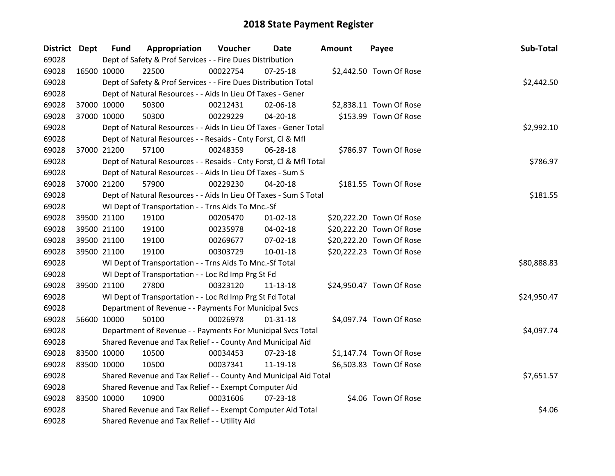| District Dept |             | <b>Fund</b> | Appropriation                                                      | Voucher  | <b>Date</b>    | <b>Amount</b> | Payee                    | Sub-Total   |
|---------------|-------------|-------------|--------------------------------------------------------------------|----------|----------------|---------------|--------------------------|-------------|
| 69028         |             |             | Dept of Safety & Prof Services - - Fire Dues Distribution          |          |                |               |                          |             |
| 69028         | 16500 10000 |             | 22500                                                              | 00022754 | $07 - 25 - 18$ |               | \$2,442.50 Town Of Rose  |             |
| 69028         |             |             | Dept of Safety & Prof Services - - Fire Dues Distribution Total    |          |                |               |                          | \$2,442.50  |
| 69028         |             |             | Dept of Natural Resources - - Aids In Lieu Of Taxes - Gener        |          |                |               |                          |             |
| 69028         | 37000 10000 |             | 50300                                                              | 00212431 | 02-06-18       |               | \$2,838.11 Town Of Rose  |             |
| 69028         |             | 37000 10000 | 50300                                                              | 00229229 | $04 - 20 - 18$ |               | \$153.99 Town Of Rose    |             |
| 69028         |             |             | Dept of Natural Resources - - Aids In Lieu Of Taxes - Gener Total  |          |                |               |                          | \$2,992.10  |
| 69028         |             |             | Dept of Natural Resources - - Resaids - Cnty Forst, Cl & Mfl       |          |                |               |                          |             |
| 69028         |             | 37000 21200 | 57100                                                              | 00248359 | 06-28-18       |               | \$786.97 Town Of Rose    |             |
| 69028         |             |             | Dept of Natural Resources - - Resaids - Cnty Forst, Cl & Mfl Total |          |                |               |                          | \$786.97    |
| 69028         |             |             | Dept of Natural Resources - - Aids In Lieu Of Taxes - Sum S        |          |                |               |                          |             |
| 69028         |             | 37000 21200 | 57900                                                              | 00229230 | 04-20-18       |               | \$181.55 Town Of Rose    |             |
| 69028         |             |             | Dept of Natural Resources - - Aids In Lieu Of Taxes - Sum S Total  |          |                |               |                          | \$181.55    |
| 69028         |             |             | WI Dept of Transportation - - Trns Aids To Mnc.-Sf                 |          |                |               |                          |             |
| 69028         |             | 39500 21100 | 19100                                                              | 00205470 | $01 - 02 - 18$ |               | \$20,222.20 Town Of Rose |             |
| 69028         |             | 39500 21100 | 19100                                                              | 00235978 | 04-02-18       |               | \$20,222.20 Town Of Rose |             |
| 69028         | 39500 21100 |             | 19100                                                              | 00269677 | 07-02-18       |               | \$20,222.20 Town Of Rose |             |
| 69028         |             | 39500 21100 | 19100                                                              | 00303729 | $10 - 01 - 18$ |               | \$20,222.23 Town Of Rose |             |
| 69028         |             |             | WI Dept of Transportation - - Trns Aids To Mnc.-Sf Total           |          |                |               |                          | \$80,888.83 |
| 69028         |             |             | WI Dept of Transportation - - Loc Rd Imp Prg St Fd                 |          |                |               |                          |             |
| 69028         | 39500 21100 |             | 27800                                                              | 00323120 | $11 - 13 - 18$ |               | \$24,950.47 Town Of Rose |             |
| 69028         |             |             | WI Dept of Transportation - - Loc Rd Imp Prg St Fd Total           |          |                |               |                          | \$24,950.47 |
| 69028         |             |             | Department of Revenue - - Payments For Municipal Svcs              |          |                |               |                          |             |
| 69028         | 56600 10000 |             | 50100                                                              | 00026978 | $01 - 31 - 18$ |               | \$4,097.74 Town Of Rose  |             |
| 69028         |             |             | Department of Revenue - - Payments For Municipal Svcs Total        |          |                |               |                          | \$4,097.74  |
| 69028         |             |             | Shared Revenue and Tax Relief - - County And Municipal Aid         |          |                |               |                          |             |
| 69028         | 83500 10000 |             | 10500                                                              | 00034453 | 07-23-18       |               | \$1,147.74 Town Of Rose  |             |
| 69028         | 83500 10000 |             | 10500                                                              | 00037341 | 11-19-18       |               | \$6,503.83 Town Of Rose  |             |
| 69028         |             |             | Shared Revenue and Tax Relief - - County And Municipal Aid Total   |          |                |               |                          | \$7,651.57  |
| 69028         |             |             | Shared Revenue and Tax Relief - - Exempt Computer Aid              |          |                |               |                          |             |
| 69028         | 83500 10000 |             | 10900                                                              | 00031606 | $07 - 23 - 18$ |               | \$4.06 Town Of Rose      |             |
| 69028         |             |             | Shared Revenue and Tax Relief - - Exempt Computer Aid Total        |          |                |               |                          | \$4.06      |
| 69028         |             |             | Shared Revenue and Tax Relief - - Utility Aid                      |          |                |               |                          |             |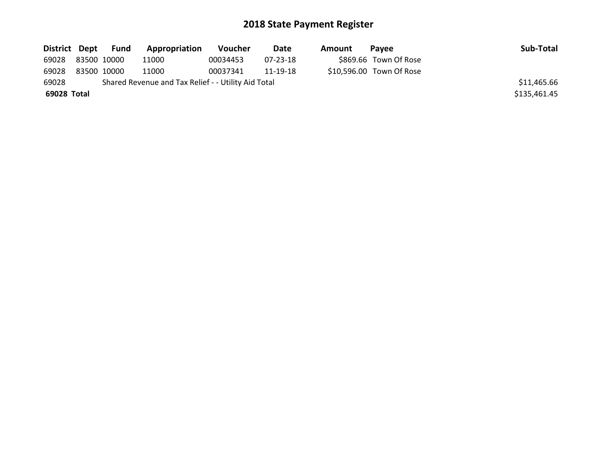|             |             | District Dept Fund | <b>Appropriation</b>                                | <b>Voucher</b> | Date     | Amount | <b>Pavee</b>             | Sub-Total    |
|-------------|-------------|--------------------|-----------------------------------------------------|----------------|----------|--------|--------------------------|--------------|
| 69028       | 83500 10000 |                    | 11000                                               | 00034453       | 07-23-18 |        | \$869.66 Town Of Rose    |              |
| 69028       |             | 83500 10000        | 11000                                               | 00037341       | 11-19-18 |        | \$10,596.00 Town Of Rose |              |
| 69028       |             |                    | Shared Revenue and Tax Relief - - Utility Aid Total |                |          |        |                          | \$11,465.66  |
| 69028 Total |             |                    |                                                     |                |          |        |                          | \$135,461.45 |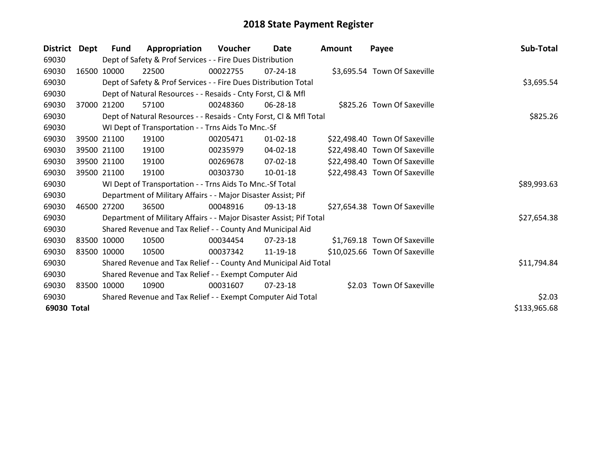| <b>District</b> | Dept | Fund        | Appropriation                                                       | Voucher  | Date           | <b>Amount</b> | Payee                         | Sub-Total    |
|-----------------|------|-------------|---------------------------------------------------------------------|----------|----------------|---------------|-------------------------------|--------------|
| 69030           |      |             | Dept of Safety & Prof Services - - Fire Dues Distribution           |          |                |               |                               |              |
| 69030           |      | 16500 10000 | 22500                                                               | 00022755 | $07 - 24 - 18$ |               | \$3,695.54 Town Of Saxeville  |              |
| 69030           |      |             | Dept of Safety & Prof Services - - Fire Dues Distribution Total     |          |                |               |                               | \$3,695.54   |
| 69030           |      |             | Dept of Natural Resources - - Resaids - Cnty Forst, CI & Mfl        |          |                |               |                               |              |
| 69030           |      | 37000 21200 | 57100                                                               | 00248360 | $06 - 28 - 18$ |               | \$825.26 Town Of Saxeville    |              |
| 69030           |      |             | Dept of Natural Resources - - Resaids - Cnty Forst, Cl & Mfl Total  |          |                |               |                               | \$825.26     |
| 69030           |      |             | WI Dept of Transportation - - Trns Aids To Mnc.-Sf                  |          |                |               |                               |              |
| 69030           |      | 39500 21100 | 19100                                                               | 00205471 | $01 - 02 - 18$ |               | \$22,498.40 Town Of Saxeville |              |
| 69030           |      | 39500 21100 | 19100                                                               | 00235979 | 04-02-18       |               | \$22,498.40 Town Of Saxeville |              |
| 69030           |      | 39500 21100 | 19100                                                               | 00269678 | 07-02-18       |               | \$22,498.40 Town Of Saxeville |              |
| 69030           |      | 39500 21100 | 19100                                                               | 00303730 | 10-01-18       |               | \$22,498.43 Town Of Saxeville |              |
| 69030           |      |             | WI Dept of Transportation - - Trns Aids To Mnc.-Sf Total            |          |                |               |                               | \$89,993.63  |
| 69030           |      |             | Department of Military Affairs - - Major Disaster Assist; Pif       |          |                |               |                               |              |
| 69030           |      | 46500 27200 | 36500                                                               | 00048916 | 09-13-18       |               | \$27,654.38 Town Of Saxeville |              |
| 69030           |      |             | Department of Military Affairs - - Major Disaster Assist; Pif Total |          |                |               |                               | \$27,654.38  |
| 69030           |      |             | Shared Revenue and Tax Relief - - County And Municipal Aid          |          |                |               |                               |              |
| 69030           |      | 83500 10000 | 10500                                                               | 00034454 | $07 - 23 - 18$ |               | \$1,769.18 Town Of Saxeville  |              |
| 69030           |      | 83500 10000 | 10500                                                               | 00037342 | 11-19-18       |               | \$10,025.66 Town Of Saxeville |              |
| 69030           |      |             | Shared Revenue and Tax Relief - - County And Municipal Aid Total    |          |                |               |                               | \$11,794.84  |
| 69030           |      |             | Shared Revenue and Tax Relief - - Exempt Computer Aid               |          |                |               |                               |              |
| 69030           |      | 83500 10000 | 10900                                                               | 00031607 | 07-23-18       |               | \$2.03 Town Of Saxeville      |              |
| 69030           |      |             | Shared Revenue and Tax Relief - - Exempt Computer Aid Total         |          |                |               |                               | \$2.03       |
| 69030 Total     |      |             |                                                                     |          |                |               |                               | \$133,965.68 |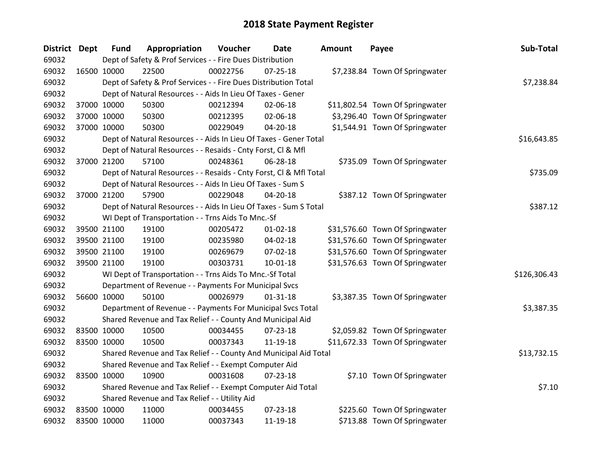| District Dept |             | <b>Fund</b> | Appropriation                                                      | Voucher  | <b>Date</b>    | Amount | Payee                           | Sub-Total    |
|---------------|-------------|-------------|--------------------------------------------------------------------|----------|----------------|--------|---------------------------------|--------------|
| 69032         |             |             | Dept of Safety & Prof Services - - Fire Dues Distribution          |          |                |        |                                 |              |
| 69032         | 16500 10000 |             | 22500                                                              | 00022756 | $07 - 25 - 18$ |        | \$7,238.84 Town Of Springwater  |              |
| 69032         |             |             | Dept of Safety & Prof Services - - Fire Dues Distribution Total    |          |                |        |                                 | \$7,238.84   |
| 69032         |             |             | Dept of Natural Resources - - Aids In Lieu Of Taxes - Gener        |          |                |        |                                 |              |
| 69032         | 37000 10000 |             | 50300                                                              | 00212394 | 02-06-18       |        | \$11,802.54 Town Of Springwater |              |
| 69032         |             | 37000 10000 | 50300                                                              | 00212395 | 02-06-18       |        | \$3,296.40 Town Of Springwater  |              |
| 69032         |             | 37000 10000 | 50300                                                              | 00229049 | $04 - 20 - 18$ |        | \$1,544.91 Town Of Springwater  |              |
| 69032         |             |             | Dept of Natural Resources - - Aids In Lieu Of Taxes - Gener Total  |          |                |        |                                 | \$16,643.85  |
| 69032         |             |             | Dept of Natural Resources - - Resaids - Cnty Forst, Cl & Mfl       |          |                |        |                                 |              |
| 69032         |             | 37000 21200 | 57100                                                              | 00248361 | 06-28-18       |        | \$735.09 Town Of Springwater    |              |
| 69032         |             |             | Dept of Natural Resources - - Resaids - Cnty Forst, Cl & Mfl Total |          |                |        |                                 | \$735.09     |
| 69032         |             |             | Dept of Natural Resources - - Aids In Lieu Of Taxes - Sum S        |          |                |        |                                 |              |
| 69032         | 37000 21200 |             | 57900                                                              | 00229048 | $04 - 20 - 18$ |        | \$387.12 Town Of Springwater    |              |
| 69032         |             |             | Dept of Natural Resources - - Aids In Lieu Of Taxes - Sum S Total  |          |                |        |                                 | \$387.12     |
| 69032         |             |             | WI Dept of Transportation - - Trns Aids To Mnc.-Sf                 |          |                |        |                                 |              |
| 69032         |             | 39500 21100 | 19100                                                              | 00205472 | $01 - 02 - 18$ |        | \$31,576.60 Town Of Springwater |              |
| 69032         |             | 39500 21100 | 19100                                                              | 00235980 | $04 - 02 - 18$ |        | \$31,576.60 Town Of Springwater |              |
| 69032         |             | 39500 21100 | 19100                                                              | 00269679 | 07-02-18       |        | \$31,576.60 Town Of Springwater |              |
| 69032         | 39500 21100 |             | 19100                                                              | 00303731 | $10-01-18$     |        | \$31,576.63 Town Of Springwater |              |
| 69032         |             |             | WI Dept of Transportation - - Trns Aids To Mnc.-Sf Total           |          |                |        |                                 | \$126,306.43 |
| 69032         |             |             | Department of Revenue - - Payments For Municipal Svcs              |          |                |        |                                 |              |
| 69032         | 56600 10000 |             | 50100                                                              | 00026979 | $01 - 31 - 18$ |        | \$3,387.35 Town Of Springwater  |              |
| 69032         |             |             | Department of Revenue - - Payments For Municipal Svcs Total        |          |                |        |                                 | \$3,387.35   |
| 69032         |             |             | Shared Revenue and Tax Relief - - County And Municipal Aid         |          |                |        |                                 |              |
| 69032         | 83500 10000 |             | 10500                                                              | 00034455 | $07 - 23 - 18$ |        | \$2,059.82 Town Of Springwater  |              |
| 69032         | 83500 10000 |             | 10500                                                              | 00037343 | 11-19-18       |        | \$11,672.33 Town Of Springwater |              |
| 69032         |             |             | Shared Revenue and Tax Relief - - County And Municipal Aid Total   |          |                |        |                                 | \$13,732.15  |
| 69032         |             |             | Shared Revenue and Tax Relief - - Exempt Computer Aid              |          |                |        |                                 |              |
| 69032         | 83500 10000 |             | 10900                                                              | 00031608 | $07 - 23 - 18$ |        | \$7.10 Town Of Springwater      |              |
| 69032         |             |             | Shared Revenue and Tax Relief - - Exempt Computer Aid Total        |          |                |        |                                 | \$7.10       |
| 69032         |             |             | Shared Revenue and Tax Relief - - Utility Aid                      |          |                |        |                                 |              |
| 69032         | 83500 10000 |             | 11000                                                              | 00034455 | 07-23-18       |        | \$225.60 Town Of Springwater    |              |
| 69032         | 83500 10000 |             | 11000                                                              | 00037343 | 11-19-18       |        | \$713.88 Town Of Springwater    |              |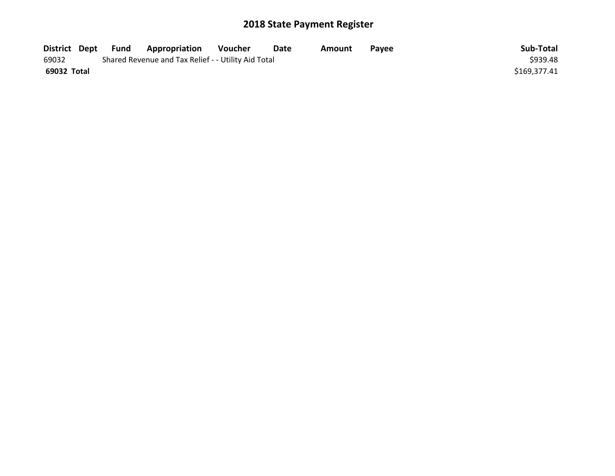| District Dept | Fund | Appropriation                                       | Voucher | Date | Amount | <b>Pavee</b> | Sub-Total    |
|---------------|------|-----------------------------------------------------|---------|------|--------|--------------|--------------|
| 69032         |      | Shared Revenue and Tax Relief - - Utility Aid Total |         |      |        |              | \$939.48     |
| 69032 Total   |      |                                                     |         |      |        |              | \$169,377.41 |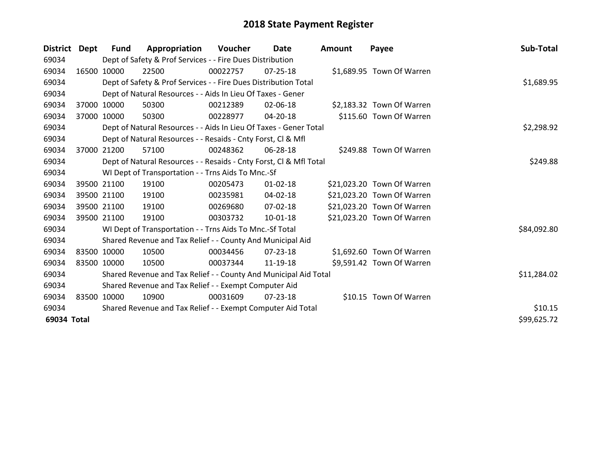| District Dept |       | <b>Fund</b> | Appropriation                                                      | Voucher  | Date           | <b>Amount</b> | Payee                      | Sub-Total   |
|---------------|-------|-------------|--------------------------------------------------------------------|----------|----------------|---------------|----------------------------|-------------|
| 69034         |       |             | Dept of Safety & Prof Services - - Fire Dues Distribution          |          |                |               |                            |             |
| 69034         |       | 16500 10000 | 22500                                                              | 00022757 | $07 - 25 - 18$ |               | \$1,689.95 Town Of Warren  |             |
| 69034         |       |             | Dept of Safety & Prof Services - - Fire Dues Distribution Total    |          |                |               |                            | \$1,689.95  |
| 69034         |       |             | Dept of Natural Resources - - Aids In Lieu Of Taxes - Gener        |          |                |               |                            |             |
| 69034         |       | 37000 10000 | 50300                                                              | 00212389 | 02-06-18       |               | \$2,183.32 Town Of Warren  |             |
| 69034         |       | 37000 10000 | 50300                                                              | 00228977 | 04-20-18       |               | \$115.60 Town Of Warren    |             |
| 69034         |       |             | Dept of Natural Resources - - Aids In Lieu Of Taxes - Gener Total  |          |                |               |                            | \$2,298.92  |
| 69034         |       |             | Dept of Natural Resources - - Resaids - Cnty Forst, CI & Mfl       |          |                |               |                            |             |
| 69034         | 37000 | 21200       | 57100                                                              | 00248362 | 06-28-18       |               | \$249.88 Town Of Warren    |             |
| 69034         |       |             | Dept of Natural Resources - - Resaids - Cnty Forst, Cl & Mfl Total |          |                |               |                            | \$249.88    |
| 69034         |       |             | WI Dept of Transportation - - Trns Aids To Mnc.-Sf                 |          |                |               |                            |             |
| 69034         |       | 39500 21100 | 19100                                                              | 00205473 | $01 - 02 - 18$ |               | \$21,023.20 Town Of Warren |             |
| 69034         |       | 39500 21100 | 19100                                                              | 00235981 | $04 - 02 - 18$ |               | \$21,023.20 Town Of Warren |             |
| 69034         |       | 39500 21100 | 19100                                                              | 00269680 | 07-02-18       |               | \$21,023.20 Town Of Warren |             |
| 69034         |       | 39500 21100 | 19100                                                              | 00303732 | 10-01-18       |               | \$21,023.20 Town Of Warren |             |
| 69034         |       |             | WI Dept of Transportation - - Trns Aids To Mnc.-Sf Total           |          |                |               |                            | \$84,092.80 |
| 69034         |       |             | Shared Revenue and Tax Relief - - County And Municipal Aid         |          |                |               |                            |             |
| 69034         |       | 83500 10000 | 10500                                                              | 00034456 | 07-23-18       |               | \$1,692.60 Town Of Warren  |             |
| 69034         |       | 83500 10000 | 10500                                                              | 00037344 | 11-19-18       |               | \$9,591.42 Town Of Warren  |             |
| 69034         |       |             | Shared Revenue and Tax Relief - - County And Municipal Aid Total   |          |                |               |                            | \$11,284.02 |
| 69034         |       |             | Shared Revenue and Tax Relief - - Exempt Computer Aid              |          |                |               |                            |             |
| 69034         |       | 83500 10000 | 10900                                                              | 00031609 | $07 - 23 - 18$ |               | \$10.15 Town Of Warren     |             |
| 69034         |       |             | Shared Revenue and Tax Relief - - Exempt Computer Aid Total        |          |                |               |                            | \$10.15     |
| 69034 Total   |       |             |                                                                    |          |                |               |                            | \$99,625.72 |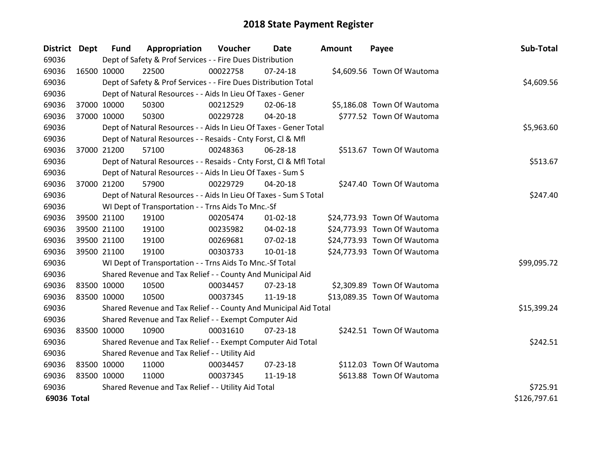| District Dept |             | <b>Fund</b> | Appropriation                                                      | Voucher  | Date           | <b>Amount</b> | Payee                       | Sub-Total    |
|---------------|-------------|-------------|--------------------------------------------------------------------|----------|----------------|---------------|-----------------------------|--------------|
| 69036         |             |             | Dept of Safety & Prof Services - - Fire Dues Distribution          |          |                |               |                             |              |
| 69036         | 16500 10000 |             | 22500                                                              | 00022758 | 07-24-18       |               | \$4,609.56 Town Of Wautoma  |              |
| 69036         |             |             | Dept of Safety & Prof Services - - Fire Dues Distribution Total    |          |                |               |                             | \$4,609.56   |
| 69036         |             |             | Dept of Natural Resources - - Aids In Lieu Of Taxes - Gener        |          |                |               |                             |              |
| 69036         | 37000 10000 |             | 50300                                                              | 00212529 | 02-06-18       |               | \$5,186.08 Town Of Wautoma  |              |
| 69036         | 37000 10000 |             | 50300                                                              | 00229728 | $04 - 20 - 18$ |               | \$777.52 Town Of Wautoma    |              |
| 69036         |             |             | Dept of Natural Resources - - Aids In Lieu Of Taxes - Gener Total  |          |                |               |                             | \$5,963.60   |
| 69036         |             |             | Dept of Natural Resources - - Resaids - Cnty Forst, Cl & Mfl       |          |                |               |                             |              |
| 69036         |             | 37000 21200 | 57100                                                              | 00248363 | 06-28-18       |               | \$513.67 Town Of Wautoma    |              |
| 69036         |             |             | Dept of Natural Resources - - Resaids - Cnty Forst, CI & Mfl Total |          |                |               |                             | \$513.67     |
| 69036         |             |             | Dept of Natural Resources - - Aids In Lieu Of Taxes - Sum S        |          |                |               |                             |              |
| 69036         |             | 37000 21200 | 57900                                                              | 00229729 | 04-20-18       |               | \$247.40 Town Of Wautoma    |              |
| 69036         |             |             | Dept of Natural Resources - - Aids In Lieu Of Taxes - Sum S Total  |          |                |               |                             | \$247.40     |
| 69036         |             |             | WI Dept of Transportation - - Trns Aids To Mnc.-Sf                 |          |                |               |                             |              |
| 69036         |             | 39500 21100 | 19100                                                              | 00205474 | $01 - 02 - 18$ |               | \$24,773.93 Town Of Wautoma |              |
| 69036         |             | 39500 21100 | 19100                                                              | 00235982 | 04-02-18       |               | \$24,773.93 Town Of Wautoma |              |
| 69036         |             | 39500 21100 | 19100                                                              | 00269681 | 07-02-18       |               | \$24,773.93 Town Of Wautoma |              |
| 69036         |             | 39500 21100 | 19100                                                              | 00303733 | $10 - 01 - 18$ |               | \$24,773.93 Town Of Wautoma |              |
| 69036         |             |             | WI Dept of Transportation - - Trns Aids To Mnc.-Sf Total           |          |                |               |                             | \$99,095.72  |
| 69036         |             |             | Shared Revenue and Tax Relief - - County And Municipal Aid         |          |                |               |                             |              |
| 69036         |             | 83500 10000 | 10500                                                              | 00034457 | 07-23-18       |               | \$2,309.89 Town Of Wautoma  |              |
| 69036         |             | 83500 10000 | 10500                                                              | 00037345 | 11-19-18       |               | \$13,089.35 Town Of Wautoma |              |
| 69036         |             |             | Shared Revenue and Tax Relief - - County And Municipal Aid Total   |          |                |               |                             | \$15,399.24  |
| 69036         |             |             | Shared Revenue and Tax Relief - - Exempt Computer Aid              |          |                |               |                             |              |
| 69036         | 83500 10000 |             | 10900                                                              | 00031610 | $07 - 23 - 18$ |               | \$242.51 Town Of Wautoma    |              |
| 69036         |             |             | Shared Revenue and Tax Relief - - Exempt Computer Aid Total        |          |                |               |                             | \$242.51     |
| 69036         |             |             | Shared Revenue and Tax Relief - - Utility Aid                      |          |                |               |                             |              |
| 69036         | 83500 10000 |             | 11000                                                              | 00034457 | 07-23-18       |               | \$112.03 Town Of Wautoma    |              |
| 69036         | 83500 10000 |             | 11000                                                              | 00037345 | 11-19-18       |               | \$613.88 Town Of Wautoma    |              |
| 69036         |             |             | Shared Revenue and Tax Relief - - Utility Aid Total                |          |                |               |                             | \$725.91     |
| 69036 Total   |             |             |                                                                    |          |                |               |                             | \$126,797.61 |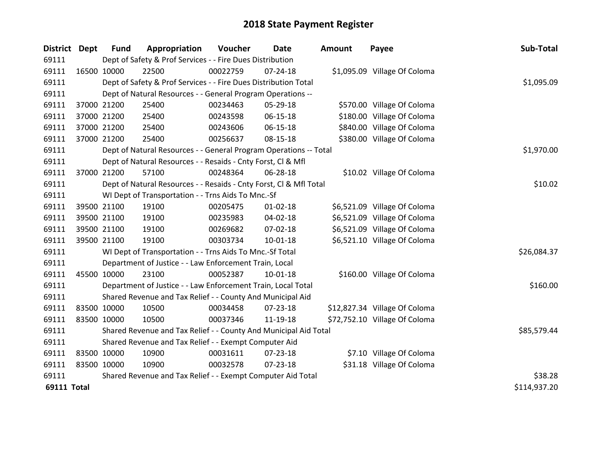| <b>District Dept</b> |             | <b>Fund</b>                                                 | Appropriation                                                      | Voucher  | Date           | <b>Amount</b> | Payee                         | Sub-Total    |
|----------------------|-------------|-------------------------------------------------------------|--------------------------------------------------------------------|----------|----------------|---------------|-------------------------------|--------------|
| 69111                |             |                                                             | Dept of Safety & Prof Services - - Fire Dues Distribution          |          |                |               |                               |              |
| 69111                | 16500 10000 |                                                             | 22500                                                              | 00022759 | $07 - 24 - 18$ |               | \$1,095.09 Village Of Coloma  |              |
| 69111                |             |                                                             | Dept of Safety & Prof Services - - Fire Dues Distribution Total    |          |                |               |                               | \$1,095.09   |
| 69111                |             |                                                             | Dept of Natural Resources - - General Program Operations --        |          |                |               |                               |              |
| 69111                | 37000 21200 |                                                             | 25400                                                              | 00234463 | 05-29-18       |               | \$570.00 Village Of Coloma    |              |
| 69111                |             | 37000 21200                                                 | 25400                                                              | 00243598 | 06-15-18       |               | \$180.00 Village Of Coloma    |              |
| 69111                |             | 37000 21200                                                 | 25400                                                              | 00243606 | 06-15-18       |               | \$840.00 Village Of Coloma    |              |
| 69111                | 37000 21200 |                                                             | 25400                                                              | 00256637 | 08-15-18       |               | \$380.00 Village Of Coloma    |              |
| 69111                |             |                                                             | Dept of Natural Resources - - General Program Operations -- Total  |          | \$1,970.00     |               |                               |              |
| 69111                |             |                                                             | Dept of Natural Resources - - Resaids - Cnty Forst, Cl & Mfl       |          |                |               |                               |              |
| 69111                |             | 37000 21200                                                 | 57100                                                              | 00248364 | 06-28-18       |               | \$10.02 Village Of Coloma     |              |
| 69111                |             |                                                             | Dept of Natural Resources - - Resaids - Cnty Forst, Cl & Mfl Total |          |                |               |                               | \$10.02      |
| 69111                |             |                                                             | WI Dept of Transportation - - Trns Aids To Mnc.-Sf                 |          |                |               |                               |              |
| 69111                |             | 39500 21100                                                 | 19100                                                              | 00205475 | $01 - 02 - 18$ |               | \$6,521.09 Village Of Coloma  |              |
| 69111                |             | 39500 21100                                                 | 19100                                                              | 00235983 | 04-02-18       |               | \$6,521.09 Village Of Coloma  |              |
| 69111                |             | 39500 21100                                                 | 19100                                                              | 00269682 | 07-02-18       |               | \$6,521.09 Village Of Coloma  |              |
| 69111                | 39500 21100 |                                                             | 19100                                                              | 00303734 | $10 - 01 - 18$ |               | \$6,521.10 Village Of Coloma  |              |
| 69111                |             |                                                             | WI Dept of Transportation - - Trns Aids To Mnc.-Sf Total           |          |                |               |                               | \$26,084.37  |
| 69111                |             |                                                             | Department of Justice - - Law Enforcement Train, Local             |          |                |               |                               |              |
| 69111                | 45500 10000 |                                                             | 23100                                                              | 00052387 | 10-01-18       |               | \$160.00 Village Of Coloma    |              |
| 69111                |             |                                                             | Department of Justice - - Law Enforcement Train, Local Total       |          |                |               |                               | \$160.00     |
| 69111                |             |                                                             | Shared Revenue and Tax Relief - - County And Municipal Aid         |          |                |               |                               |              |
| 69111                | 83500 10000 |                                                             | 10500                                                              | 00034458 | 07-23-18       |               | \$12,827.34 Village Of Coloma |              |
| 69111                | 83500 10000 |                                                             | 10500                                                              | 00037346 | 11-19-18       |               | \$72,752.10 Village Of Coloma |              |
| 69111                |             |                                                             | Shared Revenue and Tax Relief - - County And Municipal Aid Total   |          |                |               |                               | \$85,579.44  |
| 69111                |             |                                                             | Shared Revenue and Tax Relief - - Exempt Computer Aid              |          |                |               |                               |              |
| 69111                | 83500 10000 |                                                             | 10900                                                              | 00031611 | 07-23-18       |               | \$7.10 Village Of Coloma      |              |
| 69111                | 83500 10000 |                                                             | 10900                                                              | 00032578 | 07-23-18       |               | \$31.18 Village Of Coloma     |              |
| 69111                |             | Shared Revenue and Tax Relief - - Exempt Computer Aid Total | \$38.28                                                            |          |                |               |                               |              |
| <b>69111 Total</b>   |             |                                                             |                                                                    |          |                |               |                               | \$114,937.20 |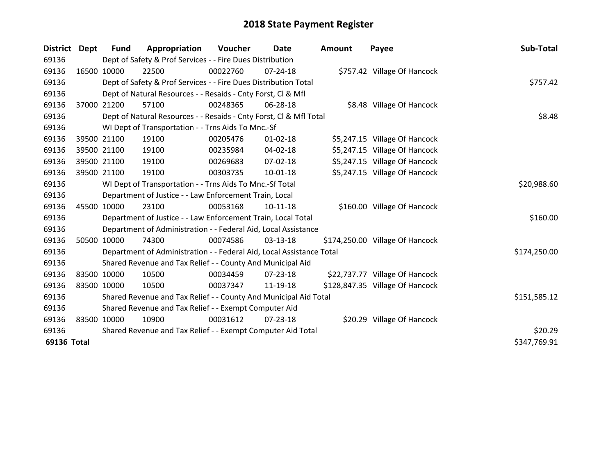| <b>District</b> | Dept        | <b>Fund</b> | Appropriation                                                        | <b>Voucher</b> | Date           | <b>Amount</b> | Payee                           | Sub-Total    |
|-----------------|-------------|-------------|----------------------------------------------------------------------|----------------|----------------|---------------|---------------------------------|--------------|
| 69136           |             |             | Dept of Safety & Prof Services - - Fire Dues Distribution            |                |                |               |                                 |              |
| 69136           | 16500 10000 |             | 22500                                                                | 00022760       | 07-24-18       |               | \$757.42 Village Of Hancock     |              |
| 69136           |             |             | Dept of Safety & Prof Services - - Fire Dues Distribution Total      |                |                |               |                                 | \$757.42     |
| 69136           |             |             | Dept of Natural Resources - - Resaids - Cnty Forst, CI & Mfl         |                |                |               |                                 |              |
| 69136           | 37000       | 21200       | 57100                                                                | 00248365       | 06-28-18       |               | \$8.48 Village Of Hancock       |              |
| 69136           |             |             | Dept of Natural Resources - - Resaids - Cnty Forst, CI & Mfl Total   |                |                |               |                                 | \$8.48       |
| 69136           |             |             | WI Dept of Transportation - - Trns Aids To Mnc.-Sf                   |                |                |               |                                 |              |
| 69136           | 39500 21100 |             | 19100                                                                | 00205476       | $01 - 02 - 18$ |               | \$5,247.15 Village Of Hancock   |              |
| 69136           | 39500 21100 |             | 19100                                                                | 00235984       | 04-02-18       |               | \$5,247.15 Village Of Hancock   |              |
| 69136           | 39500 21100 |             | 19100                                                                | 00269683       | $07 - 02 - 18$ |               | \$5,247.15 Village Of Hancock   |              |
| 69136           | 39500 21100 |             | 19100                                                                | 00303735       | $10 - 01 - 18$ |               | \$5,247.15 Village Of Hancock   |              |
| 69136           |             |             | WI Dept of Transportation - - Trns Aids To Mnc.-Sf Total             |                |                |               |                                 | \$20,988.60  |
| 69136           |             |             | Department of Justice - - Law Enforcement Train, Local               |                |                |               |                                 |              |
| 69136           | 45500 10000 |             | 23100                                                                | 00053168       | $10-11-18$     |               | \$160.00 Village Of Hancock     |              |
| 69136           |             |             | Department of Justice - - Law Enforcement Train, Local Total         |                |                |               |                                 | \$160.00     |
| 69136           |             |             | Department of Administration - - Federal Aid, Local Assistance       |                |                |               |                                 |              |
| 69136           | 50500 10000 |             | 74300                                                                | 00074586       | 03-13-18       |               | \$174,250.00 Village Of Hancock |              |
| 69136           |             |             | Department of Administration - - Federal Aid, Local Assistance Total |                |                |               |                                 | \$174,250.00 |
| 69136           |             |             | Shared Revenue and Tax Relief - - County And Municipal Aid           |                |                |               |                                 |              |
| 69136           | 83500 10000 |             | 10500                                                                | 00034459       | $07 - 23 - 18$ |               | \$22,737.77 Village Of Hancock  |              |
| 69136           | 83500 10000 |             | 10500                                                                | 00037347       | 11-19-18       |               | \$128,847.35 Village Of Hancock |              |
| 69136           |             |             | Shared Revenue and Tax Relief - - County And Municipal Aid Total     |                |                |               |                                 | \$151,585.12 |
| 69136           |             |             | Shared Revenue and Tax Relief - - Exempt Computer Aid                |                |                |               |                                 |              |
| 69136           | 83500 10000 |             | 10900                                                                | 00031612       | 07-23-18       |               | \$20.29 Village Of Hancock      |              |
| 69136           |             |             | Shared Revenue and Tax Relief - - Exempt Computer Aid Total          | \$20.29        |                |               |                                 |              |
| 69136 Total     |             |             |                                                                      |                |                |               |                                 | \$347,769.91 |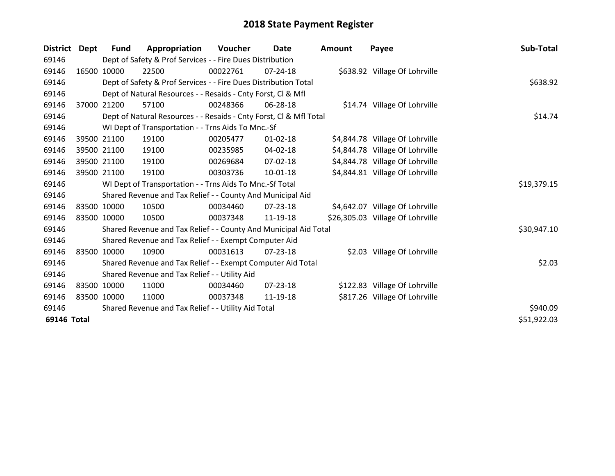| <b>District</b> | Dept        | Fund        | Appropriation                                                      | Voucher  | Date           | Amount | Payee                            | Sub-Total   |
|-----------------|-------------|-------------|--------------------------------------------------------------------|----------|----------------|--------|----------------------------------|-------------|
| 69146           |             |             | Dept of Safety & Prof Services - - Fire Dues Distribution          |          |                |        |                                  |             |
| 69146           |             | 16500 10000 | 22500                                                              | 00022761 | 07-24-18       |        | \$638.92 Village Of Lohrville    |             |
| 69146           |             |             | Dept of Safety & Prof Services - - Fire Dues Distribution Total    |          | \$638.92       |        |                                  |             |
| 69146           |             |             | Dept of Natural Resources - - Resaids - Cnty Forst, Cl & Mfl       |          |                |        |                                  |             |
| 69146           | 37000       | 21200       | 57100                                                              | 00248366 | 06-28-18       |        | \$14.74 Village Of Lohrville     |             |
| 69146           |             |             | Dept of Natural Resources - - Resaids - Cnty Forst, Cl & Mfl Total |          |                |        |                                  | \$14.74     |
| 69146           |             |             | WI Dept of Transportation - - Trns Aids To Mnc.-Sf                 |          |                |        |                                  |             |
| 69146           |             | 39500 21100 | 19100                                                              | 00205477 | $01 - 02 - 18$ |        | \$4,844.78 Village Of Lohrville  |             |
| 69146           |             | 39500 21100 | 19100                                                              | 00235985 | $04 - 02 - 18$ |        | \$4,844.78 Village Of Lohrville  |             |
| 69146           |             | 39500 21100 | 19100                                                              | 00269684 | 07-02-18       |        | \$4,844.78 Village Of Lohrville  |             |
| 69146           |             | 39500 21100 | 19100                                                              | 00303736 | 10-01-18       |        | \$4,844.81 Village Of Lohrville  |             |
| 69146           |             |             | WI Dept of Transportation - - Trns Aids To Mnc.-Sf Total           |          |                |        |                                  | \$19,379.15 |
| 69146           |             |             | Shared Revenue and Tax Relief - - County And Municipal Aid         |          |                |        |                                  |             |
| 69146           |             | 83500 10000 | 10500                                                              | 00034460 | 07-23-18       |        | \$4,642.07 Village Of Lohrville  |             |
| 69146           | 83500 10000 |             | 10500                                                              | 00037348 | 11-19-18       |        | \$26,305.03 Village Of Lohrville |             |
| 69146           |             |             | Shared Revenue and Tax Relief - - County And Municipal Aid Total   |          |                |        |                                  | \$30,947.10 |
| 69146           |             |             | Shared Revenue and Tax Relief - - Exempt Computer Aid              |          |                |        |                                  |             |
| 69146           |             | 83500 10000 | 10900                                                              | 00031613 | $07 - 23 - 18$ |        | \$2.03 Village Of Lohrville      |             |
| 69146           |             |             | Shared Revenue and Tax Relief - - Exempt Computer Aid Total        |          |                |        |                                  | \$2.03      |
| 69146           |             |             | Shared Revenue and Tax Relief - - Utility Aid                      |          |                |        |                                  |             |
| 69146           |             | 83500 10000 | 11000                                                              | 00034460 | $07 - 23 - 18$ |        | \$122.83 Village Of Lohrville    |             |
| 69146           | 83500 10000 |             | 11000                                                              | 00037348 | 11-19-18       |        | \$817.26 Village Of Lohrville    |             |
| 69146           |             |             | Shared Revenue and Tax Relief - - Utility Aid Total                |          |                |        |                                  | \$940.09    |
| 69146 Total     |             |             |                                                                    |          |                |        |                                  | \$51,922.03 |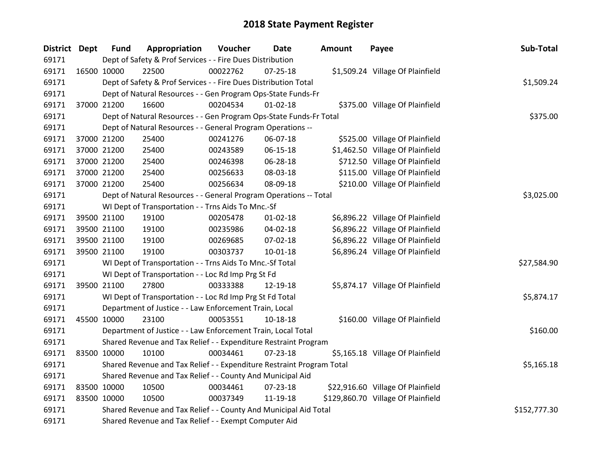| <b>District Dept</b> | <b>Fund</b>                                                | Appropriation                                                         | Voucher  | Date           | Amount | Payee                              | Sub-Total    |  |
|----------------------|------------------------------------------------------------|-----------------------------------------------------------------------|----------|----------------|--------|------------------------------------|--------------|--|
| 69171                |                                                            | Dept of Safety & Prof Services - - Fire Dues Distribution             |          |                |        |                                    |              |  |
| 69171                | 16500 10000                                                | 22500                                                                 | 00022762 | 07-25-18       |        | \$1,509.24 Village Of Plainfield   |              |  |
| 69171                |                                                            | Dept of Safety & Prof Services - - Fire Dues Distribution Total       |          |                |        |                                    | \$1,509.24   |  |
| 69171                |                                                            | Dept of Natural Resources - - Gen Program Ops-State Funds-Fr          |          |                |        |                                    |              |  |
| 69171                | 37000 21200                                                | 16600                                                                 | 00204534 | $01 - 02 - 18$ |        | \$375.00 Village Of Plainfield     |              |  |
| 69171                |                                                            | Dept of Natural Resources - - Gen Program Ops-State Funds-Fr Total    |          |                |        |                                    | \$375.00     |  |
| 69171                |                                                            | Dept of Natural Resources - - General Program Operations --           |          |                |        |                                    |              |  |
| 69171                | 37000 21200                                                | 25400                                                                 | 00241276 | 06-07-18       |        | \$525.00 Village Of Plainfield     |              |  |
| 69171                | 37000 21200                                                | 25400                                                                 | 00243589 | 06-15-18       |        | \$1,462.50 Village Of Plainfield   |              |  |
| 69171                | 37000 21200                                                | 25400                                                                 | 00246398 | 06-28-18       |        | \$712.50 Village Of Plainfield     |              |  |
| 69171                | 37000 21200                                                | 25400                                                                 | 00256633 | 08-03-18       |        | \$115.00 Village Of Plainfield     |              |  |
| 69171                | 37000 21200                                                | 25400                                                                 | 00256634 | 08-09-18       |        | \$210.00 Village Of Plainfield     |              |  |
| 69171                |                                                            | Dept of Natural Resources - - General Program Operations -- Total     |          |                |        |                                    | \$3,025.00   |  |
| 69171                |                                                            | WI Dept of Transportation - - Trns Aids To Mnc.-Sf                    |          |                |        |                                    |              |  |
| 69171                | 39500 21100                                                | 19100                                                                 | 00205478 | 01-02-18       |        | \$6,896.22 Village Of Plainfield   |              |  |
| 69171                | 39500 21100                                                | 19100                                                                 | 00235986 | 04-02-18       |        | \$6,896.22 Village Of Plainfield   |              |  |
| 69171                | 39500 21100                                                | 19100                                                                 | 00269685 | 07-02-18       |        | \$6,896.22 Village Of Plainfield   |              |  |
| 69171                | 39500 21100                                                | 19100                                                                 | 00303737 | 10-01-18       |        | \$6,896.24 Village Of Plainfield   |              |  |
| 69171                |                                                            | WI Dept of Transportation - - Trns Aids To Mnc.-Sf Total              |          |                |        |                                    | \$27,584.90  |  |
| 69171                |                                                            | WI Dept of Transportation - - Loc Rd Imp Prg St Fd                    |          |                |        |                                    |              |  |
| 69171                | 39500 21100                                                | 27800                                                                 | 00333388 | 12-19-18       |        | \$5,874.17 Village Of Plainfield   |              |  |
| 69171                |                                                            | WI Dept of Transportation - - Loc Rd Imp Prg St Fd Total              |          |                |        |                                    | \$5,874.17   |  |
| 69171                |                                                            | Department of Justice - - Law Enforcement Train, Local                |          |                |        |                                    |              |  |
| 69171                | 45500 10000                                                | 23100                                                                 | 00053551 | 10-18-18       |        | \$160.00 Village Of Plainfield     |              |  |
| 69171                |                                                            | Department of Justice - - Law Enforcement Train, Local Total          |          |                |        |                                    | \$160.00     |  |
| 69171                |                                                            | Shared Revenue and Tax Relief - - Expenditure Restraint Program       |          |                |        |                                    |              |  |
| 69171                | 83500 10000                                                | 10100                                                                 | 00034461 | 07-23-18       |        | \$5,165.18 Village Of Plainfield   |              |  |
| 69171                |                                                            | Shared Revenue and Tax Relief - - Expenditure Restraint Program Total |          |                |        |                                    | \$5,165.18   |  |
| 69171                | Shared Revenue and Tax Relief - - County And Municipal Aid |                                                                       |          |                |        |                                    |              |  |
| 69171                | 83500 10000                                                | 10500                                                                 | 00034461 | 07-23-18       |        | \$22,916.60 Village Of Plainfield  |              |  |
| 69171                | 83500 10000                                                | 10500                                                                 | 00037349 | 11-19-18       |        | \$129,860.70 Village Of Plainfield |              |  |
| 69171                |                                                            | Shared Revenue and Tax Relief - - County And Municipal Aid Total      |          |                |        |                                    | \$152,777.30 |  |
| 69171                |                                                            | Shared Revenue and Tax Relief - - Exempt Computer Aid                 |          |                |        |                                    |              |  |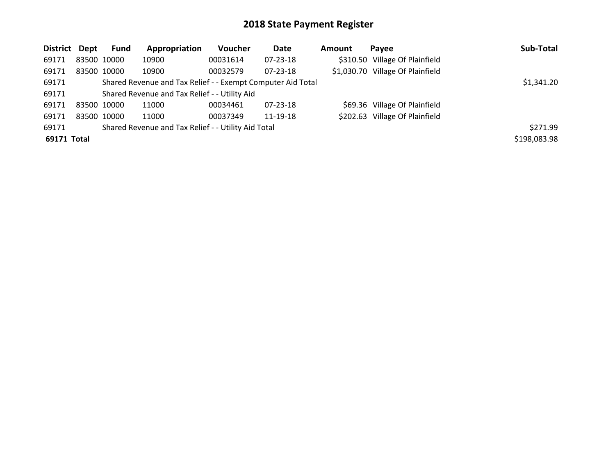| District Dept |             | Fund        | Appropriation                                               | Voucher  | Date           | Amount | Payee                            | Sub-Total    |
|---------------|-------------|-------------|-------------------------------------------------------------|----------|----------------|--------|----------------------------------|--------------|
| 69171         |             | 83500 10000 | 10900                                                       | 00031614 | 07-23-18       |        | \$310.50 Village Of Plainfield   |              |
| 69171         |             | 83500 10000 | 10900                                                       | 00032579 | $07 - 23 - 18$ |        | \$1,030.70 Village Of Plainfield |              |
| 69171         |             |             | Shared Revenue and Tax Relief - - Exempt Computer Aid Total |          |                |        |                                  | \$1,341.20   |
| 69171         |             |             | Shared Revenue and Tax Relief - - Utility Aid               |          |                |        |                                  |              |
| 69171         | 83500 10000 |             | 11000                                                       | 00034461 | $07 - 23 - 18$ |        | \$69.36 Village Of Plainfield    |              |
| 69171         |             | 83500 10000 | 11000                                                       | 00037349 | 11-19-18       |        | \$202.63 Village Of Plainfield   |              |
| 69171         |             |             | Shared Revenue and Tax Relief - - Utility Aid Total         |          |                |        |                                  | \$271.99     |
| 69171 Total   |             |             |                                                             |          |                |        |                                  | \$198,083.98 |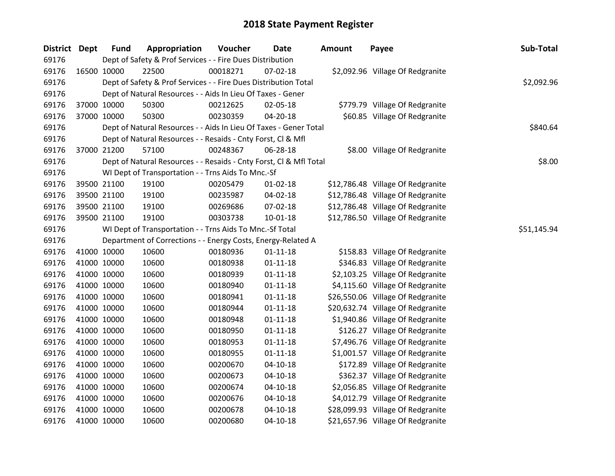| District Dept | <b>Fund</b> | Appropriation                                                      | Voucher  | <b>Date</b>    | <b>Amount</b> | Payee                             | Sub-Total   |
|---------------|-------------|--------------------------------------------------------------------|----------|----------------|---------------|-----------------------------------|-------------|
| 69176         |             | Dept of Safety & Prof Services - - Fire Dues Distribution          |          |                |               |                                   |             |
| 69176         | 16500 10000 | 22500                                                              | 00018271 | 07-02-18       |               | \$2,092.96 Village Of Redgranite  |             |
| 69176         |             | Dept of Safety & Prof Services - - Fire Dues Distribution Total    |          |                |               |                                   | \$2,092.96  |
| 69176         |             | Dept of Natural Resources - - Aids In Lieu Of Taxes - Gener        |          |                |               |                                   |             |
| 69176         | 37000 10000 | 50300                                                              | 00212625 | 02-05-18       |               | \$779.79 Village Of Redgranite    |             |
| 69176         | 37000 10000 | 50300                                                              | 00230359 | 04-20-18       |               | \$60.85 Village Of Redgranite     |             |
| 69176         |             | Dept of Natural Resources - - Aids In Lieu Of Taxes - Gener Total  |          |                |               |                                   | \$840.64    |
| 69176         |             | Dept of Natural Resources - - Resaids - Cnty Forst, Cl & Mfl       |          |                |               |                                   |             |
| 69176         | 37000 21200 | 57100                                                              | 00248367 | 06-28-18       |               | \$8.00 Village Of Redgranite      |             |
| 69176         |             | Dept of Natural Resources - - Resaids - Cnty Forst, Cl & Mfl Total |          |                |               |                                   | \$8.00      |
| 69176         |             | WI Dept of Transportation - - Trns Aids To Mnc.-Sf                 |          |                |               |                                   |             |
| 69176         | 39500 21100 | 19100                                                              | 00205479 | 01-02-18       |               | \$12,786.48 Village Of Redgranite |             |
| 69176         | 39500 21100 | 19100                                                              | 00235987 | 04-02-18       |               | \$12,786.48 Village Of Redgranite |             |
| 69176         | 39500 21100 | 19100                                                              | 00269686 | 07-02-18       |               | \$12,786.48 Village Of Redgranite |             |
| 69176         | 39500 21100 | 19100                                                              | 00303738 | 10-01-18       |               | \$12,786.50 Village Of Redgranite |             |
| 69176         |             | WI Dept of Transportation - - Trns Aids To Mnc.-Sf Total           |          |                |               |                                   | \$51,145.94 |
| 69176         |             | Department of Corrections - - Energy Costs, Energy-Related A       |          |                |               |                                   |             |
| 69176         | 41000 10000 | 10600                                                              | 00180936 | $01 - 11 - 18$ |               | \$158.83 Village Of Redgranite    |             |
| 69176         | 41000 10000 | 10600                                                              | 00180938 | $01 - 11 - 18$ |               | \$346.83 Village Of Redgranite    |             |
| 69176         | 41000 10000 | 10600                                                              | 00180939 | $01 - 11 - 18$ |               | \$2,103.25 Village Of Redgranite  |             |
| 69176         | 41000 10000 | 10600                                                              | 00180940 | $01 - 11 - 18$ |               | \$4,115.60 Village Of Redgranite  |             |
| 69176         | 41000 10000 | 10600                                                              | 00180941 | $01 - 11 - 18$ |               | \$26,550.06 Village Of Redgranite |             |
| 69176         | 41000 10000 | 10600                                                              | 00180944 | $01 - 11 - 18$ |               | \$20,632.74 Village Of Redgranite |             |
| 69176         | 41000 10000 | 10600                                                              | 00180948 | $01 - 11 - 18$ |               | \$1,940.86 Village Of Redgranite  |             |
| 69176         | 41000 10000 | 10600                                                              | 00180950 | $01 - 11 - 18$ |               | \$126.27 Village Of Redgranite    |             |
| 69176         | 41000 10000 | 10600                                                              | 00180953 | $01 - 11 - 18$ |               | \$7,496.76 Village Of Redgranite  |             |
| 69176         | 41000 10000 | 10600                                                              | 00180955 | $01 - 11 - 18$ |               | \$1,001.57 Village Of Redgranite  |             |
| 69176         | 41000 10000 | 10600                                                              | 00200670 | $04 - 10 - 18$ |               | \$172.89 Village Of Redgranite    |             |
| 69176         | 41000 10000 | 10600                                                              | 00200673 | $04 - 10 - 18$ |               | \$362.37 Village Of Redgranite    |             |
| 69176         | 41000 10000 | 10600                                                              | 00200674 | 04-10-18       |               | \$2,056.85 Village Of Redgranite  |             |
| 69176         | 41000 10000 | 10600                                                              | 00200676 | $04 - 10 - 18$ |               | \$4,012.79 Village Of Redgranite  |             |
| 69176         | 41000 10000 | 10600                                                              | 00200678 | $04 - 10 - 18$ |               | \$28,099.93 Village Of Redgranite |             |
| 69176         | 41000 10000 | 10600                                                              | 00200680 | $04 - 10 - 18$ |               | \$21,657.96 Village Of Redgranite |             |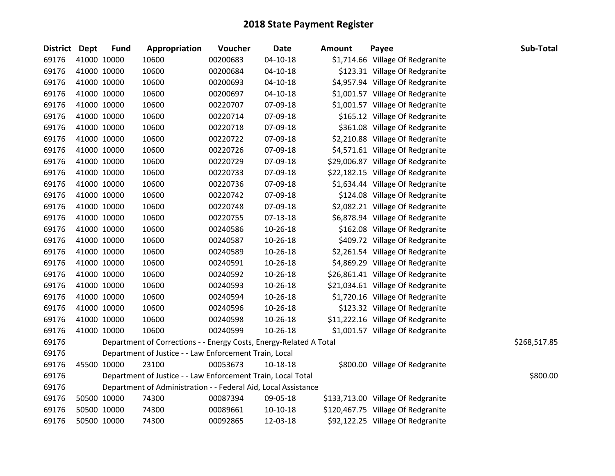| <b>District Dept</b> |             | <b>Fund</b> | Appropriation                                                      | Voucher  | <b>Date</b>    | <b>Amount</b> | Payee                              | Sub-Total    |
|----------------------|-------------|-------------|--------------------------------------------------------------------|----------|----------------|---------------|------------------------------------|--------------|
| 69176                |             | 41000 10000 | 10600                                                              | 00200683 | $04 - 10 - 18$ |               | \$1,714.66 Village Of Redgranite   |              |
| 69176                |             | 41000 10000 | 10600                                                              | 00200684 | $04 - 10 - 18$ |               | \$123.31 Village Of Redgranite     |              |
| 69176                |             | 41000 10000 | 10600                                                              | 00200693 | $04 - 10 - 18$ |               | \$4,957.94 Village Of Redgranite   |              |
| 69176                | 41000 10000 |             | 10600                                                              | 00200697 | 04-10-18       |               | \$1,001.57 Village Of Redgranite   |              |
| 69176                |             | 41000 10000 | 10600                                                              | 00220707 | 07-09-18       |               | \$1,001.57 Village Of Redgranite   |              |
| 69176                |             | 41000 10000 | 10600                                                              | 00220714 | 07-09-18       |               | \$165.12 Village Of Redgranite     |              |
| 69176                |             | 41000 10000 | 10600                                                              | 00220718 | 07-09-18       |               | \$361.08 Village Of Redgranite     |              |
| 69176                |             | 41000 10000 | 10600                                                              | 00220722 | 07-09-18       |               | \$2,210.88 Village Of Redgranite   |              |
| 69176                |             | 41000 10000 | 10600                                                              | 00220726 | 07-09-18       |               | \$4,571.61 Village Of Redgranite   |              |
| 69176                |             | 41000 10000 | 10600                                                              | 00220729 | 07-09-18       |               | \$29,006.87 Village Of Redgranite  |              |
| 69176                |             | 41000 10000 | 10600                                                              | 00220733 | 07-09-18       |               | \$22,182.15 Village Of Redgranite  |              |
| 69176                |             | 41000 10000 | 10600                                                              | 00220736 | 07-09-18       |               | \$1,634.44 Village Of Redgranite   |              |
| 69176                |             | 41000 10000 | 10600                                                              | 00220742 | 07-09-18       |               | \$124.08 Village Of Redgranite     |              |
| 69176                | 41000 10000 |             | 10600                                                              | 00220748 | 07-09-18       |               | \$2,082.21 Village Of Redgranite   |              |
| 69176                |             | 41000 10000 | 10600                                                              | 00220755 | 07-13-18       |               | \$6,878.94 Village Of Redgranite   |              |
| 69176                |             | 41000 10000 | 10600                                                              | 00240586 | $10-26-18$     |               | \$162.08 Village Of Redgranite     |              |
| 69176                |             | 41000 10000 | 10600                                                              | 00240587 | 10-26-18       |               | \$409.72 Village Of Redgranite     |              |
| 69176                |             | 41000 10000 | 10600                                                              | 00240589 | $10-26-18$     |               | \$2,261.54 Village Of Redgranite   |              |
| 69176                | 41000 10000 |             | 10600                                                              | 00240591 | $10 - 26 - 18$ |               | \$4,869.29 Village Of Redgranite   |              |
| 69176                |             | 41000 10000 | 10600                                                              | 00240592 | 10-26-18       |               | \$26,861.41 Village Of Redgranite  |              |
| 69176                |             | 41000 10000 | 10600                                                              | 00240593 | $10 - 26 - 18$ |               | \$21,034.61 Village Of Redgranite  |              |
| 69176                |             | 41000 10000 | 10600                                                              | 00240594 | 10-26-18       |               | \$1,720.16 Village Of Redgranite   |              |
| 69176                |             | 41000 10000 | 10600                                                              | 00240596 | $10 - 26 - 18$ |               | \$123.32 Village Of Redgranite     |              |
| 69176                |             | 41000 10000 | 10600                                                              | 00240598 | 10-26-18       |               | \$11,222.16 Village Of Redgranite  |              |
| 69176                | 41000 10000 |             | 10600                                                              | 00240599 | $10-26-18$     |               | \$1,001.57 Village Of Redgranite   |              |
| 69176                |             |             | Department of Corrections - - Energy Costs, Energy-Related A Total |          |                |               |                                    | \$268,517.85 |
| 69176                |             |             | Department of Justice - - Law Enforcement Train, Local             |          |                |               |                                    |              |
| 69176                |             | 45500 10000 | 23100                                                              | 00053673 | $10 - 18 - 18$ |               | \$800.00 Village Of Redgranite     |              |
| 69176                |             |             | Department of Justice - - Law Enforcement Train, Local Total       |          |                |               |                                    | \$800.00     |
| 69176                |             |             | Department of Administration - - Federal Aid, Local Assistance     |          |                |               |                                    |              |
| 69176                |             | 50500 10000 | 74300                                                              | 00087394 | 09-05-18       |               | \$133,713.00 Village Of Redgranite |              |
| 69176                |             | 50500 10000 | 74300                                                              | 00089661 | $10-10-18$     |               | \$120,467.75 Village Of Redgranite |              |
| 69176                | 50500 10000 |             | 74300                                                              | 00092865 | 12-03-18       |               | \$92,122.25 Village Of Redgranite  |              |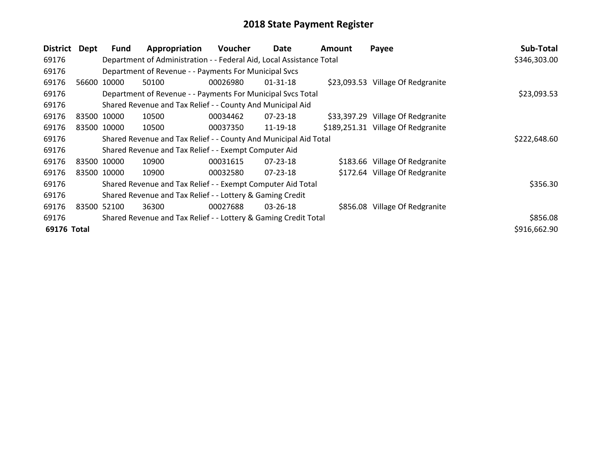| <b>District</b> | Dept  | <b>Fund</b> | Appropriation                                                        | Voucher  | Date           | <b>Amount</b> | Payee                              | Sub-Total    |
|-----------------|-------|-------------|----------------------------------------------------------------------|----------|----------------|---------------|------------------------------------|--------------|
| 69176           |       |             | Department of Administration - - Federal Aid, Local Assistance Total |          |                |               |                                    | \$346,303.00 |
| 69176           |       |             | Department of Revenue - - Payments For Municipal Svcs                |          |                |               |                                    |              |
| 69176           |       | 56600 10000 | 50100                                                                | 00026980 | 01-31-18       |               | \$23,093.53 Village Of Redgranite  |              |
| 69176           |       |             | Department of Revenue - - Payments For Municipal Svcs Total          |          |                |               |                                    | \$23,093.53  |
| 69176           |       |             | Shared Revenue and Tax Relief - - County And Municipal Aid           |          |                |               |                                    |              |
| 69176           |       | 83500 10000 | 10500                                                                | 00034462 | $07 - 23 - 18$ |               | \$33,397.29 Village Of Redgranite  |              |
| 69176           |       | 83500 10000 | 10500                                                                | 00037350 | 11-19-18       |               | \$189,251.31 Village Of Redgranite |              |
| 69176           |       |             | Shared Revenue and Tax Relief - - County And Municipal Aid Total     |          |                |               |                                    | \$222,648.60 |
| 69176           |       |             | Shared Revenue and Tax Relief - - Exempt Computer Aid                |          |                |               |                                    |              |
| 69176           |       | 83500 10000 | 10900                                                                | 00031615 | $07 - 23 - 18$ |               | \$183.66 Village Of Redgranite     |              |
| 69176           |       | 83500 10000 | 10900                                                                | 00032580 | $07 - 23 - 18$ |               | \$172.64 Village Of Redgranite     |              |
| 69176           |       |             | Shared Revenue and Tax Relief - - Exempt Computer Aid Total          |          |                |               |                                    | \$356.30     |
| 69176           |       |             | Shared Revenue and Tax Relief - - Lottery & Gaming Credit            |          |                |               |                                    |              |
| 69176           | 83500 | 52100       | 36300                                                                | 00027688 | 03-26-18       |               | \$856.08 Village Of Redgranite     |              |
| 69176           |       |             | Shared Revenue and Tax Relief - - Lottery & Gaming Credit Total      |          |                |               |                                    | \$856.08     |
| 69176 Total     |       |             |                                                                      |          |                |               |                                    | \$916,662.90 |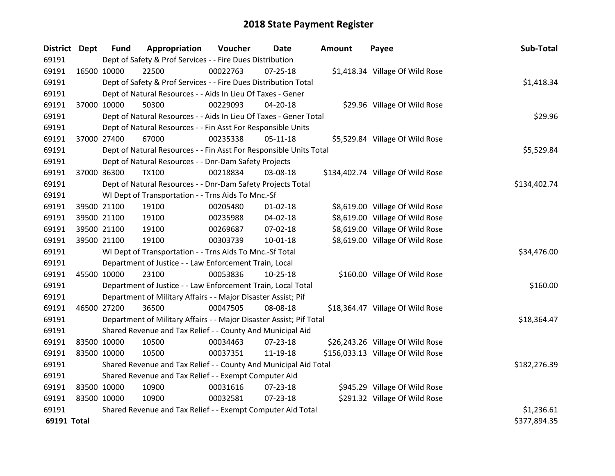| District Dept |             | <b>Fund</b>                                                         | Appropriation                                                      | Voucher  | Date           | <b>Amount</b> | Payee                             | Sub-Total    |
|---------------|-------------|---------------------------------------------------------------------|--------------------------------------------------------------------|----------|----------------|---------------|-----------------------------------|--------------|
| 69191         |             | Dept of Safety & Prof Services - - Fire Dues Distribution           |                                                                    |          |                |               |                                   |              |
| 69191         | 16500 10000 |                                                                     | 22500                                                              | 00022763 | $07 - 25 - 18$ |               | \$1,418.34 Village Of Wild Rose   |              |
| 69191         |             | Dept of Safety & Prof Services - - Fire Dues Distribution Total     | \$1,418.34                                                         |          |                |               |                                   |              |
| 69191         |             | Dept of Natural Resources - - Aids In Lieu Of Taxes - Gener         |                                                                    |          |                |               |                                   |              |
| 69191         |             | 37000 10000                                                         | 50300                                                              | 00229093 | 04-20-18       |               | \$29.96 Village Of Wild Rose      |              |
| 69191         |             |                                                                     | Dept of Natural Resources - - Aids In Lieu Of Taxes - Gener Total  |          |                |               |                                   | \$29.96      |
| 69191         |             |                                                                     | Dept of Natural Resources - - Fin Asst For Responsible Units       |          |                |               |                                   |              |
| 69191         |             | 37000 27400                                                         | 67000                                                              | 00235338 | $05 - 11 - 18$ |               | \$5,529.84 Village Of Wild Rose   |              |
| 69191         |             |                                                                     | Dept of Natural Resources - - Fin Asst For Responsible Units Total |          |                |               |                                   | \$5,529.84   |
| 69191         |             |                                                                     | Dept of Natural Resources - - Dnr-Dam Safety Projects              |          |                |               |                                   |              |
| 69191         |             | 37000 36300                                                         | <b>TX100</b>                                                       | 00218834 | 03-08-18       |               | \$134,402.74 Village Of Wild Rose |              |
| 69191         |             |                                                                     | Dept of Natural Resources - - Dnr-Dam Safety Projects Total        |          |                |               |                                   | \$134,402.74 |
| 69191         |             |                                                                     | WI Dept of Transportation - - Trns Aids To Mnc.-Sf                 |          |                |               |                                   |              |
| 69191         |             | 39500 21100                                                         | 19100                                                              | 00205480 | $01 - 02 - 18$ |               | \$8,619.00 Village Of Wild Rose   |              |
| 69191         |             | 39500 21100                                                         | 19100                                                              | 00235988 | 04-02-18       |               | \$8,619.00 Village Of Wild Rose   |              |
| 69191         |             | 39500 21100                                                         | 19100                                                              | 00269687 | 07-02-18       |               | \$8,619.00 Village Of Wild Rose   |              |
| 69191         |             | 39500 21100                                                         | 19100                                                              | 00303739 | $10 - 01 - 18$ |               | \$8,619.00 Village Of Wild Rose   |              |
| 69191         |             |                                                                     | WI Dept of Transportation - - Trns Aids To Mnc.-Sf Total           |          |                |               |                                   | \$34,476.00  |
| 69191         |             |                                                                     | Department of Justice - - Law Enforcement Train, Local             |          |                |               |                                   |              |
| 69191         | 45500 10000 |                                                                     | 23100                                                              | 00053836 | $10-25-18$     |               | \$160.00 Village Of Wild Rose     |              |
| 69191         |             |                                                                     | Department of Justice - - Law Enforcement Train, Local Total       |          |                |               |                                   | \$160.00     |
| 69191         |             |                                                                     | Department of Military Affairs - - Major Disaster Assist; Pif      |          |                |               |                                   |              |
| 69191         |             | 46500 27200                                                         | 36500                                                              | 00047505 | 08-08-18       |               | \$18,364.47 Village Of Wild Rose  |              |
| 69191         |             | Department of Military Affairs - - Major Disaster Assist; Pif Total | \$18,364.47                                                        |          |                |               |                                   |              |
| 69191         |             | Shared Revenue and Tax Relief - - County And Municipal Aid          |                                                                    |          |                |               |                                   |              |
| 69191         | 83500 10000 |                                                                     | 10500                                                              | 00034463 | $07 - 23 - 18$ |               | \$26,243.26 Village Of Wild Rose  |              |
| 69191         |             | 83500 10000                                                         | 10500                                                              | 00037351 | 11-19-18       |               | \$156,033.13 Village Of Wild Rose |              |
| 69191         |             |                                                                     | Shared Revenue and Tax Relief - - County And Municipal Aid Total   |          |                |               |                                   | \$182,276.39 |
| 69191         |             | Shared Revenue and Tax Relief - - Exempt Computer Aid               |                                                                    |          |                |               |                                   |              |
| 69191         | 83500 10000 |                                                                     | 10900                                                              | 00031616 | 07-23-18       |               | \$945.29 Village Of Wild Rose     |              |
| 69191         | 83500 10000 |                                                                     | 10900                                                              | 00032581 | 07-23-18       |               | \$291.32 Village Of Wild Rose     |              |
| 69191         |             | Shared Revenue and Tax Relief - - Exempt Computer Aid Total         | \$1,236.61                                                         |          |                |               |                                   |              |
| 69191 Total   |             |                                                                     |                                                                    |          |                |               |                                   | \$377,894.35 |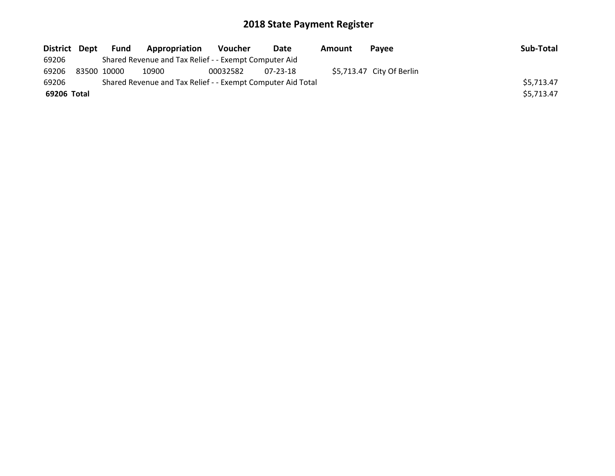| District Dept |             | Fund | <b>Appropriation</b>                                        | Voucher  | Date     | Amount | Pavee                     | Sub-Total  |
|---------------|-------------|------|-------------------------------------------------------------|----------|----------|--------|---------------------------|------------|
| 69206         |             |      | Shared Revenue and Tax Relief - - Exempt Computer Aid       |          |          |        |                           |            |
| 69206         | 83500 10000 |      | 10900                                                       | 00032582 | 07-23-18 |        | \$5,713.47 City Of Berlin |            |
| 69206         |             |      | Shared Revenue and Tax Relief - - Exempt Computer Aid Total |          |          |        |                           | \$5,713.47 |
| 69206 Total   |             |      |                                                             |          |          |        |                           | \$5,713.47 |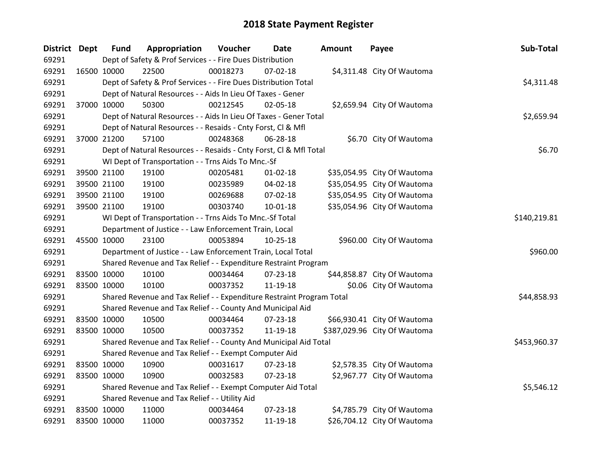| District Dept |             | <b>Fund</b>                                                           | Appropriation                                                      | Voucher  | <b>Date</b>    | <b>Amount</b> | Payee                        | Sub-Total  |  |
|---------------|-------------|-----------------------------------------------------------------------|--------------------------------------------------------------------|----------|----------------|---------------|------------------------------|------------|--|
| 69291         |             | Dept of Safety & Prof Services - - Fire Dues Distribution             |                                                                    |          |                |               |                              |            |  |
| 69291         | 16500 10000 |                                                                       | 22500                                                              | 00018273 | $07 - 02 - 18$ |               | \$4,311.48 City Of Wautoma   |            |  |
| 69291         |             | Dept of Safety & Prof Services - - Fire Dues Distribution Total       | \$4,311.48                                                         |          |                |               |                              |            |  |
| 69291         |             | Dept of Natural Resources - - Aids In Lieu Of Taxes - Gener           |                                                                    |          |                |               |                              |            |  |
| 69291         |             | 37000 10000                                                           | 50300                                                              | 00212545 | 02-05-18       |               | \$2,659.94 City Of Wautoma   |            |  |
| 69291         |             |                                                                       | Dept of Natural Resources - - Aids In Lieu Of Taxes - Gener Total  |          |                |               |                              | \$2,659.94 |  |
| 69291         |             |                                                                       | Dept of Natural Resources - - Resaids - Cnty Forst, Cl & Mfl       |          |                |               |                              |            |  |
| 69291         |             | 37000 21200                                                           | 57100                                                              | 00248368 | 06-28-18       |               | \$6.70 City Of Wautoma       |            |  |
| 69291         |             |                                                                       | Dept of Natural Resources - - Resaids - Cnty Forst, Cl & Mfl Total |          |                |               |                              | \$6.70     |  |
| 69291         |             |                                                                       | WI Dept of Transportation - - Trns Aids To Mnc.-Sf                 |          |                |               |                              |            |  |
| 69291         |             | 39500 21100                                                           | 19100                                                              | 00205481 | $01 - 02 - 18$ |               | \$35,054.95 City Of Wautoma  |            |  |
| 69291         |             | 39500 21100                                                           | 19100                                                              | 00235989 | 04-02-18       |               | \$35,054.95 City Of Wautoma  |            |  |
| 69291         |             | 39500 21100                                                           | 19100                                                              | 00269688 | 07-02-18       |               | \$35,054.95 City Of Wautoma  |            |  |
| 69291         |             | 39500 21100                                                           | 19100                                                              | 00303740 | 10-01-18       |               | \$35,054.96 City Of Wautoma  |            |  |
| 69291         |             | WI Dept of Transportation - - Trns Aids To Mnc.-Sf Total              | \$140,219.81                                                       |          |                |               |                              |            |  |
| 69291         |             |                                                                       | Department of Justice - - Law Enforcement Train, Local             |          |                |               |                              |            |  |
| 69291         | 45500 10000 |                                                                       | 23100                                                              | 00053894 | $10-25-18$     |               | \$960.00 City Of Wautoma     |            |  |
| 69291         |             |                                                                       | Department of Justice - - Law Enforcement Train, Local Total       |          |                |               |                              | \$960.00   |  |
| 69291         |             |                                                                       | Shared Revenue and Tax Relief - - Expenditure Restraint Program    |          |                |               |                              |            |  |
| 69291         |             | 83500 10000                                                           | 10100                                                              | 00034464 | 07-23-18       |               | \$44,858.87 City Of Wautoma  |            |  |
| 69291         |             | 83500 10000                                                           | 10100                                                              | 00037352 | 11-19-18       |               | \$0.06 City Of Wautoma       |            |  |
| 69291         |             | Shared Revenue and Tax Relief - - Expenditure Restraint Program Total |                                                                    |          |                |               |                              |            |  |
| 69291         |             |                                                                       | Shared Revenue and Tax Relief - - County And Municipal Aid         |          |                |               |                              |            |  |
| 69291         |             | 83500 10000                                                           | 10500                                                              | 00034464 | 07-23-18       |               | \$66,930.41 City Of Wautoma  |            |  |
| 69291         | 83500 10000 |                                                                       | 10500                                                              | 00037352 | 11-19-18       |               | \$387,029.96 City Of Wautoma |            |  |
| 69291         |             | Shared Revenue and Tax Relief - - County And Municipal Aid Total      | \$453,960.37                                                       |          |                |               |                              |            |  |
| 69291         |             | Shared Revenue and Tax Relief - - Exempt Computer Aid                 |                                                                    |          |                |               |                              |            |  |
| 69291         | 83500 10000 |                                                                       | 10900                                                              | 00031617 | $07 - 23 - 18$ |               | \$2,578.35 City Of Wautoma   |            |  |
| 69291         | 83500 10000 |                                                                       | 10900                                                              | 00032583 | 07-23-18       |               | \$2,967.77 City Of Wautoma   |            |  |
| 69291         |             | Shared Revenue and Tax Relief - - Exempt Computer Aid Total           | \$5,546.12                                                         |          |                |               |                              |            |  |
| 69291         |             | Shared Revenue and Tax Relief - - Utility Aid                         |                                                                    |          |                |               |                              |            |  |
| 69291         | 83500 10000 |                                                                       | 11000                                                              | 00034464 | 07-23-18       |               | \$4,785.79 City Of Wautoma   |            |  |
| 69291         | 83500 10000 |                                                                       | 11000                                                              | 00037352 | 11-19-18       |               | \$26,704.12 City Of Wautoma  |            |  |